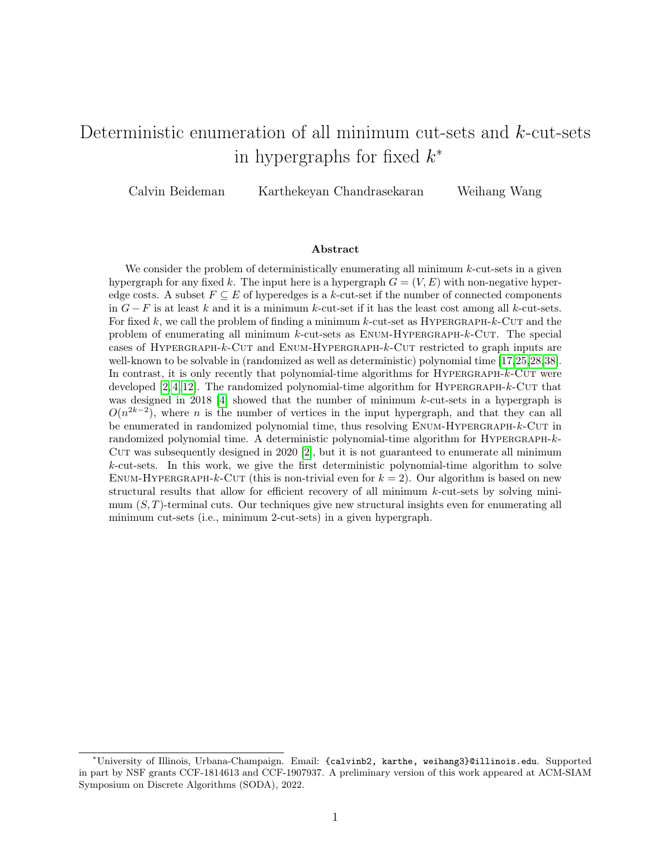# Deterministic enumeration of all minimum cut-sets and k-cut-sets in hypergraphs for fixed  $k^*$

Calvin Beideman Karthekeyan Chandrasekaran Weihang Wang

#### Abstract

We consider the problem of deterministically enumerating all minimum  $k$ -cut-sets in a given hypergraph for any fixed k. The input here is a hypergraph  $G = (V, E)$  with non-negative hyperedge costs. A subset  $F \subseteq E$  of hyperedges is a k-cut-set if the number of connected components in  $G - F$  is at least k and it is a minimum k-cut-set if it has the least cost among all k-cut-sets. For fixed k, we call the problem of finding a minimum k-cut-set as HYPERGRAPH-k-CUT and the problem of enumerating all minimum  $k$ -cut-sets as  $EWM$ -HYPERGRAPH- $k$ -CUT. The special cases of Hypergraph-k-Cut and Enum-Hypergraph-k-Cut restricted to graph inputs are well-known to be solvable in (randomized as well as deterministic) polynomial time [\[17,](#page-29-0)[25,](#page-29-1)[28,](#page-30-0)[38\]](#page-30-1). In contrast, it is only recently that polynomial-time algorithms for HYPERGRAPH-k-CUT were developed  $[2, 4, 12]$  $[2, 4, 12]$  $[2, 4, 12]$ . The randomized polynomial-time algorithm for HYPERGRAPH- $k$ -CUT that was designed in 2018 [\[4\]](#page-28-1) showed that the number of minimum k-cut-sets in a hypergraph is  $O(n^{2k-2})$ , where *n* is the number of vertices in the input hypergraph, and that they can all be enumerated in randomized polynomial time, thus resolving ENUM-HYPERGRAPH-k-CUT in randomized polynomial time. A deterministic polynomial-time algorithm for HYPERGRAPH- $k$ -CUT was subsequently designed in  $2020$  [\[2\]](#page-28-0), but it is not guaranteed to enumerate all minimum k-cut-sets. In this work, we give the first deterministic polynomial-time algorithm to solve ENUM-HYPERGRAPH-k-CUT (this is non-trivial even for  $k = 2$ ). Our algorithm is based on new structural results that allow for efficient recovery of all minimum k-cut-sets by solving minimum  $(S, T)$ -terminal cuts. Our techniques give new structural insights even for enumerating all minimum cut-sets (i.e., minimum 2-cut-sets) in a given hypergraph.

<sup>∗</sup>University of Illinois, Urbana-Champaign. Email: {calvinb2, karthe, weihang3}@illinois.edu. Supported in part by NSF grants CCF-1814613 and CCF-1907937. A preliminary version of this work appeared at ACM-SIAM Symposium on Discrete Algorithms (SODA), 2022.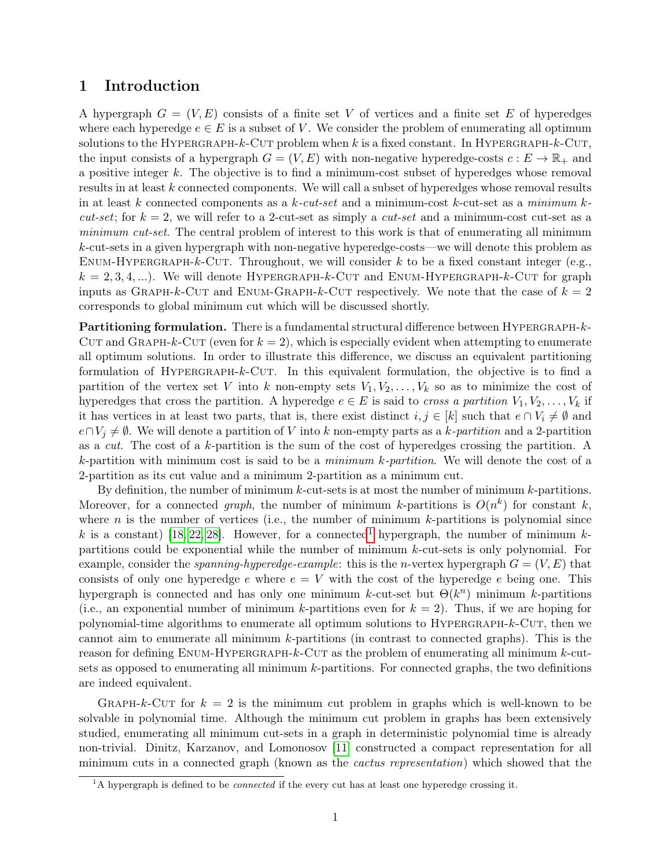## 1 Introduction

A hypergraph  $G = (V, E)$  consists of a finite set V of vertices and a finite set E of hyperedges where each hyperedge  $e \in E$  is a subset of V. We consider the problem of enumerating all optimum solutions to the HYPERGRAPH- $k$ -CUT problem when k is a fixed constant. In HYPERGRAPH- $k$ -CUT, the input consists of a hypergraph  $G = (V, E)$  with non-negative hyperedge-costs  $c : E \to \mathbb{R}_+$  and a positive integer k. The objective is to find a minimum-cost subset of hyperedges whose removal results in at least k connected components. We will call a subset of hyperedges whose removal results in at least k connected components as a  $k$ -cut-set and a minimum-cost k-cut-set as a minimum k*cut-set*; for  $k = 2$ , we will refer to a 2-cut-set as simply a *cut-set* and a minimum-cost cut-set as a minimum cut-set. The central problem of interest to this work is that of enumerating all minimum k-cut-sets in a given hypergraph with non-negative hyperedge-costs—we will denote this problem as ENUM-HYPERGRAPH-k-CUT. Throughout, we will consider k to be a fixed constant integer (e.g.,  $k = 2, 3, 4, \ldots$ ). We will denote HYPERGRAPH-k-CUT and ENUM-HYPERGRAPH-k-CUT for graph inputs as GRAPH-k-CUT and ENUM-GRAPH-k-CUT respectively. We note that the case of  $k = 2$ corresponds to global minimum cut which will be discussed shortly.

Partitioning formulation. There is a fundamental structural difference between HYPERGRAPH-k-CUT and GRAPH-k-CUT (even for  $k = 2$ ), which is especially evident when attempting to enumerate all optimum solutions. In order to illustrate this difference, we discuss an equivalent partitioning formulation of HYPERGRAPH- $k$ -CUT. In this equivalent formulation, the objective is to find a partition of the vertex set V into k non-empty sets  $V_1, V_2, \ldots, V_k$  so as to minimize the cost of hyperedges that cross the partition. A hyperedge  $e \in E$  is said to *cross a partition*  $V_1, V_2, \ldots, V_k$  if it has vertices in at least two parts, that is, there exist distinct  $i, j \in [k]$  such that  $e \cap V_i \neq \emptyset$  and  $e \cap V_j \neq \emptyset$ . We will denote a partition of V into k non-empty parts as a k-partition and a 2-partition as a cut. The cost of a k-partition is the sum of the cost of hyperedges crossing the partition. A k-partition with minimum cost is said to be a *minimum k-partition*. We will denote the cost of a 2-partition as its cut value and a minimum 2-partition as a minimum cut.

By definition, the number of minimum  $k$ -cut-sets is at most the number of minimum  $k$ -partitions. Moreover, for a connected graph, the number of minimum k-partitions is  $O(n^k)$  for constant k, where n is the number of vertices (i.e., the number of minimum  $k$ -partitions is polynomial since k is a constant) [\[18,](#page-29-3) [22,](#page-29-4) [28\]](#page-30-0). However, for a connected<sup>[1](#page-1-0)</sup> hypergraph, the number of minimum kpartitions could be exponential while the number of minimum k-cut-sets is only polynomial. For example, consider the *spanning-hyperedge-example*: this is the *n*-vertex hypergraph  $G = (V, E)$  that consists of only one hyperedge e where  $e = V$  with the cost of the hyperedge e being one. This hypergraph is connected and has only one minimum k-cut-set but  $\Theta(k^n)$  minimum k-partitions (i.e., an exponential number of minimum k-partitions even for  $k = 2$ ). Thus, if we are hoping for polynomial-time algorithms to enumerate all optimum solutions to Hypergraph-k-Cut, then we cannot aim to enumerate all minimum  $k$ -partitions (in contrast to connected graphs). This is the reason for defining  $ENUM-HYPERGRAPH-k-CUT$  as the problem of enumerating all minimum k-cutsets as opposed to enumerating all minimum  $k$ -partitions. For connected graphs, the two definitions are indeed equivalent.

GRAPH-k-CUT for  $k = 2$  is the minimum cut problem in graphs which is well-known to be solvable in polynomial time. Although the minimum cut problem in graphs has been extensively studied, enumerating all minimum cut-sets in a graph in deterministic polynomial time is already non-trivial. Dinitz, Karzanov, and Lomonosov [\[11\]](#page-29-5) constructed a compact representation for all minimum cuts in a connected graph (known as the cactus representation) which showed that the

<span id="page-1-0"></span> ${}^{1}$ A hypergraph is defined to be *connected* if the every cut has at least one hyperedge crossing it.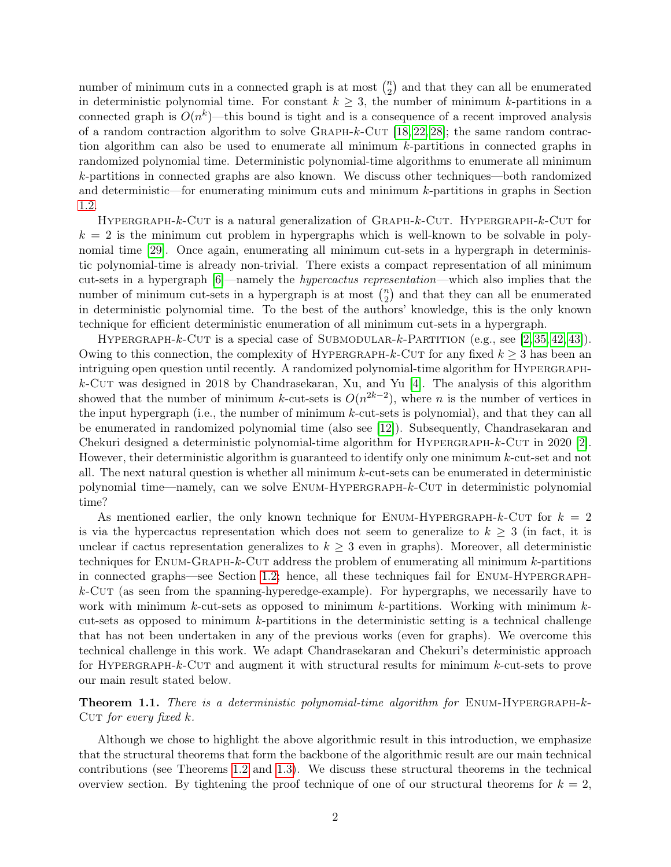number of minimum cuts in a connected graph is at most  $\binom{n}{2}$  $\binom{n}{2}$  and that they can all be enumerated in deterministic polynomial time. For constant  $k \geq 3$ , the number of minimum k-partitions in a connected graph is  $O(n^k)$ —this bound is tight and is a consequence of a recent improved analysis of a random contraction algorithm to solve GRAPH- $k$ -CUT [\[18,](#page-29-3) [22,](#page-29-4) [28\]](#page-30-0); the same random contraction algorithm can also be used to enumerate all minimum k-partitions in connected graphs in randomized polynomial time. Deterministic polynomial-time algorithms to enumerate all minimum k-partitions in connected graphs are also known. We discuss other techniques—both randomized and deterministic—for enumerating minimum cuts and minimum k-partitions in graphs in Section [1.2.](#page-7-0)

HYPERGRAPH-k-CUT is a natural generalization of GRAPH-k-CUT. HYPERGRAPH-k-CUT for  $k = 2$  is the minimum cut problem in hypergraphs which is well-known to be solvable in polynomial time [\[29\]](#page-30-2). Once again, enumerating all minimum cut-sets in a hypergraph in deterministic polynomial-time is already non-trivial. There exists a compact representation of all minimum cut-sets in a hypergraph [\[6\]](#page-28-2)—namely the hypercactus representation—which also implies that the number of minimum cut-sets in a hypergraph is at most  $\binom{n}{2}$  $\binom{n}{2}$  and that they can all be enumerated in deterministic polynomial time. To the best of the authors' knowledge, this is the only known technique for efficient deterministic enumeration of all minimum cut-sets in a hypergraph.

HYPERGRAPH-k-CUT is a special case of SUBMODULAR-k-PARTITION (e.g., see  $[2, 35, 42, 43]$  $[2, 35, 42, 43]$  $[2, 35, 42, 43]$  $[2, 35, 42, 43]$ ). Owing to this connection, the complexity of HYPERGRAPH-k-CUT for any fixed  $k \geq 3$  has been an intriguing open question until recently. A randomized polynomial-time algorithm for HYPERGRAPH $k$ -Cut was designed in 2018 by Chandrasekaran, Xu, and Yu [\[4\]](#page-28-1). The analysis of this algorithm showed that the number of minimum k-cut-sets is  $O(n^{2k-2})$ , where n is the number of vertices in the input hypergraph (i.e., the number of minimum k-cut-sets is polynomial), and that they can all be enumerated in randomized polynomial time (also see [\[12\]](#page-29-2)). Subsequently, Chandrasekaran and Chekuri designed a deterministic polynomial-time algorithm for  $HYPERGRAPH-k-CUT$  in 2020 [\[2\]](#page-28-0). However, their deterministic algorithm is guaranteed to identify only one minimum  $k$ -cut-set and not all. The next natural question is whether all minimum k-cut-sets can be enumerated in deterministic polynomial time—namely, can we solve Enum-Hypergraph-k-Cut in deterministic polynomial time?

As mentioned earlier, the only known technique for ENUM-HYPERGRAPH- $k$ -CUT for  $k = 2$ is via the hypercactus representation which does not seem to generalize to  $k \geq 3$  (in fact, it is unclear if cactus representation generalizes to  $k \geq 3$  even in graphs). Moreover, all deterministic techniques for Enum-Graph-k-Cut address the problem of enumerating all minimum k-partitions in connected graphs—see Section [1.2;](#page-7-0) hence, all these techniques fail for Enum-Hypergraph $k$ -Cut (as seen from the spanning-hyperedge-example). For hypergraphs, we necessarily have to work with minimum k-cut-sets as opposed to minimum k-partitions. Working with minimum  $k$ cut-sets as opposed to minimum  $k$ -partitions in the deterministic setting is a technical challenge that has not been undertaken in any of the previous works (even for graphs). We overcome this technical challenge in this work. We adapt Chandrasekaran and Chekuri's deterministic approach for HYPERGRAPH- $k$ -CUT and augment it with structural results for minimum  $k$ -cut-sets to prove our main result stated below.

<span id="page-2-0"></span>**Theorem 1.1.** There is a deterministic polynomial-time algorithm for  $ENUM-HYPERGRAPH-k-$ CUT for every fixed  $k$ .

Although we chose to highlight the above algorithmic result in this introduction, we emphasize that the structural theorems that form the backbone of the algorithmic result are our main technical contributions (see Theorems [1.2](#page-4-0) and [1.3\)](#page-4-1). We discuss these structural theorems in the technical overview section. By tightening the proof technique of one of our structural theorems for  $k = 2$ ,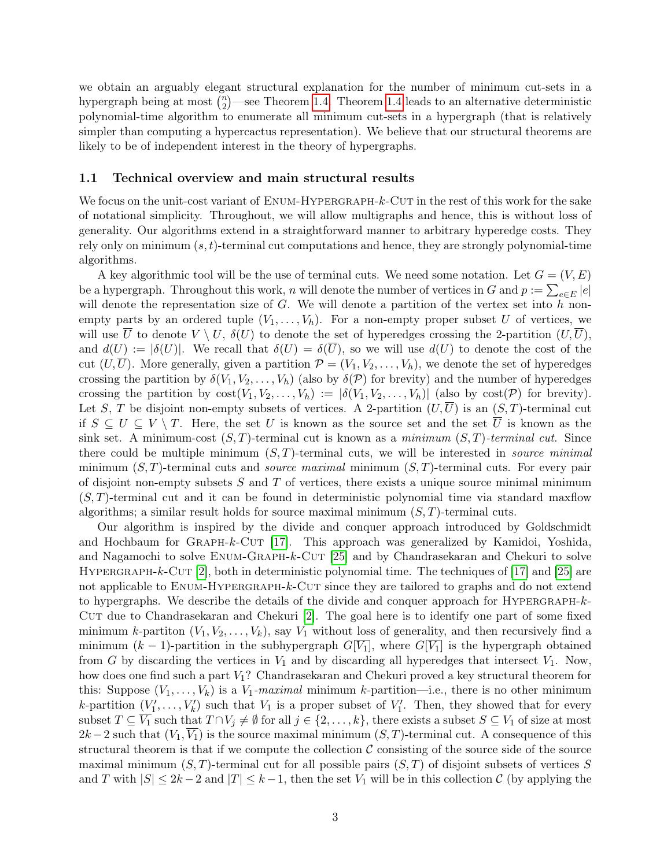we obtain an arguably elegant structural explanation for the number of minimum cut-sets in a hypergraph being at most  $\binom{n}{2}$  $n_2$ <sup>n</sup>)—see Theorem [1.4.](#page-5-0) Theorem [1.4](#page-5-0) leads to an alternative deterministic polynomial-time algorithm to enumerate all minimum cut-sets in a hypergraph (that is relatively simpler than computing a hypercactus representation). We believe that our structural theorems are likely to be of independent interest in the theory of hypergraphs.

#### <span id="page-3-0"></span>1.1 Technical overview and main structural results

We focus on the unit-cost variant of  $EWUM$ -HYPERGRAPH- $k$ -CUT in the rest of this work for the sake of notational simplicity. Throughout, we will allow multigraphs and hence, this is without loss of generality. Our algorithms extend in a straightforward manner to arbitrary hyperedge costs. They rely only on minimum  $(s, t)$ -terminal cut computations and hence, they are strongly polynomial-time algorithms.

A key algorithmic tool will be the use of terminal cuts. We need some notation. Let  $G = (V, E)$ be a hypergraph. Throughout this work, n will denote the number of vertices in G and  $p := \sum_{e \in E} |e|$ will denote the representation size of  $G$ . We will denote a partition of the vertex set into  $h$  nonempty parts by an ordered tuple  $(V_1, \ldots, V_h)$ . For a non-empty proper subset U of vertices, we will use  $\overline{U}$  to denote  $V \setminus U$ ,  $\delta(U)$  to denote the set of hyperedges crossing the 2-partition  $(U,\overline{U})$ , and  $d(U) := |\delta(U)|$ . We recall that  $\delta(U) = \delta(\overline{U})$ , so we will use  $d(U)$  to denote the cost of the cut  $(U,\overline{U})$ . More generally, given a partition  $\mathcal{P} = (V_1, V_2, \ldots, V_h)$ , we denote the set of hyperedges crossing the partition by  $\delta(V_1, V_2, \ldots, V_h)$  (also by  $\delta(\mathcal{P})$  for brevity) and the number of hyperedges crossing the partition by  $\text{cost}(V_1, V_2, \ldots, V_h) := |\delta(V_1, V_2, \ldots, V_h)|$  (also by  $\text{cost}(\mathcal{P})$  for brevity). Let S, T be disjoint non-empty subsets of vertices. A 2-partition  $(U,\overline{U})$  is an  $(S,T)$ -terminal cut if  $S \subseteq U \subseteq V \setminus T$ . Here, the set U is known as the source set and the set  $\overline{U}$  is known as the sink set. A minimum-cost  $(S, T)$ -terminal cut is known as a minimum  $(S, T)$ -terminal cut. Since there could be multiple minimum  $(S, T)$ -terminal cuts, we will be interested in *source minimal* minimum  $(S, T)$ -terminal cuts and *source maximal* minimum  $(S, T)$ -terminal cuts. For every pair of disjoint non-empty subsets  $S$  and  $T$  of vertices, there exists a unique source minimal minimum  $(S, T)$ -terminal cut and it can be found in deterministic polynomial time via standard maxilow algorithms; a similar result holds for source maximal minimum  $(S, T)$ -terminal cuts.

Our algorithm is inspired by the divide and conquer approach introduced by Goldschmidt and Hochbaum for GRAPH- $k$ -CUT [\[17\]](#page-29-0). This approach was generalized by Kamidoi, Yoshida, and Nagamochi to solve ENUM-GRAPH-k-CUT [\[25\]](#page-29-1) and by Chandrasekaran and Chekuri to solve HYPERGRAPH-k-CUT [\[2\]](#page-28-0), both in deterministic polynomial time. The techniques of [\[17\]](#page-29-0) and [\[25\]](#page-29-1) are not applicable to ENUM-HYPERGRAPH-k-CUT since they are tailored to graphs and do not extend to hypergraphs. We describe the details of the divide and conquer approach for Hypergraph-k-Cut due to Chandrasekaran and Chekuri [\[2\]](#page-28-0). The goal here is to identify one part of some fixed minimum k-partiton  $(V_1, V_2, \ldots, V_k)$ , say  $V_1$  without loss of generality, and then recursively find a minimum  $(k-1)$ -partition in the subhypergraph  $G[\overline{V_1}]$ , where  $G[\overline{V_1}]$  is the hypergraph obtained from G by discarding the vertices in  $V_1$  and by discarding all hyperedges that intersect  $V_1$ . Now, how does one find such a part V1? Chandrasekaran and Chekuri proved a key structural theorem for this: Suppose  $(V_1, \ldots, V_k)$  is a  $V_1$ -maximal minimum k-partition—i.e., there is no other minimum k-partition  $(V'_1, \ldots, V'_k)$  such that  $V_1$  is a proper subset of  $V'_1$ . Then, they showed that for every subset  $T \subseteq \overline{V_1}$  such that  $T \cap V_j \neq \emptyset$  for all  $j \in \{2, ..., k\}$ , there exists a subset  $S \subseteq V_1$  of size at most  $2k-2$  such that  $(V_1, \overline{V_1})$  is the source maximal minimum  $(S, T)$ -terminal cut. A consequence of this structural theorem is that if we compute the collection  $\mathcal C$  consisting of the source side of the source maximal minimum  $(S, T)$ -terminal cut for all possible pairs  $(S, T)$  of disjoint subsets of vertices S and T with  $|S| \leq 2k-2$  and  $|T| \leq k-1$ , then the set  $V_1$  will be in this collection C (by applying the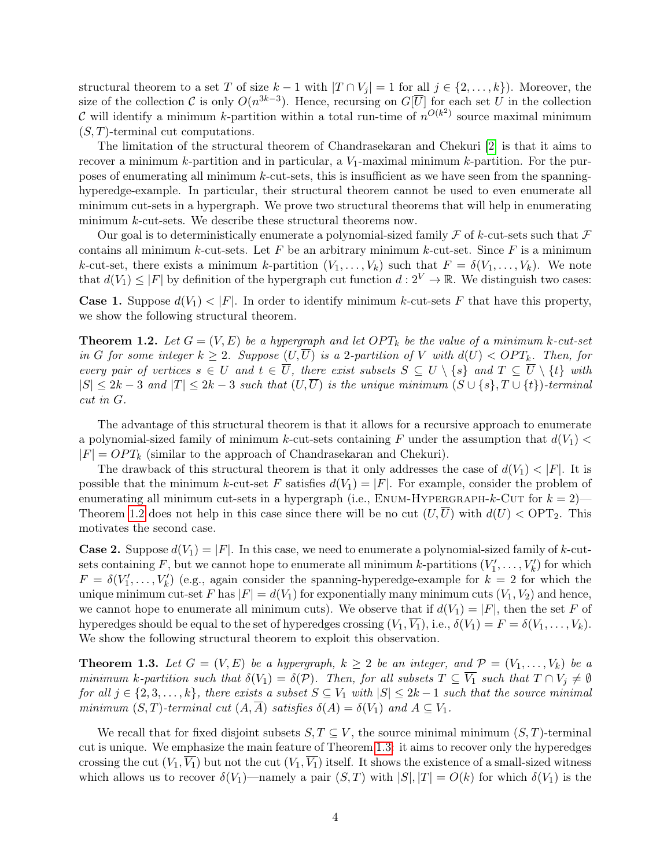structural theorem to a set T of size  $k-1$  with  $|T \cap V_i| = 1$  for all  $j \in \{2, ..., k\}$ . Moreover, the size of the collection C is only  $O(n^{3k-3})$ . Hence, recursing on  $G[\overline{U}]$  for each set U in the collection C will identify a minimum k-partition within a total run-time of  $n^{O(k^2)}$  source maximal minimum  $(S, T)$ -terminal cut computations.

The limitation of the structural theorem of Chandrasekaran and Chekuri [\[2\]](#page-28-0) is that it aims to recover a minimum  $k$ -partition and in particular, a  $V_1$ -maximal minimum  $k$ -partition. For the purposes of enumerating all minimum  $k$ -cut-sets, this is insufficient as we have seen from the spanninghyperedge-example. In particular, their structural theorem cannot be used to even enumerate all minimum cut-sets in a hypergraph. We prove two structural theorems that will help in enumerating minimum k-cut-sets. We describe these structural theorems now.

Our goal is to deterministically enumerate a polynomial-sized family  $\mathcal F$  of k-cut-sets such that  $\mathcal F$ contains all minimum k-cut-sets. Let F be an arbitrary minimum k-cut-set. Since F is a minimum k-cut-set, there exists a minimum k-partition  $(V_1, \ldots, V_k)$  such that  $F = \delta(V_1, \ldots, V_k)$ . We note that  $d(V_1) \leq |F|$  by definition of the hypergraph cut function  $d: 2^V \to \mathbb{R}$ . We distinguish two cases:

**Case 1.** Suppose  $d(V_1) < |F|$ . In order to identify minimum k-cut-sets F that have this property, we show the following structural theorem.

<span id="page-4-0"></span>**Theorem 1.2.** Let  $G = (V, E)$  be a hypergraph and let  $OPT_k$  be the value of a minimum k-cut-set in G for some integer  $k \geq 2$ . Suppose  $(U,\overline{U})$  is a 2-partition of V with  $d(U) < OPT_k$ . Then, for every pair of vertices  $s \in U$  and  $t \in \overline{U}$ , there exist subsets  $S \subseteq U \setminus \{s\}$  and  $T \subseteq \overline{U} \setminus \{t\}$  with  $|S| \leq 2k-3$  and  $|T| \leq 2k-3$  such that  $(U,\overline{U})$  is the unique minimum  $(S \cup \{s\}, T \cup \{t\})$ -terminal cut in G.

The advantage of this structural theorem is that it allows for a recursive approach to enumerate a polynomial-sized family of minimum k-cut-sets containing F under the assumption that  $d(V_1)$  $|F| = OPT_k$  (similar to the approach of Chandrasekaran and Chekuri).

The drawback of this structural theorem is that it only addresses the case of  $d(V_1) < |F|$ . It is possible that the minimum k-cut-set F satisfies  $d(V_1) = |F|$ . For example, consider the problem of enumerating all minimum cut-sets in a hypergraph (i.e.,  $ENUM-HYPERGRAPH-k-CUT$  for  $k = 2$ )— Theorem [1.2](#page-4-0) does not help in this case since there will be no cut  $(U,\overline{U})$  with  $d(U) <$  OPT<sub>2</sub>. This motivates the second case.

**Case 2.** Suppose  $d(V_1) = |F|$ . In this case, we need to enumerate a polynomial-sized family of k-cutsets containing F, but we cannot hope to enumerate all minimum k-partitions  $(V'_1, \ldots, V'_k)$  for which  $F = \delta(V_1', \ldots, V_k')$  (e.g., again consider the spanning-hyperedge-example for  $k = 2$  for which the unique minimum cut-set F has  $|F| = d(V_1)$  for exponentially many minimum cuts  $(V_1, V_2)$  and hence, we cannot hope to enumerate all minimum cuts). We observe that if  $d(V_1) = |F|$ , then the set F of hyperedges should be equal to the set of hyperedges crossing  $(V_1, V_1)$ , i.e.,  $\delta(V_1) = F = \delta(V_1, \ldots, V_k)$ . We show the following structural theorem to exploit this observation.

<span id="page-4-1"></span>**Theorem 1.3.** Let  $G = (V, E)$  be a hypergraph,  $k \geq 2$  be an integer, and  $\mathcal{P} = (V_1, \ldots, V_k)$  be a minimum k-partition such that  $\delta(V_1) = \delta(\mathcal{P})$ . Then, for all subsets  $T \subseteq \overline{V_1}$  such that  $T \cap V_j \neq \emptyset$ for all  $j \in \{2, 3, \ldots, k\}$ , there exists a subset  $S \subseteq V_1$  with  $|S| \leq 2k-1$  such that the source minimal minimum  $(S, T)$ -terminal cut  $(A, A)$  satisfies  $\delta(A) = \delta(V_1)$  and  $A \subseteq V_1$ .

We recall that for fixed disjoint subsets  $S, T \subseteq V$ , the source minimal minimum  $(S, T)$ -terminal cut is unique. We emphasize the main feature of Theorem [1.3:](#page-4-1) it aims to recover only the hyperedges crossing the cut  $(V_1, \overline{V_1})$  but not the cut  $(V_1, \overline{V_1})$  itself. It shows the existence of a small-sized witness which allows us to recover  $\delta(V_1)$ —namely a pair  $(S, T)$  with  $|S|, |T| = O(k)$  for which  $\delta(V_1)$  is the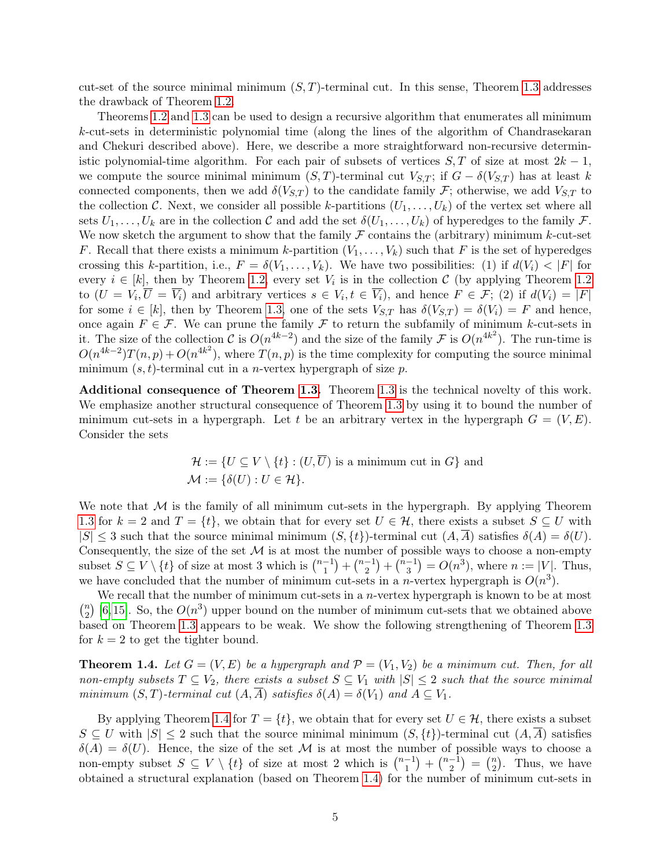cut-set of the source minimal minimum  $(S, T)$ -terminal cut. In this sense, Theorem [1.3](#page-4-1) addresses the drawback of Theorem [1.2.](#page-4-0)

Theorems [1.2](#page-4-0) and [1.3](#page-4-1) can be used to design a recursive algorithm that enumerates all minimum k-cut-sets in deterministic polynomial time (along the lines of the algorithm of Chandrasekaran and Chekuri described above). Here, we describe a more straightforward non-recursive deterministic polynomial-time algorithm. For each pair of subsets of vertices  $S, T$  of size at most  $2k - 1$ , we compute the source minimal minimum  $(S, T)$ -terminal cut  $V_{S,T}$ ; if  $G - \delta(V_{S,T})$  has at least k connected components, then we add  $\delta(V_{S,T})$  to the candidate family F; otherwise, we add  $V_{S,T}$  to the collection C. Next, we consider all possible k-partitions  $(U_1, \ldots, U_k)$  of the vertex set where all sets  $U_1, \ldots, U_k$  are in the collection C and add the set  $\delta(U_1, \ldots, U_k)$  of hyperedges to the family F. We now sketch the argument to show that the family  $\mathcal F$  contains the (arbitrary) minimum k-cut-set F. Recall that there exists a minimum k-partition  $(V_1, \ldots, V_k)$  such that F is the set of hyperedges crossing this k-partition, i.e.,  $F = \delta(V_1, \ldots, V_k)$ . We have two possibilities: (1) if  $d(V_i) < |F|$  for every  $i \in [k]$ , then by Theorem [1.2,](#page-4-0) every set  $V_i$  is in the collection C (by applying Theorem [1.2](#page-4-0) to  $(U = V_i, \overline{U} = \overline{V_i})$  and arbitrary vertices  $s \in V_i, t \in \overline{V_i}$ , and hence  $F \in \mathcal{F}$ ; (2) if  $d(V_i) = |F|$ for some  $i \in [k]$ , then by Theorem [1.3,](#page-4-1) one of the sets  $V_{S,T}$  has  $\delta(V_{S,T}) = \delta(V_i) = F$  and hence, once again  $F \in \mathcal{F}$ . We can prune the family  $\mathcal F$  to return the subfamily of minimum k-cut-sets in it. The size of the collection C is  $O(n^{4k-2})$  and the size of the family F is  $O(n^{4k^2})$ . The run-time is  $O(n^{4k-2})T(n,p) + O(n^{4k^2})$ , where  $T(n,p)$  is the time complexity for computing the source minimal minimum  $(s, t)$ -terminal cut in a *n*-vertex hypergraph of size *p*.

Additional consequence of Theorem [1.3.](#page-4-1) Theorem [1.3](#page-4-1) is the technical novelty of this work. We emphasize another structural consequence of Theorem [1.3](#page-4-1) by using it to bound the number of minimum cut-sets in a hypergraph. Let t be an arbitrary vertex in the hypergraph  $G = (V, E)$ . Consider the sets

$$
\mathcal{H} := \{ U \subseteq V \setminus \{t\} : (U, \overline{U}) \text{ is a minimum cut in } G \} \text{ and}
$$

$$
\mathcal{M} := \{ \delta(U) : U \in \mathcal{H} \}.
$$

We note that  $M$  is the family of all minimum cut-sets in the hypergraph. By applying Theorem [1.3](#page-4-1) for  $k = 2$  and  $T = \{t\}$ , we obtain that for every set  $U \in \mathcal{H}$ , there exists a subset  $S \subseteq U$  with  $|S| \leq 3$  such that the source minimal minimum  $(S, \{t\})$ -terminal cut  $(A, \overline{A})$  satisfies  $\delta(A) = \delta(U)$ . Consequently, the size of the set  $\mathcal M$  is at most the number of possible ways to choose a non-empty subset  $S \subseteq V \setminus \{t\}$  of size at most 3 which is  $\binom{n-1}{1}$  $\binom{-1}{1} + \binom{n-1}{2}$  $\binom{-1}{2} + \binom{n-1}{3}$  $\binom{-1}{3} = O(n^3)$ , where  $n := |V|$ . Thus, we have concluded that the number of minimum cut-sets in a *n*-vertex hypergraph is  $O(n^3)$ .

We recall that the number of minimum cut-sets in a  $n$ -vertex hypergraph is known to be at most  $\binom{n}{2}$  $\binom{n}{2}$  [\[6,](#page-28-2)[15\]](#page-29-6). So, the  $O(n^3)$  upper bound on the number of minimum cut-sets that we obtained above based on Theorem [1.3](#page-4-1) appears to be weak. We show the following strengthening of Theorem [1.3](#page-4-1) for  $k = 2$  to get the tighter bound.

<span id="page-5-0"></span>**Theorem 1.4.** Let  $G = (V, E)$  be a hypergraph and  $\mathcal{P} = (V_1, V_2)$  be a minimum cut. Then, for all non-empty subsets  $T \subseteq V_2$ , there exists a subset  $S \subseteq V_1$  with  $|S| \leq 2$  such that the source minimal minimum  $(S,T)$ -terminal cut  $(A,\overline{A})$  satisfies  $\delta(A) = \delta(V_1)$  and  $A \subseteq V_1$ .

By applying Theorem [1.4](#page-5-0) for  $T = \{t\}$ , we obtain that for every set  $U \in \mathcal{H}$ , there exists a subset  $S \subseteq U$  with  $|S| \leq 2$  such that the source minimal minimum  $(S, \{t\})$ -terminal cut  $(A, \overline{A})$  satisfies  $\delta(A) = \delta(U)$ . Hence, the size of the set M is at most the number of possible ways to choose a non-empty subset  $S \subseteq V \setminus \{t\}$  of size at most 2 which is  $\binom{n-1}{1}$  $\binom{-1}{1} + \binom{n-1}{2}$  $\binom{-1}{2} = \binom{n}{2}$  $n \choose 2$ . Thus, we have obtained a structural explanation (based on Theorem [1.4\)](#page-5-0) for the number of minimum cut-sets in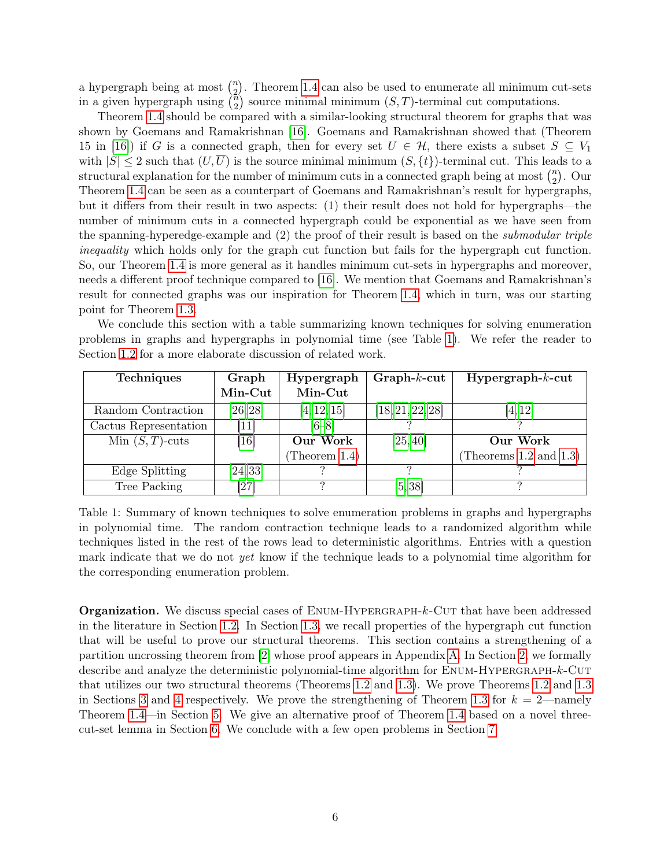a hypergraph being at most  $\binom{n}{2}$  $\binom{n}{2}$ . Theorem [1.4](#page-5-0) can also be used to enumerate all minimum cut-sets in a given hypergraph using  $\binom{5}{2}$  $\binom{n}{2}$  source minimal minimum  $(S, T)$ -terminal cut computations.

Theorem [1.4](#page-5-0) should be compared with a similar-looking structural theorem for graphs that was shown by Goemans and Ramakrishnan [\[16\]](#page-29-7). Goemans and Ramakrishnan showed that (Theorem 15 in [\[16\]](#page-29-7)) if G is a connected graph, then for every set  $U \in \mathcal{H}$ , there exists a subset  $S \subseteq V_1$ with  $|S| \leq 2$  such that  $(U,\overline{U})$  is the source minimal minimum  $(S, \{t\})$ -terminal cut. This leads to a structural explanation for the number of minimum cuts in a connected graph being at most  $\binom{n}{2}$  $_{2}^{n}$ ). Our Theorem [1.4](#page-5-0) can be seen as a counterpart of Goemans and Ramakrishnan's result for hypergraphs, but it differs from their result in two aspects: (1) their result does not hold for hypergraphs—the number of minimum cuts in a connected hypergraph could be exponential as we have seen from the spanning-hyperedge-example and (2) the proof of their result is based on the submodular triple inequality which holds only for the graph cut function but fails for the hypergraph cut function. So, our Theorem [1.4](#page-5-0) is more general as it handles minimum cut-sets in hypergraphs and moreover, needs a different proof technique compared to [\[16\]](#page-29-7). We mention that Goemans and Ramakrishnan's result for connected graphs was our inspiration for Theorem [1.4,](#page-5-0) which in turn, was our starting point for Theorem [1.3.](#page-4-1)

We conclude this section with a table summarizing known techniques for solving enumeration problems in graphs and hypergraphs in polynomial time (see Table [1\)](#page-6-0). We refer the reader to Section [1.2](#page-7-0) for a more elaborate discussion of related work.

<span id="page-6-0"></span>

| <b>Techniques</b>     | Graph    | Hypergraph       | $Graph-k-cut$    | $Hypergraph-k-cut$          |
|-----------------------|----------|------------------|------------------|-----------------------------|
|                       | Min-Cut  | Min-Cut          |                  |                             |
| Random Contraction    | [26, 28] | [4, 12, 15]      | [18, 21, 22, 28] | [4, 12]                     |
| Cactus Representation | $[11]$   | $[6 - 8]$        |                  |                             |
| Min $(S,T)$ -cuts     | $[16]$   | Our Work         | [25, 40]         | Our Work                    |
|                       |          | (Theorem $1.4$ ) |                  | (Theorems $1.2$ and $1.3$ ) |
| Edge Splitting        | [24, 33] |                  |                  |                             |
| Tree Packing          | [27]     |                  | [5, 38]          |                             |

Table 1: Summary of known techniques to solve enumeration problems in graphs and hypergraphs in polynomial time. The random contraction technique leads to a randomized algorithm while techniques listed in the rest of the rows lead to deterministic algorithms. Entries with a question mark indicate that we do not *yet* know if the technique leads to a polynomial time algorithm for the corresponding enumeration problem.

**Organization.** We discuss special cases of ENUM-HYPERGRAPH-k-CUT that have been addressed in the literature in Section [1.2.](#page-7-0) In Section [1.3,](#page-9-0) we recall properties of the hypergraph cut function that will be useful to prove our structural theorems. This section contains a strengthening of a partition uncrossing theorem from [\[2\]](#page-28-0) whose proof appears in Appendix [A.](#page-31-0) In Section [2,](#page-9-1) we formally describe and analyze the deterministic polynomial-time algorithm for ENUM-HYPERGRAPH-k-CUT that utilizes our two structural theorems (Theorems [1.2](#page-4-0) and [1.3\)](#page-4-1). We prove Theorems [1.2](#page-4-0) and [1.3](#page-4-1) in Sections [3](#page-11-0) and [4](#page-13-0) respectively. We prove the strengthening of Theorem [1.3](#page-4-1) for  $k = 2$ —namely Theorem [1.4—](#page-5-0)in Section [5.](#page-18-0) We give an alternative proof of Theorem [1.4](#page-5-0) based on a novel threecut-set lemma in Section [6.](#page-22-0) We conclude with a few open problems in Section [7.](#page-27-0)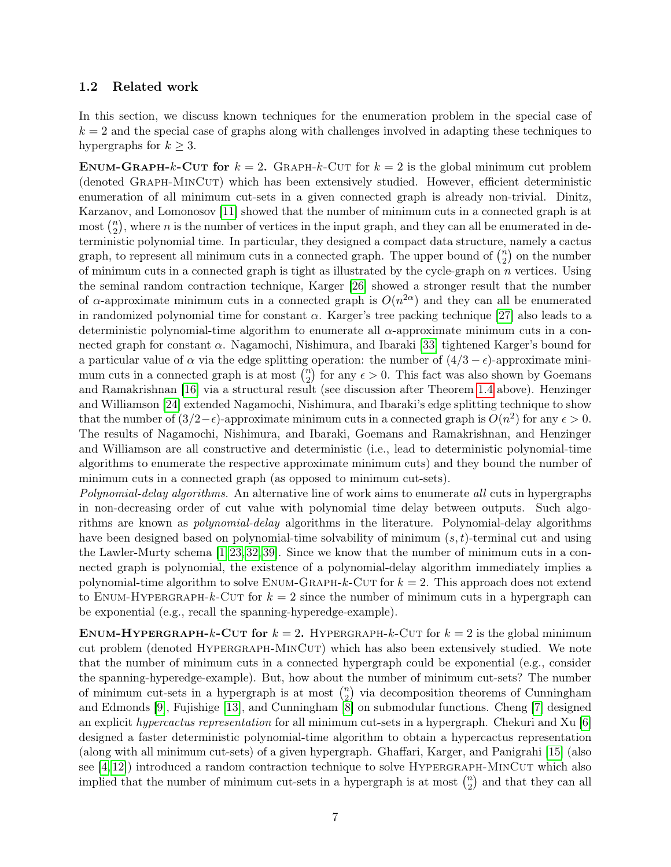#### <span id="page-7-0"></span>1.2 Related work

In this section, we discuss known techniques for the enumeration problem in the special case of  $k = 2$  and the special case of graphs along with challenges involved in adapting these techniques to hypergraphs for  $k \geq 3$ .

ENUM-GRAPH-k-CUT for  $k = 2$ . GRAPH-k-CUT for  $k = 2$  is the global minimum cut problem (denoted Graph-MinCut) which has been extensively studied. However, efficient deterministic enumeration of all minimum cut-sets in a given connected graph is already non-trivial. Dinitz, Karzanov, and Lomonosov [\[11\]](#page-29-5) showed that the number of minimum cuts in a connected graph is at  $\mu$  most  $\binom{n}{2}$  $\binom{n}{2}$ , where *n* is the number of vertices in the input graph, and they can all be enumerated in deterministic polynomial time. In particular, they designed a compact data structure, namely a cactus graph, to represent all minimum cuts in a connected graph. The upper bound of  $\binom{n}{2}$  $n \choose 2$  on the number of minimum cuts in a connected graph is tight as illustrated by the cycle-graph on  $n$  vertices. Using the seminal random contraction technique, Karger [\[26\]](#page-29-8) showed a stronger result that the number of  $\alpha$ -approximate minimum cuts in a connected graph is  $O(n^{2\alpha})$  and they can all be enumerated in randomized polynomial time for constant  $\alpha$ . Karger's tree packing technique [\[27\]](#page-30-8) also leads to a deterministic polynomial-time algorithm to enumerate all  $\alpha$ -approximate minimum cuts in a connected graph for constant  $\alpha$ . Nagamochi, Nishimura, and Ibaraki [\[33\]](#page-30-7) tightened Karger's bound for a particular value of  $\alpha$  via the edge splitting operation: the number of  $(4/3 - \epsilon)$ -approximate minimum cuts in a connected graph is at most  $\binom{n}{2}$  $n_2$  for any  $\epsilon > 0$ . This fact was also shown by Goemans and Ramakrishnan [\[16\]](#page-29-7) via a structural result (see discussion after Theorem [1.4](#page-5-0) above). Henzinger and Williamson [\[24\]](#page-29-10) extended Nagamochi, Nishimura, and Ibaraki's edge splitting technique to show that the number of  $(3/2 - \epsilon)$ -approximate minimum cuts in a connected graph is  $O(n^2)$  for any  $\epsilon > 0$ . The results of Nagamochi, Nishimura, and Ibaraki, Goemans and Ramakrishnan, and Henzinger and Williamson are all constructive and deterministic (i.e., lead to deterministic polynomial-time algorithms to enumerate the respective approximate minimum cuts) and they bound the number of minimum cuts in a connected graph (as opposed to minimum cut-sets).

Polynomial-delay algorithms. An alternative line of work aims to enumerate all cuts in hypergraphs in non-decreasing order of cut value with polynomial time delay between outputs. Such algorithms are known as polynomial-delay algorithms in the literature. Polynomial-delay algorithms have been designed based on polynomial-time solvability of minimum  $(s, t)$ -terminal cut and using the Lawler-Murty schema [\[1,](#page-28-5)[23,](#page-29-11)[32,](#page-30-9)[39\]](#page-30-10). Since we know that the number of minimum cuts in a connected graph is polynomial, the existence of a polynomial-delay algorithm immediately implies a polynomial-time algorithm to solve  $ENUM-GRAPH-k-CUT$  for  $k = 2$ . This approach does not extend to ENUM-HYPERGRAPH-k-CUT for  $k = 2$  since the number of minimum cuts in a hypergraph can be exponential (e.g., recall the spanning-hyperedge-example).

ENUM-HYPERGRAPH-k-CUT for  $k = 2$ . HYPERGRAPH-k-CUT for  $k = 2$  is the global minimum cut problem (denoted HYPERGRAPH-MINCUT) which has also been extensively studied. We note that the number of minimum cuts in a connected hypergraph could be exponential (e.g., consider the spanning-hyperedge-example). But, how about the number of minimum cut-sets? The number of minimum cut-sets in a hypergraph is at most  $\binom{n}{2}$  $n_2$ ) via decomposition theorems of Cunningham and Edmonds [\[9\]](#page-28-6), Fujishige [\[13\]](#page-29-12), and Cunningham [\[8\]](#page-28-3) on submodular functions. Cheng [\[7\]](#page-28-7) designed an explicit *hypercactus representation* for all minimum cut-sets in a hypergraph. Chekuri and Xu [\[6\]](#page-28-2) designed a faster deterministic polynomial-time algorithm to obtain a hypercactus representation (along with all minimum cut-sets) of a given hypergraph. Ghaffari, Karger, and Panigrahi [\[15\]](#page-29-6) (also see  $[4, 12]$  $[4, 12]$ ) introduced a random contraction technique to solve HYPERGRAPH-MINCUT which also implied that the number of minimum cut-sets in a hypergraph is at most  $\binom{n}{2}$  $n_2$ ) and that they can all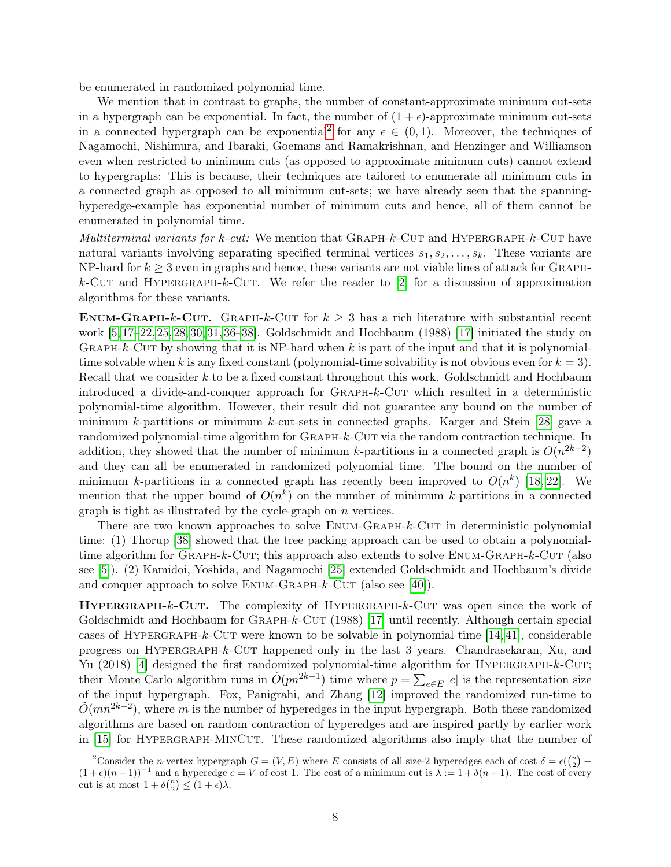be enumerated in randomized polynomial time.

We mention that in contrast to graphs, the number of constant-approximate minimum cut-sets in a hypergraph can be exponential. In fact, the number of  $(1 + \epsilon)$ -approximate minimum cut-sets in a connected hypergraph can be exponential<sup>[2](#page-8-0)</sup> for any  $\epsilon \in (0,1)$ . Moreover, the techniques of Nagamochi, Nishimura, and Ibaraki, Goemans and Ramakrishnan, and Henzinger and Williamson even when restricted to minimum cuts (as opposed to approximate minimum cuts) cannot extend to hypergraphs: This is because, their techniques are tailored to enumerate all minimum cuts in a connected graph as opposed to all minimum cut-sets; we have already seen that the spanninghyperedge-example has exponential number of minimum cuts and hence, all of them cannot be enumerated in polynomial time.

*Multiterminal variants for k-cut:* We mention that  $\text{GRAPH-}k\text{-}\text{CUT}$  and  $\text{HyperGRAPH-}k\text{-}\text{CUT}$  have natural variants involving separating specified terminal vertices  $s_1, s_2, \ldots, s_k$ . These variants are NP-hard for  $k \geq 3$  even in graphs and hence, these variants are not viable lines of attack for GRAPH $k$ -CUT and HYPERGRAPH- $k$ -CUT. We refer the reader to [\[2\]](#page-28-0) for a discussion of approximation algorithms for these variants.

ENUM-GRAPH-k-CUT. GRAPH-k-CUT for  $k \geq 3$  has a rich literature with substantial recent work [\[5,](#page-28-4) [17](#page-29-0)[–22,](#page-29-4) [25,](#page-29-1) [28,](#page-30-0) [30,](#page-30-11) [31,](#page-30-12) [36–](#page-30-13)[38\]](#page-30-1). Goldschmidt and Hochbaum (1988) [\[17\]](#page-29-0) initiated the study on GRAPH- $k$ -CUT by showing that it is NP-hard when k is part of the input and that it is polynomialtime solvable when k is any fixed constant (polynomial-time solvability is not obvious even for  $k = 3$ ). Recall that we consider k to be a fixed constant throughout this work. Goldschmidt and Hochbaum introduced a divide-and-conquer approach for Graph-k-Cut which resulted in a deterministic polynomial-time algorithm. However, their result did not guarantee any bound on the number of minimum k-partitions or minimum k-cut-sets in connected graphs. Karger and Stein [\[28\]](#page-30-0) gave a randomized polynomial-time algorithm for GRAPH-k-CUT via the random contraction technique. In addition, they showed that the number of minimum k-partitions in a connected graph is  $O(n^{2k-2})$ and they can all be enumerated in randomized polynomial time. The bound on the number of minimum k-partitions in a connected graph has recently been improved to  $O(n^k)$  [\[18,](#page-29-3) [22\]](#page-29-4). We mention that the upper bound of  $O(n^k)$  on the number of minimum k-partitions in a connected graph is tight as illustrated by the cycle-graph on n vertices.

There are two known approaches to solve ENUM-GRAPH-k-CUT in deterministic polynomial time: (1) Thorup [\[38\]](#page-30-1) showed that the tree packing approach can be used to obtain a polynomialtime algorithm for GRAPH- $k$ -CUT; this approach also extends to solve ENUM-GRAPH- $k$ -CUT (also see [\[5\]](#page-28-4)). (2) Kamidoi, Yoshida, and Nagamochi [\[25\]](#page-29-1) extended Goldschmidt and Hochbaum's divide and conquer approach to solve  $ENUM-GRAPH-k-CUT$  (also see [\[40\]](#page-30-6)).

HYPERGRAPH-k-CUT. The complexity of HYPERGRAPH-k-CUT was open since the work of Goldschmidt and Hochbaum for GRAPH-k-CUT (1988) [\[17\]](#page-29-0) until recently. Although certain special cases of HYPERGRAPH-k-CUT were known to be solvable in polynomial time  $[14, 41]$  $[14, 41]$ , considerable progress on Hypergraph-k-Cut happened only in the last 3 years. Chandrasekaran, Xu, and Yu (2018) [\[4\]](#page-28-1) designed the first randomized polynomial-time algorithm for HYPERGRAPH- $k$ -CUT; their Monte Carlo algorithm runs in  $\tilde{O}(pn^{2k-1})$  time where  $p = \sum_{e \in E} |e|$  is the representation size of the input hypergraph. Fox, Panigrahi, and Zhang [\[12\]](#page-29-2) improved the randomized run-time to  $\tilde{O}(mn^{2k-2})$ , where m is the number of hyperedges in the input hypergraph. Both these randomized algorithms are based on random contraction of hyperedges and are inspired partly by earlier work in [\[15\]](#page-29-6) for HYPERGRAPH-MINCUT. These randomized algorithms also imply that the number of

<span id="page-8-0"></span><sup>&</sup>lt;sup>2</sup>Consider the *n*-vertex hypergraph  $G = (V, E)$  where E consists of all size-2 hyperedges each of cost  $\delta = \epsilon \left(\binom{n}{2} - \frac{1}{2}\right)$  $(1+\epsilon)(n-1)^{-1}$  and a hyperedge  $e = V$  of cost 1. The cost of a minimum cut is  $\lambda := 1 + \delta(n-1)$ . The cost of every cut is at most  $1 + \delta{n \choose 2} \leq (1 + \epsilon)\lambda$ .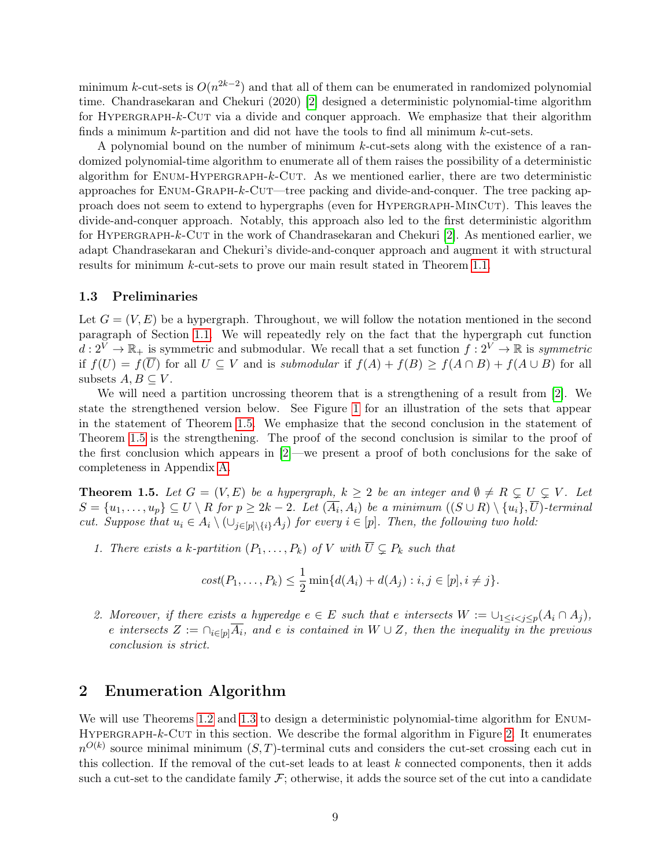minimum k-cut-sets is  $O(n^{2k-2})$  and that all of them can be enumerated in randomized polynomial time. Chandrasekaran and Chekuri (2020) [\[2\]](#page-28-0) designed a deterministic polynomial-time algorithm for HYPERGRAPH-k-CUT via a divide and conquer approach. We emphasize that their algorithm finds a minimum  $k$ -partition and did not have the tools to find all minimum  $k$ -cut-sets.

A polynomial bound on the number of minimum k-cut-sets along with the existence of a randomized polynomial-time algorithm to enumerate all of them raises the possibility of a deterministic algorithm for ENUM-HYPERGRAPH-k-CUT. As we mentioned earlier, there are two deterministic approaches for  $ENUM-GRAPH-k-CUT$  tree packing and divide-and-conquer. The tree packing approach does not seem to extend to hypergraphs (even for Hypergraph-MinCut). This leaves the divide-and-conquer approach. Notably, this approach also led to the first deterministic algorithm for Hypergraph-k-Cut in the work of Chandrasekaran and Chekuri [\[2\]](#page-28-0). As mentioned earlier, we adapt Chandrasekaran and Chekuri's divide-and-conquer approach and augment it with structural results for minimum k-cut-sets to prove our main result stated in Theorem [1.1.](#page-2-0)

#### <span id="page-9-0"></span>1.3 Preliminaries

Let  $G = (V, E)$  be a hypergraph. Throughout, we will follow the notation mentioned in the second paragraph of Section [1.1.](#page-3-0) We will repeatedly rely on the fact that the hypergraph cut function  $d: 2^V \to \mathbb{R}_+$  is symmetric and submodular. We recall that a set function  $f: 2^V \to \mathbb{R}$  is symmetric if  $f(U) = f(\overline{U})$  for all  $U \subseteq V$  and is submodular if  $f(A) + f(B) \ge f(A \cap B) + f(A \cup B)$  for all subsets  $A, B \subseteq V$ .

We will need a partition uncrossing theorem that is a strengthening of a result from [\[2\]](#page-28-0). We state the strengthened version below. See Figure [1](#page-10-0) for an illustration of the sets that appear in the statement of Theorem [1.5.](#page-9-2) We emphasize that the second conclusion in the statement of Theorem [1.5](#page-9-2) is the strengthening. The proof of the second conclusion is similar to the proof of the first conclusion which appears in [\[2\]](#page-28-0)—we present a proof of both conclusions for the sake of completeness in Appendix [A.](#page-31-0)

<span id="page-9-2"></span>**Theorem 1.5.** Let  $G = (V, E)$  be a hypergraph,  $k \geq 2$  be an integer and  $\emptyset \neq R \subsetneq U \subsetneq V$ . Let  $S = \{u_1, \ldots, u_p\} \subseteq U \setminus R$  for  $p \geq 2k-2$ . Let  $(\overline{A_i}, A_i)$  be a minimum  $((S \cup R) \setminus \{u_i\}, \overline{U})$ -terminal cut. Suppose that  $u_i \in A_i \setminus (\cup_{j\in [p]\setminus\{i\}} A_j)$  for every  $i \in [p]$ . Then, the following two hold:

1. There exists a k-partition  $(P_1, \ldots, P_k)$  of V with  $\overline{U} \subsetneq P_k$  such that

$$
cost(P_1, ..., P_k) \leq \frac{1}{2} \min \{ d(A_i) + d(A_j) : i, j \in [p], i \neq j \}.
$$

2. Moreover, if there exists a hyperedge  $e \in E$  such that e intersects  $W := \bigcup_{1 \leq i < j \leq p} (A_i \cap A_j)$ , e intersects  $Z := \bigcap_{i \in [p]} \overline{A_i}$ , and e is contained in  $W \cup Z$ , then the inequality in the previous conclusion is strict.

## <span id="page-9-1"></span>2 Enumeration Algorithm

We will use Theorems [1.2](#page-4-0) and [1.3](#page-4-1) to design a deterministic polynomial-time algorithm for ENUM-HYPERGRAPH- $k$ -CUT in this section. We describe the formal algorithm in Figure [2.](#page-10-1) It enumerates  $n^{O(k)}$  source minimal minimum  $(S, T)$ -terminal cuts and considers the cut-set crossing each cut in this collection. If the removal of the cut-set leads to at least  $k$  connected components, then it adds such a cut-set to the candidate family  $\mathcal{F}$ ; otherwise, it adds the source set of the cut into a candidate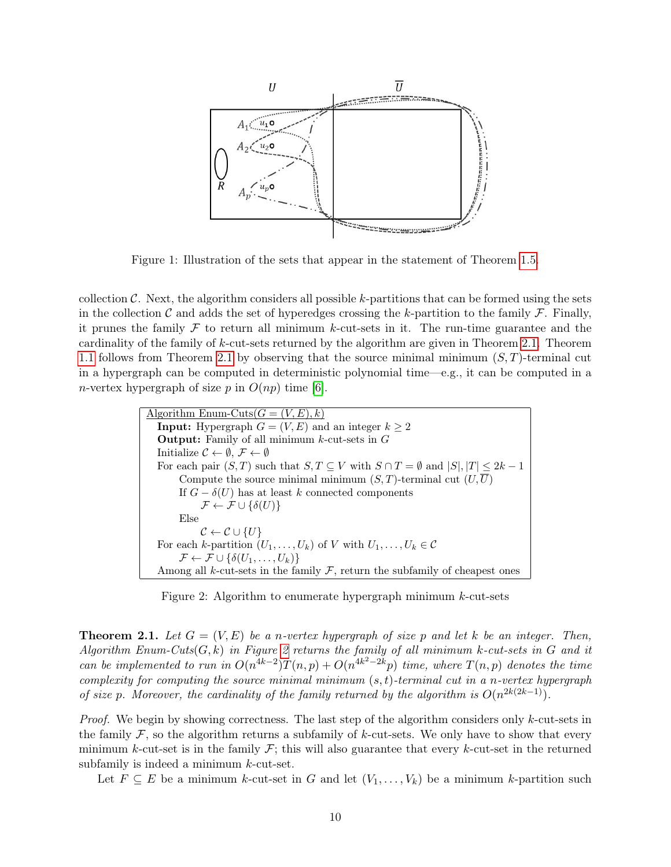<span id="page-10-0"></span>

Figure 1: Illustration of the sets that appear in the statement of Theorem [1.5.](#page-9-2)

collection  $\mathcal{C}$ . Next, the algorithm considers all possible k-partitions that can be formed using the sets in the collection C and adds the set of hyperedges crossing the k-partition to the family  $\mathcal F$ . Finally, it prunes the family  $\mathcal F$  to return all minimum k-cut-sets in it. The run-time guarantee and the cardinality of the family of k-cut-sets returned by the algorithm are given in Theorem [2.1.](#page-10-2) Theorem [1.1](#page-2-0) follows from Theorem [2.1](#page-10-2) by observing that the source minimal minimum  $(S, T)$ -terminal cut in a hypergraph can be computed in deterministic polynomial time—e.g., it can be computed in a *n*-vertex hypergraph of size p in  $O(np)$  time [\[6\]](#page-28-2).

```
Algorithm Enum-Cuts(G = (V, E), k)Input: Hypergraph G = (V, E) and an integer k \geq 2Output: Family of all minimum k-cut-sets in G
Initialize \mathcal{C} \leftarrow \emptyset, \mathcal{F} \leftarrow \emptysetFor each pair (S, T) such that S, T \subseteq V with S \cap T = \emptyset and |S|, |T| \leq 2k - 1Compute the source minimal minimum (S, T)-terminal cut (U, \overline{U})If G - \delta(U) has at least k connected components
             \mathcal{F} \leftarrow \mathcal{F} \cup \{\delta(U)\}\Else
             \mathcal{C} \leftarrow \mathcal{C} \cup \{U\}For each k-partition (U_1, \ldots, U_k) of V with U_1, \ldots, U_k \in \mathcal{C}\mathcal{F} \leftarrow \mathcal{F} \cup \{\delta(U_1,\ldots,U_k)\}\Among all k-cut-sets in the family \mathcal F, return the subfamily of cheapest ones
```
Figure 2: Algorithm to enumerate hypergraph minimum k-cut-sets

<span id="page-10-2"></span>**Theorem 2.1.** Let  $G = (V, E)$  be a n-vertex hypergraph of size p and let k be an integer. Then, Algorithm Enum-Cuts $(G, k)$  in Figure [2](#page-10-1) returns the family of all minimum k-cut-sets in G and it can be implemented to run in  $O(n^{4k-2})T(n,p) + O(n^{4k^2-2k}p)$  time, where  $T(n,p)$  denotes the time complexity for computing the source minimal minimum  $(s, t)$ -terminal cut in a n-vertex hypergraph of size p. Moreover, the cardinality of the family returned by the algorithm is  $O(n^{2k(2k-1)})$ .

*Proof.* We begin by showing correctness. The last step of the algorithm considers only  $k$ -cut-sets in the family  $\mathcal F$ , so the algorithm returns a subfamily of k-cut-sets. We only have to show that every minimum k-cut-set is in the family  $\mathcal{F}$ ; this will also guarantee that every k-cut-set in the returned subfamily is indeed a minimum k-cut-set.

Let  $F \subseteq E$  be a minimum k-cut-set in G and let  $(V_1, \ldots, V_k)$  be a minimum k-partition such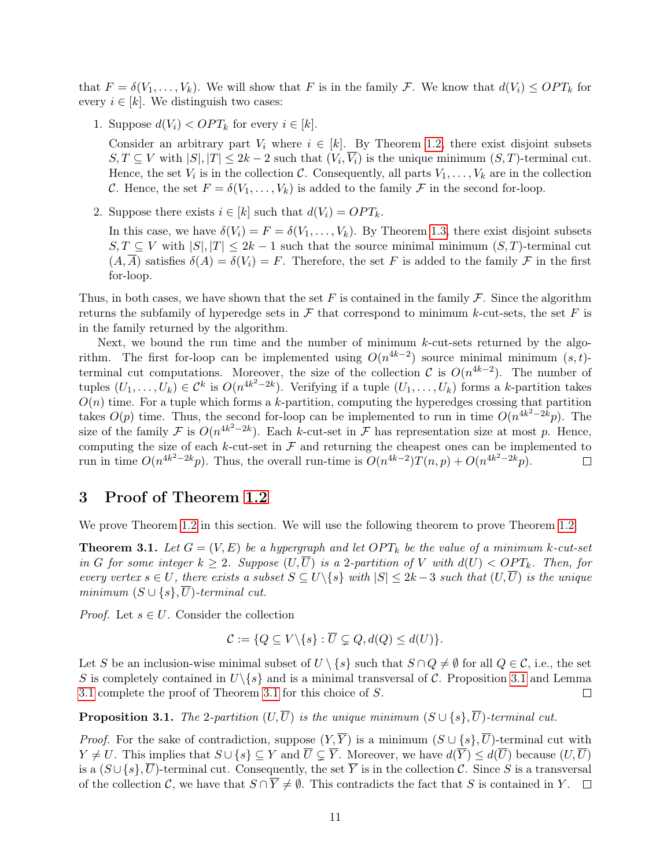that  $F = \delta(V_1, \ldots, V_k)$ . We will show that F is in the family F. We know that  $d(V_i) \leq OPT_k$  for every  $i \in [k]$ . We distinguish two cases:

1. Suppose  $d(V_i) < OPT_k$  for every  $i \in [k]$ .

Consider an arbitrary part  $V_i$  where  $i \in [k]$ . By Theorem [1.2,](#page-4-0) there exist disjoint subsets  $S, T \subseteq V$  with  $|S|, |T| \leq 2k - 2$  such that  $(V_i, V_i)$  is the unique minimum  $(S, T)$ -terminal cut. Hence, the set  $V_i$  is in the collection C. Consequently, all parts  $V_1, \ldots, V_k$  are in the collection C. Hence, the set  $F = \delta(V_1, \ldots, V_k)$  is added to the family F in the second for-loop.

2. Suppose there exists  $i \in [k]$  such that  $d(V_i) = OPT_k$ .

In this case, we have  $\delta(V_i) = F = \delta(V_1, \ldots, V_k)$ . By Theorem [1.3,](#page-4-1) there exist disjoint subsets  $S, T \subseteq V$  with  $|S|, |T| \leq 2k - 1$  such that the source minimal minimum  $(S, T)$ -terminal cut  $(A,\overline{A})$  satisfies  $\delta(A)=\delta(V_i)=F$ . Therefore, the set F is added to the family F in the first for-loop.

Thus, in both cases, we have shown that the set F is contained in the family  $\mathcal F$ . Since the algorithm returns the subfamily of hyperedge sets in  $\mathcal F$  that correspond to minimum k-cut-sets, the set F is in the family returned by the algorithm.

Next, we bound the run time and the number of minimum  $k$ -cut-sets returned by the algorithm. The first for-loop can be implemented using  $O(n^{4k-2})$  source minimal minimum  $(s,t)$ terminal cut computations. Moreover, the size of the collection C is  $O(n^{4k-2})$ . The number of tuples  $(U_1,\ldots,U_k) \in \mathcal{C}^k$  is  $O(n^{4k^2-2k})$ . Verifying if a tuple  $(U_1,\ldots,U_k)$  forms a k-partition takes  $O(n)$  time. For a tuple which forms a k-partition, computing the hyperedges crossing that partition takes  $O(p)$  time. Thus, the second for-loop can be implemented to run in time  $O(n^{4k^2-2k}p)$ . The size of the family F is  $O(n^{4k^2-2k})$ . Each k-cut-set in F has representation size at most p. Hence, computing the size of each  $k$ -cut-set in  $\mathcal F$  and returning the cheapest ones can be implemented to run in time  $O(n^{4k^2-2k}p)$ . Thus, the overall run-time is  $O(n^{4k-2})T(n,p) + O(n^{4k^2-2k}p)$ .  $\Box$ 

### <span id="page-11-0"></span>3 Proof of Theorem [1.2](#page-4-0)

We prove Theorem [1.2](#page-4-0) in this section. We will use the following theorem to prove Theorem [1.2.](#page-4-0)

<span id="page-11-2"></span>**Theorem 3.1.** Let  $G = (V, E)$  be a hypergraph and let  $OPT_k$  be the value of a minimum k-cut-set in G for some integer  $k \geq 2$ . Suppose  $(U,\overline{U})$  is a 2-partition of V with  $d(U) < OPT_k$ . Then, for every vertex  $s \in U$ , there exists a subset  $S \subseteq U \backslash \{s\}$  with  $|S| \leq 2k-3$  such that  $(U,\overline{U})$  is the unique minimum  $(S \cup \{s\}, \overline{U})$ -terminal cut.

*Proof.* Let  $s \in U$ . Consider the collection

$$
\mathcal{C} := \{ Q \subseteq V \setminus \{s\} : \overline{U} \subsetneq Q, d(Q) \leq d(U) \}.
$$

Let S be an inclusion-wise minimal subset of  $U \setminus \{s\}$  such that  $S \cap Q \neq \emptyset$  for all  $Q \in \mathcal{C}$ , i.e., the set S is completely contained in  $U\backslash\{s\}$  and is a minimal transversal of C. Proposition [3.1](#page-11-1) and Lemma [3.1](#page-12-0) complete the proof of Theorem [3.1](#page-11-2) for this choice of S.  $\Box$ 

<span id="page-11-1"></span>**Proposition 3.1.** The 2-partition  $(U,\overline{U})$  is the unique minimum  $(S \cup \{s\}, \overline{U})$ -terminal cut.

*Proof.* For the sake of contradiction, suppose  $(Y, \overline{Y})$  is a minimum  $(S \cup \{s\}, \overline{U})$ -terminal cut with  $Y \neq U$ . This implies that  $S \cup \{s\} \subseteq Y$  and  $\overline{U} \subseteq \overline{Y}$ . Moreover, we have  $d(\overline{Y}) \leq d(\overline{U})$  because  $(U,\overline{U})$ is a  $(S \cup \{s\}, \overline{U})$ -terminal cut. Consequently, the set  $\overline{Y}$  is in the collection C. Since S is a transversal of the collection C, we have that  $S \cap \overline{Y} \neq \emptyset$ . This contradicts the fact that S is contained in Y.  $\Box$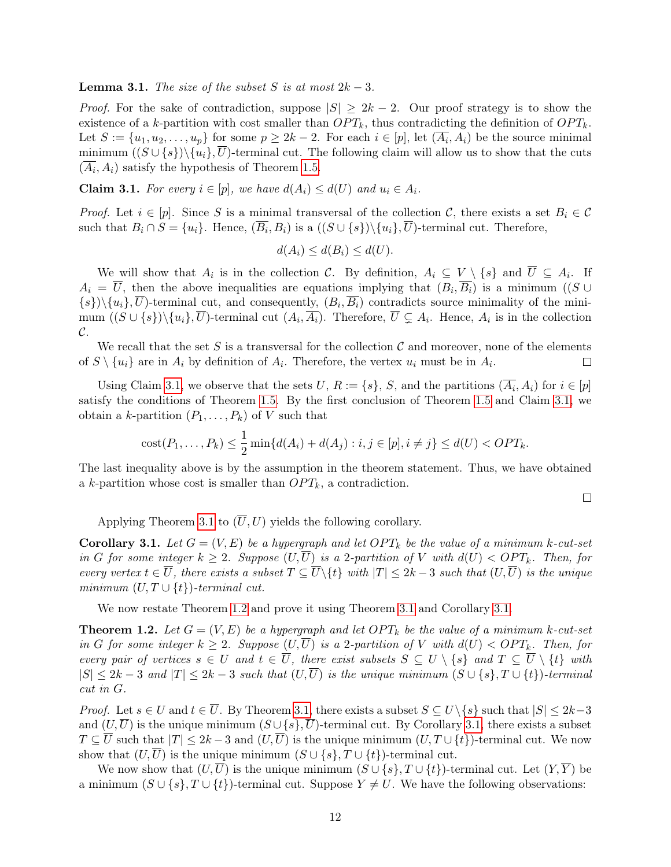#### <span id="page-12-0"></span>**Lemma 3.1.** The size of the subset S is at most  $2k - 3$ .

*Proof.* For the sake of contradiction, suppose  $|S| \geq 2k - 2$ . Our proof strategy is to show the existence of a k-partition with cost smaller than  $OPT_k$ , thus contradicting the definition of  $OPT_k$ . Let  $S := \{u_1, u_2, \ldots, u_p\}$  for some  $p \geq 2k - 2$ . For each  $i \in [p]$ , let  $(\overline{A_i}, A_i)$  be the source minimal minimum  $((S \cup \{s\})\setminus \{u_i\}, U)$ -terminal cut. The following claim will allow us to show that the cuts  $(A_i, A_i)$  satisfy the hypothesis of Theorem [1.5.](#page-9-2)

<span id="page-12-1"></span>**Claim 3.1.** For every  $i \in [p]$ , we have  $d(A_i) \leq d(U)$  and  $u_i \in A_i$ .

*Proof.* Let  $i \in [p]$ . Since S is a minimal transversal of the collection C, there exists a set  $B_i \in \mathcal{C}$ such that  $B_i \cap S = \{u_i\}$ . Hence,  $(\overline{B_i}, B_i)$  is a  $((S \cup \{s\})\setminus \{u_i\}, \overline{U})$ -terminal cut. Therefore,

$$
d(A_i) \leq d(B_i) \leq d(U).
$$

We will show that  $A_i$  is in the collection C. By definition,  $A_i \subseteq V \setminus \{s\}$  and  $\overline{U} \subseteq A_i$ . If  $A_i = \overline{U}$ , then the above inequalities are equations implying that  $(B_i, \overline{B_i})$  is a minimum ((S ∪  $\{s\}\right)\setminus\{u_i\},\overline{U}\right)$ -terminal cut, and consequently,  $(B_i, \overline{B_i})$  contradicts source minimality of the minimum  $((S \cup \{s\})\setminus\{u_i\},\overline{U})$ -terminal cut  $(A_i,\overline{A_i})$ . Therefore,  $\overline{U} \subsetneq A_i$ . Hence,  $A_i$  is in the collection C.

We recall that the set S is a transversal for the collection C and moreover, none of the elements of  $S \setminus \{u_i\}$  are in  $A_i$  by definition of  $A_i$ . Therefore, the vertex  $u_i$  must be in  $A_i$ .  $\Box$ 

Using Claim [3.1,](#page-12-1) we observe that the sets U,  $R := \{s\}$ , S, and the partitions  $(\overline{A_i}, A_i)$  for  $i \in [p]$ satisfy the conditions of Theorem [1.5.](#page-9-2) By the first conclusion of Theorem [1.5](#page-9-2) and Claim [3.1,](#page-12-1) we obtain a k-partition  $(P_1, \ldots, P_k)$  of V such that

cost
$$
(P_1, ..., P_k) \leq \frac{1}{2} \min\{d(A_i) + d(A_j) : i, j \in [p], i \neq j\} \leq d(U) < OPT_k.
$$

The last inequality above is by the assumption in the theorem statement. Thus, we have obtained a k-partition whose cost is smaller than  $OPT_k$ , a contradiction.

 $\Box$ 

Applying Theorem [3.1](#page-11-2) to  $(\overline{U}, U)$  yields the following corollary.

<span id="page-12-2"></span>**Corollary 3.1.** Let  $G = (V, E)$  be a hypergraph and let  $OPT_k$  be the value of a minimum k-cut-set in G for some integer  $k \geq 2$ . Suppose  $(U,\overline{U})$  is a 2-partition of V with  $d(U) < OPT_k$ . Then, for every vertex  $t \in \overline{U}$ , there exists a subset  $T \subseteq \overline{U} \backslash \{t\}$  with  $|T| \leq 2k-3$  such that  $(U,\overline{U})$  is the unique minimum  $(U, T \cup \{t\})$ -terminal cut.

We now restate Theorem [1.2](#page-4-0) and prove it using Theorem [3.1](#page-11-2) and Corollary [3.1.](#page-12-2)

**Theorem 1.2.** Let  $G = (V, E)$  be a hypergraph and let  $OPT_k$  be the value of a minimum k-cut-set in G for some integer  $k \geq 2$ . Suppose  $(U,\overline{U})$  is a 2-partition of V with  $d(U) < OPT_k$ . Then, for every pair of vertices  $s \in U$  and  $t \in \overline{U}$ , there exist subsets  $S \subseteq U \setminus \{s\}$  and  $T \subseteq \overline{U} \setminus \{t\}$  with  $|S| \leq 2k-3$  and  $|T| \leq 2k-3$  such that  $(U,\overline{U})$  is the unique minimum  $(S \cup \{s\}, T \cup \{t\})$ -terminal cut in G.

*Proof.* Let  $s \in U$  and  $t \in \overline{U}$ . By Theorem [3.1,](#page-11-2) there exists a subset  $S \subseteq U\backslash\{s\}$  such that  $|S| \leq 2k-3$ and  $(U,\overline{U})$  is the unique minimum  $(S \cup \{s\}, \overline{U})$ -terminal cut. By Corollary [3.1,](#page-12-2) there exists a subset  $T \subseteq \overline{U}$  such that  $|T| \leq 2k-3$  and  $(U,\overline{U})$  is the unique minimum  $(U,T \cup \{t\})$ -terminal cut. We now show that  $(U,\overline{U})$  is the unique minimum  $(S \cup \{s\}, T \cup \{t\})$ -terminal cut.

We now show that  $(U,\overline{U})$  is the unique minimum  $(S \cup \{s\}, T \cup \{t\})$ -terminal cut. Let  $(Y,\overline{Y})$  be a minimum  $(S \cup \{s\}, T \cup \{t\})$ -terminal cut. Suppose  $Y \neq U$ . We have the following observations: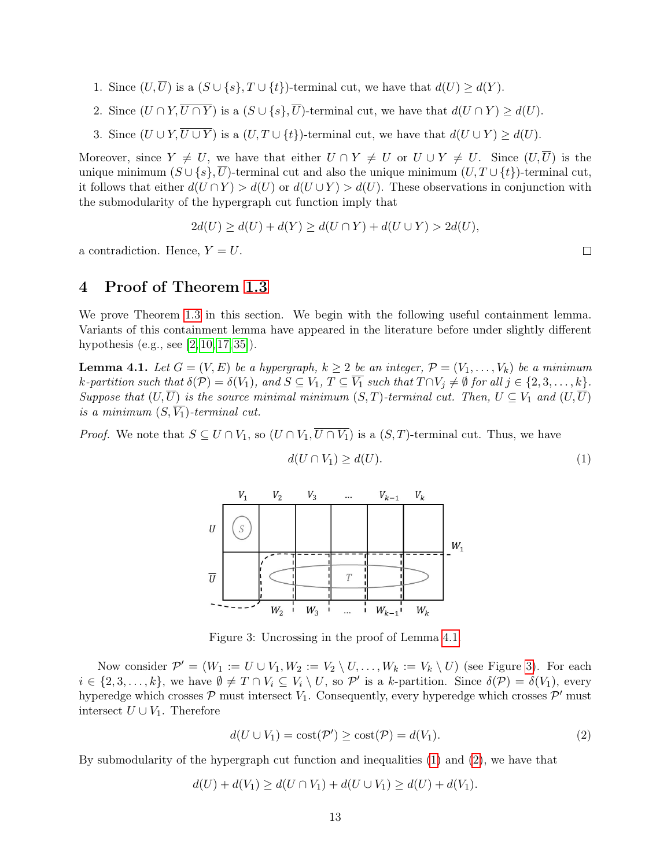- 1. Since  $(U,\overline{U})$  is a  $(S \cup \{s\}, T \cup \{t\})$ -terminal cut, we have that  $d(U) \geq d(Y)$ .
- 2. Since  $(U \cap Y, \overline{U \cap Y})$  is a  $(S \cup \{s\}, \overline{U})$ -terminal cut, we have that  $d(U \cap Y) \geq d(U)$ .
- 3. Since  $(U \cup Y, \overline{U \cup Y})$  is a  $(U, T \cup \{t\})$ -terminal cut, we have that  $d(U \cup Y) \geq d(U)$ .

Moreover, since  $Y \neq U$ , we have that either  $U \cap Y \neq U$  or  $U \cup Y \neq U$ . Since  $(U, \overline{U})$  is the unique minimum  $(S \cup \{s\}, \overline{U})$ -terminal cut and also the unique minimum  $(U, T \cup \{t\})$ -terminal cut, it follows that either  $d(U \cap Y) > d(U)$  or  $d(U \cup Y) > d(U)$ . These observations in conjunction with the submodularity of the hypergraph cut function imply that

$$
2d(U) \ge d(U) + d(Y) \ge d(U \cap Y) + d(U \cup Y) > 2d(U),
$$

a contradiction. Hence,  $Y = U$ .

## <span id="page-13-0"></span>4 Proof of Theorem [1.3](#page-4-1)

We prove Theorem [1.3](#page-4-1) in this section. We begin with the following useful containment lemma. Variants of this containment lemma have appeared in the literature before under slightly different hypothesis (e.g., see [\[2,](#page-28-0) [10,](#page-28-8) [17,](#page-29-0) [35\]](#page-30-3)).

<span id="page-13-1"></span>**Lemma 4.1.** Let  $G = (V, E)$  be a hypergraph,  $k \geq 2$  be an integer,  $\mathcal{P} = (V_1, \ldots, V_k)$  be a minimum k-partition such that  $\delta(\mathcal{P}) = \delta(V_1)$ , and  $S \subseteq V_1$ ,  $T \subseteq \overline{V_1}$  such that  $T \cap V_j \neq \emptyset$  for all  $j \in \{2, 3, ..., k\}$ . Suppose that  $(U,\overline{U})$  is the source minimal minimum  $(S,T)$ -terminal cut. Then,  $U \subseteq V_1$  and  $(U,\overline{U})$ is a minimum  $(S, \overline{V_1})$ -terminal cut.

<span id="page-13-2"></span>*Proof.* We note that  $S \subseteq U \cap V_1$ , so  $(U \cap V_1, \overline{U \cap V_1})$  is a  $(S, T)$ -terminal cut. Thus, we have



$$
d(U \cap V_1) \ge d(U). \tag{1}
$$

Figure 3: Uncrossing in the proof of Lemma [4.1.](#page-13-1)

Now consider  $\mathcal{P}' = (W_1 := U \cup V_1, W_2 := V_2 \setminus U, \ldots, W_k := V_k \setminus U)$  (see Figure [3\)](#page-13-2). For each  $i \in \{2, 3, \ldots, k\}$ , we have  $\emptyset \neq T \cap V_i \subseteq V_i \setminus U$ , so  $\mathcal{P}'$  is a k-partition. Since  $\delta(\mathcal{P}) = \delta(V_1)$ , every hyperedge which crosses  $P$  must intersect  $V_1$ . Consequently, every hyperedge which crosses  $P'$  must intersect  $U \cup V_1$ . Therefore

<span id="page-13-4"></span>
$$
d(U \cup V_1) = \text{cost}(\mathcal{P}') \ge \text{cost}(\mathcal{P}) = d(V_1). \tag{2}
$$

By submodularity of the hypergraph cut function and inequalities [\(1\)](#page-13-3) and [\(2\)](#page-13-4), we have that

 $d(U) + d(V_1) \geq d(U \cap V_1) + d(U \cup V_1) \geq d(U) + d(V_1).$ 

<span id="page-13-3"></span>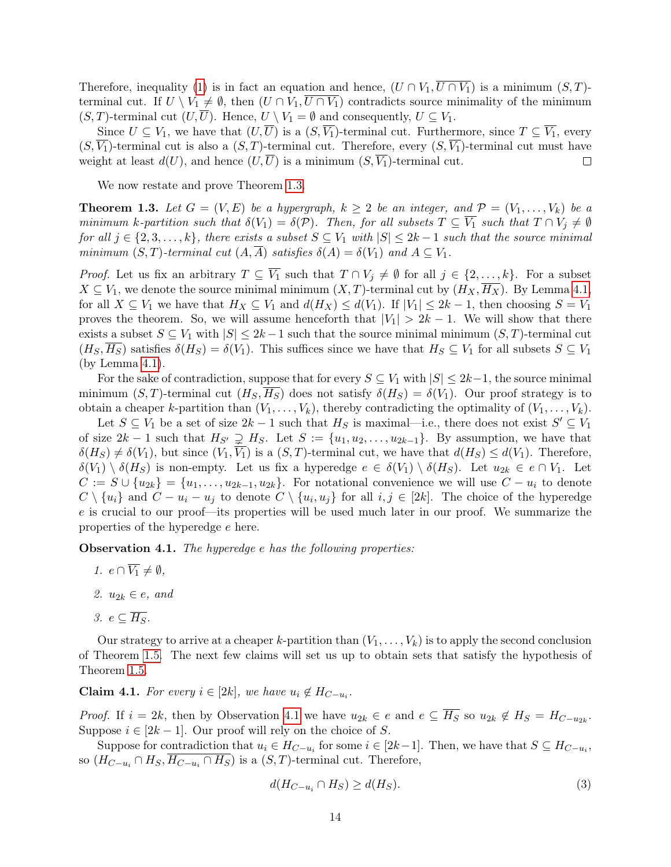Therefore, inequality [\(1\)](#page-13-3) is in fact an equation and hence,  $(U \cap V_1, \overline{U \cap V_1})$  is a minimum  $(S, T)$ terminal cut. If  $U \setminus V_1 \neq \emptyset$ , then  $(U \cap V_1, \overline{U \cap V_1})$  contradicts source minimality of the minimum  $(S, T)$ -terminal cut  $(U, U)$ . Hence,  $U \setminus V_1 = \emptyset$  and consequently,  $U \subseteq V_1$ .

Since  $U \subseteq V_1$ , we have that  $(U,\overline{U})$  is a  $(S,\overline{V_1})$ -terminal cut. Furthermore, since  $T \subseteq \overline{V_1}$ , every  $(S, \overline{V_1})$ -terminal cut is also a  $(S, T)$ -terminal cut. Therefore, every  $(S, \overline{V_1})$ -terminal cut must have weight at least  $d(U)$ , and hence  $(U,\overline{U})$  is a minimum  $(S,\overline{V_1})$ -terminal cut.  $\Box$ 

We now restate and prove Theorem [1.3.](#page-4-1)

**Theorem 1.3.** Let  $G = (V, E)$  be a hypergraph,  $k \geq 2$  be an integer, and  $\mathcal{P} = (V_1, \ldots, V_k)$  be a minimum k-partition such that  $\delta(V_1) = \delta(\mathcal{P})$ . Then, for all subsets  $T \subseteq \overline{V_1}$  such that  $T \cap V_j \neq \emptyset$ for all  $j \in \{2, 3, \ldots, k\}$ , there exists a subset  $S \subseteq V_1$  with  $|S| \leq 2k-1$  such that the source minimal minimum  $(S, T)$ -terminal cut  $(A, \overline{A})$  satisfies  $\delta(A) = \delta(V_1)$  and  $A \subseteq V_1$ .

*Proof.* Let us fix an arbitrary  $T \subseteq \overline{V_1}$  such that  $T \cap V_j \neq \emptyset$  for all  $j \in \{2, ..., k\}$ . For a subset  $X \subseteq V_1$ , we denote the source minimal minimum  $(X, T)$ -terminal cut by  $(H_X, \overline{H_X})$ . By Lemma [4.1,](#page-13-1) for all  $X \subseteq V_1$  we have that  $H_X \subseteq V_1$  and  $d(H_X) \leq d(V_1)$ . If  $|V_1| \leq 2k-1$ , then choosing  $S = V_1$ proves the theorem. So, we will assume henceforth that  $|V_1| > 2k - 1$ . We will show that there exists a subset  $S \subseteq V_1$  with  $|S| \leq 2k-1$  such that the source minimal minimum  $(S, T)$ -terminal cut  $(H_S, H_S)$  satisfies  $\delta(H_S) = \delta(V_1)$ . This suffices since we have that  $H_S \subseteq V_1$  for all subsets  $S \subseteq V_1$ (by Lemma [4.1\)](#page-13-1).

For the sake of contradiction, suppose that for every  $S \subseteq V_1$  with  $|S| \leq 2k-1$ , the source minimal minimum  $(S, T)$ -terminal cut  $(H_S, H_S)$  does not satisfy  $\delta(H_S) = \delta(V_1)$ . Our proof strategy is to obtain a cheaper k-partition than  $(V_1, \ldots, V_k)$ , thereby contradicting the optimality of  $(V_1, \ldots, V_k)$ .

Let  $S \subseteq V_1$  be a set of size  $2k-1$  such that  $H_S$  is maximal—i.e., there does not exist  $S' \subseteq V_1$ of size  $2k-1$  such that  $H_{S'} \supsetneq H_S$ . Let  $S := \{u_1, u_2, \ldots, u_{2k-1}\}$ . By assumption, we have that  $\delta(H_S) \neq \delta(V_1)$ , but since  $(V_1, \overline{V_1})$  is a  $(S, T)$ -terminal cut, we have that  $d(H_S) \leq d(V_1)$ . Therefore,  $\delta(V_1) \setminus \delta(H_S)$  is non-empty. Let us fix a hyperedge  $e \in \delta(V_1) \setminus \delta(H_S)$ . Let  $u_{2k} \in e \cap V_1$ . Let  $C := S \cup \{u_{2k}\} = \{u_1, \ldots, u_{2k-1}, u_{2k}\}.$  For notational convenience we will use  $C - u_i$  to denote  $C \setminus \{u_i\}$  and  $C - u_i - u_j$  to denote  $C \setminus \{u_i, u_j\}$  for all  $i, j \in [2k]$ . The choice of the hyperedge e is crucial to our proof—its properties will be used much later in our proof. We summarize the properties of the hyperedge e here.

<span id="page-14-0"></span>Observation 4.1. The hyperedge e has the following properties:

- 1.  $e \cap \overline{V_1} \neq \emptyset$ ,
- 2.  $u_{2k} \in e$ , and
- 3.  $e \subset \overline{H_S}$ .

Our strategy to arrive at a cheaper k-partition than  $(V_1, \ldots, V_k)$  is to apply the second conclusion of Theorem [1.5.](#page-9-2) The next few claims will set us up to obtain sets that satisfy the hypothesis of Theorem [1.5.](#page-9-2)

<span id="page-14-2"></span>**Claim 4.1.** For every  $i \in [2k]$ , we have  $u_i \notin H_{C-u_i}$ .

*Proof.* If  $i = 2k$ , then by Observation [4.1](#page-14-0) we have  $u_{2k} \in e$  and  $e \subseteq \overline{H_S}$  so  $u_{2k} \notin H_S = H_{C-u_{2k}}$ . Suppose  $i \in [2k-1]$ . Our proof will rely on the choice of S.

Suppose for contradiction that  $u_i \in H_{C-u_i}$  for some  $i \in [2k-1]$ . Then, we have that  $S \subseteq H_{C-u_i}$ , so  $(H_{C-u_i} \cap H_S, H_{C-u_i} \cap H_S)$  is a  $(S, T)$ -terminal cut. Therefore,

<span id="page-14-1"></span>
$$
d(H_{C-u_i} \cap H_S) \ge d(H_S). \tag{3}
$$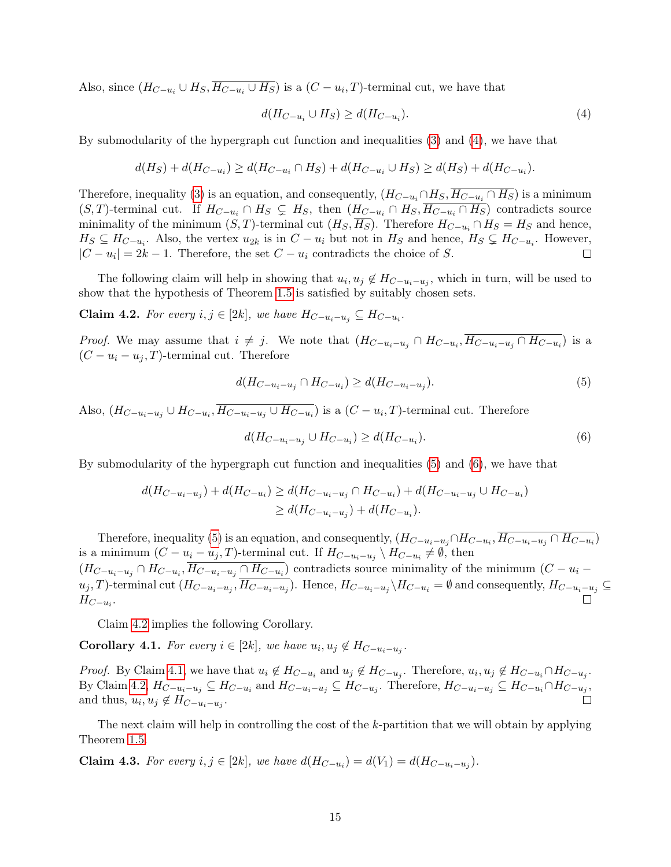Also, since  $(H_{C-u_i} \cup H_S, H_{C-u_i} \cup H_S)$  is a  $(C - u_i, T)$ -terminal cut, we have that

<span id="page-15-0"></span>
$$
d(H_{C-u_i} \cup H_S) \ge d(H_{C-u_i}).\tag{4}
$$

By submodularity of the hypergraph cut function and inequalities [\(3\)](#page-14-1) and [\(4\)](#page-15-0), we have that

$$
d(H_S) + d(H_{C-u_i}) \ge d(H_{C-u_i} \cap H_S) + d(H_{C-u_i} \cup H_S) \ge d(H_S) + d(H_{C-u_i}).
$$

Therefore, inequality [\(3\)](#page-14-1) is an equation, and consequently,  $(H_{C-u_i} \cap H_S, \overline{H_{C-u_i} \cap H_S})$  is a minimum  $(S, T)$ -terminal cut. If  $H_{C-u_i} \cap H_S \subsetneq H_S$ , then  $(H_{C-u_i} \cap H_S, \overline{H_{C-u_i} \cap H_S})$  contradicts source minimality of the minimum  $(S, T)$ -terminal cut  $(H_S, \overline{H_S})$ . Therefore  $H_{C-u_i} \cap H_S = H_S$  and hence,  $H_S \subseteq H_{C-u_i}$ . Also, the vertex  $u_{2k}$  is in  $C - u_i$  but not in  $H_S$  and hence,  $H_S \subsetneq H_{C-u_i}$ . However,  $|C - u_i| = 2k - 1$ . Therefore, the set  $C - u_i$  contradicts the choice of S.  $\Box$ 

The following claim will help in showing that  $u_i, u_j \notin H_{C-u_i-u_j}$ , which in turn, will be used to show that the hypothesis of Theorem [1.5](#page-9-2) is satisfied by suitably chosen sets.

<span id="page-15-3"></span>**Claim 4.2.** For every  $i, j \in [2k]$ , we have  $H_{C-u_i-u_j} \subseteq H_{C-u_i}$ .

*Proof.* We may assume that  $i \neq j$ . We note that  $(H_{C-u_i-u_j} \cap H_{C-u_i}, \overline{H_{C-u_i-u_j} \cap H_{C-u_i}})$  is a  $(C - u_i - u_j, T)$ -terminal cut. Therefore

<span id="page-15-1"></span>
$$
d(H_{C-u_i-u_j} \cap H_{C-u_i}) \ge d(H_{C-u_i-u_j}).
$$
\n(5)

Also,  $(H_{C-u_i-u_j} \cup H_{C-u_i}, H_{C-u_i-u_j} \cup H_{C-u_i})$  is a  $(C-u_i, T)$ -terminal cut. Therefore

<span id="page-15-2"></span>
$$
d(H_{C-u_i-u_j} \cup H_{C-u_i}) \ge d(H_{C-u_i}).\tag{6}
$$

By submodularity of the hypergraph cut function and inequalities [\(5\)](#page-15-1) and [\(6\)](#page-15-2), we have that

$$
d(H_{C-u_i-u_j}) + d(H_{C-u_i}) \ge d(H_{C-u_i-u_j} \cap H_{C-u_i}) + d(H_{C-u_i-u_j} \cup H_{C-u_i})
$$
  
\n
$$
\ge d(H_{C-u_i-u_j}) + d(H_{C-u_i}).
$$

Therefore, inequality [\(5\)](#page-15-1) is an equation, and consequently,  $(H_{C-u_i-u_j} \cap H_{C-u_i}, \overline{H_{C-u_i-u_j}} \cap H_{C-u_i})$ is a minimum  $(C - u_i - u_j, T)$ -terminal cut. If  $H_{C-u_i-u_j} \setminus H_{C-u_i} \neq \emptyset$ , then  $(H_{C-u_i-u_j} \cap H_{C-u_i}, \overline{H_{C-u_i-u_j} \cap H_{C-u_i}})$  contradicts source minimality of the minimum  $(C-u_i-u_j)$  $u_j$ , T)-terminal cut  $(H_{C-u_i-u_j}, H_{C-u_i-u_j})$ . Hence,  $H_{C-u_i-u_j} \setminus H_{C-u_i} = \emptyset$  and consequently,  $H_{C-u_i-u_j} \subseteq$  $H_{C-u_i}$ .

Claim [4.2](#page-15-3) implies the following Corollary.

<span id="page-15-4"></span>**Corollary 4.1.** For every  $i \in [2k]$ , we have  $u_i, u_j \notin H_{C-u_i-u_j}$ .

*Proof.* By Claim [4.1,](#page-14-2) we have that  $u_i \notin H_{C-u_i}$  and  $u_j \notin H_{C-u_j}$ . Therefore,  $u_i, u_j \notin H_{C-u_i} \cap H_{C-u_j}$ . By Claim [4.2,](#page-15-3)  $H_{C-u_i-u_j} \subseteq H_{C-u_i}$  and  $H_{C-u_i-u_j} \subseteq H_{C-u_j}$ . Therefore,  $H_{C-u_i-u_j} \subseteq H_{C-u_i} \cap H_{C-u_j}$ , and thus,  $u_i, u_j \notin H_{C-u_i-u_j}$ .

The next claim will help in controlling the cost of the k-partition that we will obtain by applying Theorem [1.5.](#page-9-2)

<span id="page-15-5"></span>**Claim 4.3.** For every  $i, j \in [2k]$ , we have  $d(H_{C-u_i}) = d(V_1) = d(H_{C-u_i-u_j})$ .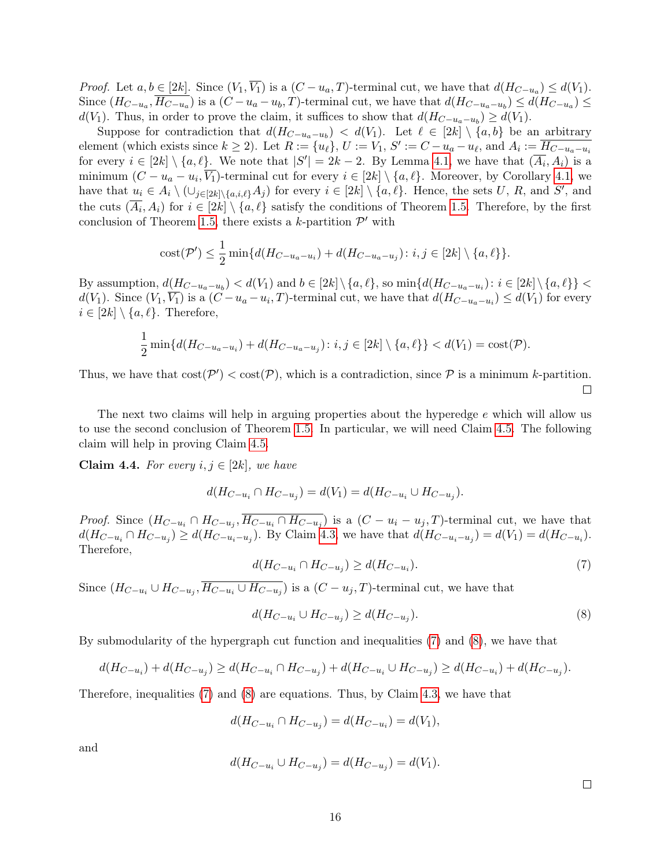*Proof.* Let  $a, b \in [2k]$ . Since  $(V_1, V_1)$  is a  $(C - u_a, T)$ -terminal cut, we have that  $d(H_{C-u_a}) \leq d(V_1)$ . Since  $(H_{C-u_a}, H_{C-u_a})$  is a  $(C-u_a-u_b, T)$ -terminal cut, we have that  $d(H_{C-u_a-u_b}) \le d(H_{C-u_a}) \le$  $d(V_1)$ . Thus, in order to prove the claim, it suffices to show that  $d(H_{C-u_a-u_b}) \ge d(V_1)$ .

Suppose for contradiction that  $d(H_{C-u_a-u_b}) < d(V_1)$ . Let  $\ell \in [2k] \setminus \{a, b\}$  be an arbitrary element (which exists since  $k \ge 2$ ). Let  $R := \{u_\ell\}$ ,  $U := V_1$ ,  $S' := C - u_a - u_\ell$ , and  $A_i := \overline{H_{C-u_a-u_i}}$ for every  $i \in [2k] \setminus \{a,\ell\}$ . We note that  $|S'| = 2k - 2$ . By Lemma [4.1,](#page-13-1) we have that  $(\overline{A_i}, A_i)$  is a minimum  $(C - u_a - u_i, \overline{V_1})$ -terminal cut for every  $i \in [2k] \setminus \{a, \ell\}$ . Moreover, by Corollary [4.1,](#page-15-4) we have that  $u_i \in A_i \setminus (\cup_{j\in [2k]\setminus\{a,i,\ell\}} A_j)$  for every  $i \in [2k] \setminus \{a,\ell\}$ . Hence, the sets U, R, and S', and the cuts  $(\overline{A_i}, A_i)$  for  $i \in [2k] \setminus \{a, \ell\}$  satisfy the conditions of Theorem [1.5.](#page-9-2) Therefore, by the first conclusion of Theorem [1.5,](#page-9-2) there exists a k-partition  $\mathcal{P}'$  with

cost
$$
(\mathcal{P}') \leq \frac{1}{2} \min\{d(H_{C-u_a-u_i}) + d(H_{C-u_a-u_j}) : i, j \in [2k] \setminus \{a, \ell\}\}.
$$

By assumption,  $d(H_{C-u_a-u_b}) < d(V_1)$  and  $b \in [2k] \setminus \{a, \ell\}$ , so  $\min\{d(H_{C-u_a-u_i}) : i \in [2k] \setminus \{a, \ell\}\}$  $d(V_1)$ . Since  $(V_1, \overline{V_1})$  is a  $(C - u_a - u_i, T)$ -terminal cut, we have that  $d(H_{C-u_a-u_i}) \le d(V_1)$  for every  $i \in [2k] \setminus \{a,\ell\}.$  Therefore,

$$
\frac{1}{2}\min\{d(H_{C-u_a-u_i})+d(H_{C-u_a-u_j})\colon i,j\in[2k]\setminus\{a,\ell\}\}
$$

Thus, we have that  $cost(\mathcal{P}') < cost(\mathcal{P})$ , which is a contradiction, since  $\mathcal P$  is a minimum k-partition.  $\Box$ 

The next two claims will help in arguing properties about the hyperedge  $e$  which will allow us to use the second conclusion of Theorem [1.5.](#page-9-2) In particular, we will need Claim [4.5.](#page-17-0) The following claim will help in proving Claim [4.5.](#page-17-0)

<span id="page-16-2"></span>Claim 4.4. For every  $i, j \in [2k]$ , we have

$$
d(H_{C-u_i} \cap H_{C-u_j}) = d(V_1) = d(H_{C-u_i} \cup H_{C-u_j}).
$$

<span id="page-16-0"></span>*Proof.* Since  $(H_{C-u_i} \cap H_{C-u_j}, \overline{H_{C-u_i} \cap H_{C-u_j}})$  is a  $(C-u_i-u_j, T)$ -terminal cut, we have that  $d(H_{C-u_i} \cap H_{C-u_j}) \ge d(H_{C-u_i-u_j})$ . By Claim [4.3,](#page-15-5) we have that  $d(H_{C-u_i-u_j}) = d(V_1) = d(H_{C-u_i})$ . Therefore,

$$
d(H_{C-u_i} \cap H_{C-u_j}) \ge d(H_{C-u_i}).
$$
\n(7)

Since  $(H_{C-u_i} \cup H_{C-u_j}, H_{C-u_i} \cup H_{C-u_j})$  is a  $(C-u_j, T)$ -terminal cut, we have that

$$
d(H_{C-u_i} \cup H_{C-u_j}) \ge d(H_{C-u_j}).\tag{8}
$$

By submodularity of the hypergraph cut function and inequalities [\(7\)](#page-16-0) and [\(8\)](#page-16-1), we have that

$$
d(H_{C-u_i}) + d(H_{C-u_j}) \ge d(H_{C-u_i} \cap H_{C-u_j}) + d(H_{C-u_i} \cup H_{C-u_j}) \ge d(H_{C-u_i}) + d(H_{C-u_j}).
$$

Therefore, inequalities [\(7\)](#page-16-0) and [\(8\)](#page-16-1) are equations. Thus, by Claim [4.3,](#page-15-5) we have that

$$
d(H_{C-u_i} \cap H_{C-u_j}) = d(H_{C-u_i}) = d(V_1),
$$

and

$$
d(H_{C-u_i} \cup H_{C-u_j}) = d(H_{C-u_j}) = d(V_1).
$$

<span id="page-16-1"></span> $\Box$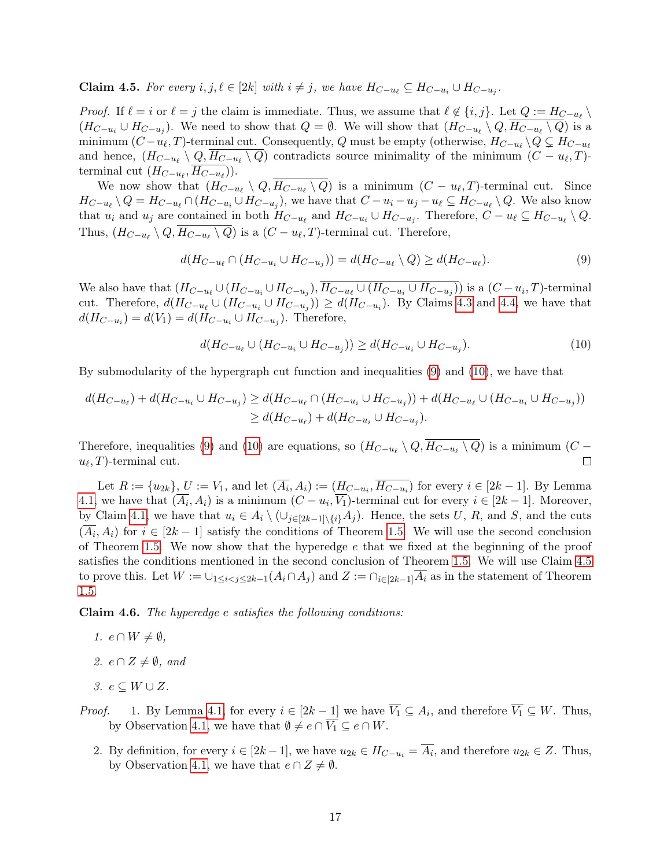<span id="page-17-0"></span>**Claim 4.5.** For every  $i, j, \ell \in [2k]$  with  $i \neq j$ , we have  $H_{C-u_{\ell}} \subseteq H_{C-u_i} \cup H_{C-u_j}$ .

*Proof.* If  $\ell = i$  or  $\ell = j$  the claim is immediate. Thus, we assume that  $\ell \notin \{i, j\}$ . Let  $Q := H_{C-u_{\ell}} \setminus$  $(H_{C-u_i} \cup H_{C-u_j})$ . We need to show that  $Q = \emptyset$ . We will show that  $(H_{C-u_{\ell}} \setminus Q, H_{C-u_{\ell}} \setminus Q)$  is a minimum  $(C - u_{\ell}, T)$ -terminal cut. Consequently, Q must be empty (otherwise,  $H_{C-u_{\ell}} \setminus Q \subsetneq H_{C-u_{\ell}}$ and hence,  $(H_{C-u_{\ell}} \setminus Q, H_{C-u_{\ell}} \setminus Q)$  contradicts source minimality of the minimum  $(C - u_{\ell}, T)$ terminal cut  $(H_{C-u_{\ell}}, H_{C-u_{\ell}})).$ 

We now show that  $(H_{C-u_{\ell}} \setminus Q, H_{C-u_{\ell}} \setminus Q)$  is a minimum  $(C - u_{\ell}, T)$ -terminal cut. Since  $H_{C-u_{\ell}}\setminus Q=H_{C-u_{\ell}}\cap (H_{C-u_i}\cup H_{C-u_j})$ , we have that  $C-u_i-u_j-u_{\ell}\subseteq H_{C-u_{\ell}}\setminus Q$ . We also know that  $u_i$  and  $u_j$  are contained in both  $H_{C-u_i}$  and  $H_{C-u_i} \cup H_{C-u_j}$ . Therefore,  $C - u_\ell \subseteq H_{C-u_\ell} \setminus Q$ . Thus,  $(H_{C-u_{\ell}} \setminus Q, H_{C-u_{\ell}} \setminus Q)$  is a  $(C - u_{\ell}, T)$ -terminal cut. Therefore,

<span id="page-17-1"></span>
$$
d(H_{C-u_{\ell}} \cap (H_{C-u_i} \cup H_{C-u_j})) = d(H_{C-u_{\ell}} \setminus Q) \ge d(H_{C-u_{\ell}}). \tag{9}
$$

We also have that  $(H_{C-u_\ell} \cup (H_{C-u_i} \cup H_{C-u_j}), H_{C-u_\ell} \cup (H_{C-u_i} \cup H_{C-u_j}))$  is a  $(C-u_i, T)$ -terminal cut. Therefore,  $d(H_{C-u_i} \cup (H_{C-u_i} \cup H_{C-u_j})) \geq d(H_{C-u_i})$ . By Claims [4.3](#page-15-5) and [4.4,](#page-16-2) we have that  $d(H_{C-u_i}) = d(V_1) = d(H_{C-u_i} \cup H_{C-u_j})$ . Therefore,

<span id="page-17-2"></span>
$$
d(H_{C-u_{\ell}} \cup (H_{C-u_i} \cup H_{C-u_j})) \ge d(H_{C-u_i} \cup H_{C-u_j}).
$$
\n(10)

By submodularity of the hypergraph cut function and inequalities [\(9\)](#page-17-1) and [\(10\)](#page-17-2), we have that

$$
d(H_{C-u_{\ell}}) + d(H_{C-u_{i}} \cup H_{C-u_{j}}) \ge d(H_{C-u_{\ell}} \cap (H_{C-u_{i}} \cup H_{C-u_{j}})) + d(H_{C-u_{\ell}} \cup (H_{C-u_{i}} \cup H_{C-u_{j}}))
$$
  

$$
\ge d(H_{C-u_{\ell}}) + d(H_{C-u_{i}} \cup H_{C-u_{j}}).
$$

Therefore, inequalities [\(9\)](#page-17-1) and [\(10\)](#page-17-2) are equations, so  $(H_{C-u_{\ell}} \setminus Q, H_{C-u_{\ell}} \setminus Q)$  is a minimum  $(C$  $u_{\ell}, T$ -terminal cut.  $\Box$ 

Let  $R := \{u_{2k}\}, U := V_1$ , and let  $(\overline{A_i}, A_i) := (H_{C-u_i}, \overline{H_{C-u_i}})$  for every  $i \in [2k-1]$ . By Lemma [4.1,](#page-13-1) we have that  $(\overline{A_i}, A_i)$  is a minimum  $(C - u_i, \overline{V_1})$ -terminal cut for every  $i \in [2k-1]$ . Moreover, by Claim [4.1,](#page-14-2) we have that  $u_i \in A_i \setminus (\cup_{j\in [2k-1]\setminus \{i\}} A_j)$ . Hence, the sets U, R, and S, and the cuts  $(\overline{A_i}, A_i)$  for  $i \in [2k-1]$  satisfy the conditions of Theorem [1.5.](#page-9-2) We will use the second conclusion of Theorem [1.5.](#page-9-2) We now show that the hyperedge  $e$  that we fixed at the beginning of the proof satisfies the conditions mentioned in the second conclusion of Theorem [1.5.](#page-9-2) We will use Claim [4.5](#page-17-0) to prove this. Let  $W := \bigcup_{1 \leq i < j \leq 2k-1} (A_i \cap A_j)$  and  $Z := \bigcap_{i \in [2k-1]} \overline{A_i}$  as in the statement of Theorem [1.5.](#page-9-2)

<span id="page-17-3"></span>Claim 4.6. The hyperedge e satisfies the following conditions:

- 1.  $e \cap W \neq \emptyset$ ,
- 2.  $e \cap Z \neq \emptyset$ , and
- 3.  $e ⊆ W ∪ Z$ .
- *Proof.* 1. By Lemma [4.1,](#page-13-1) for every  $i \in [2k-1]$  we have  $V_1 \subseteq A_i$ , and therefore  $V_1 \subseteq W$ . Thus, by Observation [4.1,](#page-14-0) we have that  $\emptyset \neq e \cap \overline{V_1} \subseteq e \cap W$ .
	- 2. By definition, for every  $i \in [2k-1]$ , we have  $u_{2k} \in H_{C-u_i} = A_i$ , and therefore  $u_{2k} \in Z$ . Thus, by Observation [4.1,](#page-14-0) we have that  $e \cap Z \neq \emptyset$ .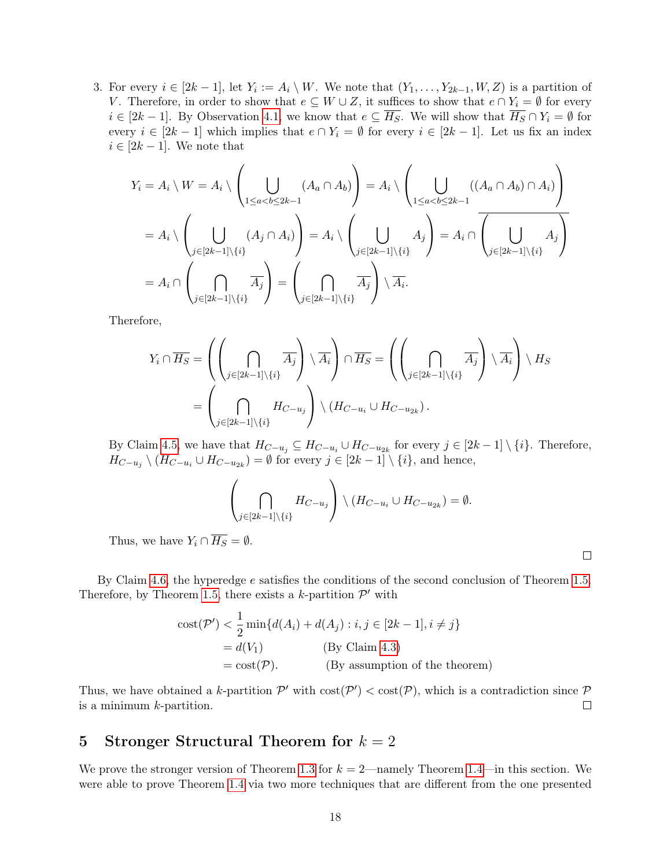3. For every  $i \in [2k-1]$ , let  $Y_i := A_i \setminus W$ . We note that  $(Y_1, \ldots, Y_{2k-1}, W, Z)$  is a partition of V. Therefore, in order to show that  $e \subseteq W \cup Z$ , it suffices to show that  $e \cap Y_i = \emptyset$  for every  $i \in [2k-1]$ . By Observation [4.1,](#page-14-0) we know that  $e \subseteq \overline{H_S}$ . We will show that  $\overline{H_S} \cap Y_i = \emptyset$  for every  $i \in [2k-1]$  which implies that  $e \cap Y_i = \emptyset$  for every  $i \in [2k-1]$ . Let us fix an index  $i \in [2k-1]$ . We note that

$$
Y_i = A_i \setminus W = A_i \setminus \left( \bigcup_{1 \le a < b \le 2k - 1} (A_a \cap A_b) \right) = A_i \setminus \left( \bigcup_{1 \le a < b \le 2k - 1} ((A_a \cap A_b) \cap A_i) \right)
$$
\n
$$
= A_i \setminus \left( \bigcup_{j \in [2k - 1] \setminus \{i\}} (A_j \cap A_i) \right) = A_i \setminus \left( \bigcup_{j \in [2k - 1] \setminus \{i\}} A_j \right) = A_i \cap \left( \bigcup_{j \in [2k - 1] \setminus \{i\}} A_j \right)
$$
\n
$$
= A_i \cap \left( \bigcap_{j \in [2k - 1] \setminus \{i\}} \overline{A_j} \right) = \left( \bigcap_{j \in [2k - 1] \setminus \{i\}} \overline{A_j} \right) \setminus \overline{A_i}.
$$

Therefore,

$$
Y_i \cap \overline{H_S} = \left( \left( \bigcap_{j \in [2k-1] \setminus \{i\}} \overline{A_j} \right) \setminus \overline{A_i} \right) \cap \overline{H_S} = \left( \left( \bigcap_{j \in [2k-1] \setminus \{i\}} \overline{A_j} \right) \setminus \overline{A_i} \right) \setminus H_S
$$
  
= 
$$
\left( \bigcap_{j \in [2k-1] \setminus \{i\}} H_{C-u_j} \right) \setminus (H_{C-u_i} \cup H_{C-u_{2k}}).
$$

By Claim [4.5,](#page-17-0) we have that  $H_{C-u_j} \subseteq H_{C-u_i} \cup H_{C-u_{2k}}$  for every  $j \in [2k-1] \setminus \{i\}$ . Therefore,  $H_{C-u_j} \setminus (H_{C-u_i} \cup H_{C-u_{2k}}) = \emptyset$  for every  $j \in [2k-1] \setminus \{i\}$ , and hence,

$$
\left(\bigcap_{j\in[2k-1]\setminus\{i\}}H_{C-u_j}\right)\setminus (H_{C-u_i}\cup H_{C-u_{2k}})=\emptyset.
$$

Thus, we have  $Y_i \cap \overline{H_S} = \emptyset$ .

By Claim [4.6,](#page-17-3) the hyperedge e satisfies the conditions of the second conclusion of Theorem [1.5.](#page-9-2) Therefore, by Theorem [1.5,](#page-9-2) there exists a k-partition  $\mathcal{P}'$  with

$$
\begin{aligned} \text{cost}(\mathcal{P}') &< \frac{1}{2} \min\{d(A_i) + d(A_j) : i, j \in [2k - 1], i \neq j\} \\ &= d(V_1) \quad \text{(By Claim 4.3)} \\ &= \text{cost}(\mathcal{P}). \quad \text{(By assumption of the theorem)} \end{aligned}
$$

Thus, we have obtained a k-partition  $\mathcal{P}'$  with  $\text{cost}(\mathcal{P}') < \text{cost}(\mathcal{P})$ , which is a contradiction since  $\mathcal P$ is a minimum  $k$ -partition.  $\Box$ 

# <span id="page-18-0"></span>5 Stronger Structural Theorem for  $k = 2$

We prove the stronger version of Theorem [1.3](#page-4-1) for  $k = 2$ —namely Theorem [1.4—](#page-5-0)in this section. We were able to prove Theorem [1.4](#page-5-0) via two more techniques that are different from the one presented

 $\Box$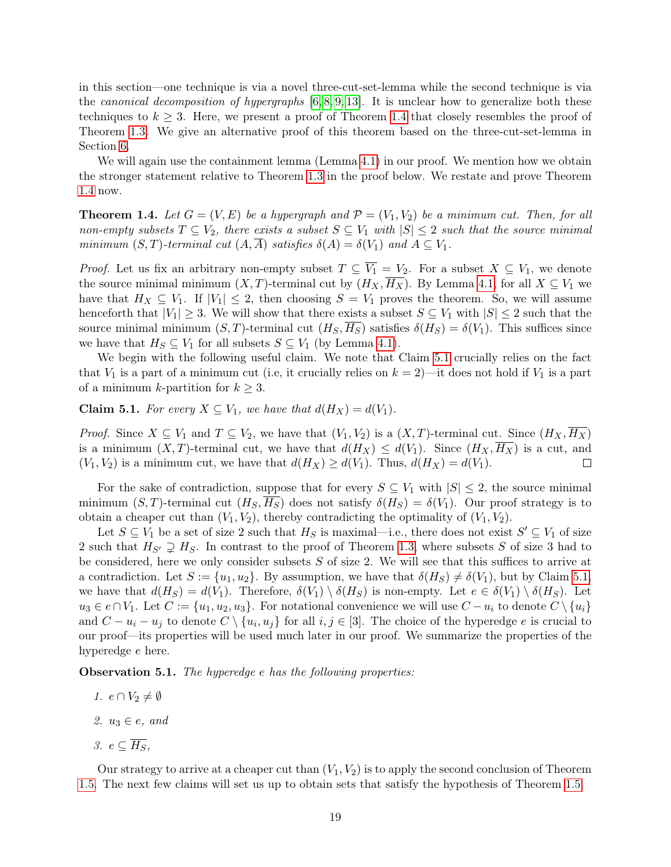in this section—one technique is via a novel three-cut-set-lemma while the second technique is via the *canonical decomposition of hypergraphs*  $[6, 8, 9, 13]$  $[6, 8, 9, 13]$  $[6, 8, 9, 13]$  $[6, 8, 9, 13]$ . It is unclear how to generalize both these techniques to  $k \geq 3$ . Here, we present a proof of Theorem [1.4](#page-5-0) that closely resembles the proof of Theorem [1.3.](#page-4-1) We give an alternative proof of this theorem based on the three-cut-set-lemma in Section [6.](#page-22-0)

We will again use the containment lemma (Lemma [4.1\)](#page-13-1) in our proof. We mention how we obtain the stronger statement relative to Theorem [1.3](#page-4-1) in the proof below. We restate and prove Theorem [1.4](#page-5-0) now.

**Theorem 1.4.** Let  $G = (V, E)$  be a hypergraph and  $\mathcal{P} = (V_1, V_2)$  be a minimum cut. Then, for all non-empty subsets  $T \subseteq V_2$ , there exists a subset  $S \subseteq V_1$  with  $|S| \leq 2$  such that the source minimal minimum  $(S, T)$ -terminal cut  $(A, A)$  satisfies  $\delta(A) = \delta(V_1)$  and  $A \subseteq V_1$ .

*Proof.* Let us fix an arbitrary non-empty subset  $T \subseteq \overline{V_1} = V_2$ . For a subset  $X \subseteq V_1$ , we denote the source minimal minimum  $(X, T)$ -terminal cut by  $(H_X, \overline{H_X})$ . By Lemma [4.1,](#page-13-1) for all  $X \subseteq V_1$  we have that  $H_X \subseteq V_1$ . If  $|V_1| \leq 2$ , then choosing  $S = V_1$  proves the theorem. So, we will assume henceforth that  $|V_1| \geq 3$ . We will show that there exists a subset  $S \subseteq V_1$  with  $|S| \leq 2$  such that the source minimal minimum  $(S, T)$ -terminal cut  $(H_S, \overline{H_S})$  satisfies  $\delta(H_S) = \delta(V_1)$ . This suffices since we have that  $H_S \subseteq V_1$  for all subsets  $S \subseteq V_1$  (by Lemma [4.1\)](#page-13-1).

We begin with the following useful claim. We note that Claim [5.1](#page-19-0) crucially relies on the fact that  $V_1$  is a part of a minimum cut (i.e, it crucially relies on  $k = 2$ )—it does not hold if  $V_1$  is a part of a minimum k-partition for  $k \geq 3$ .

<span id="page-19-0"></span>**Claim 5.1.** For every  $X \subseteq V_1$ , we have that  $d(H_X) = d(V_1)$ .

*Proof.* Since  $X \subseteq V_1$  and  $T \subseteq V_2$ , we have that  $(V_1, V_2)$  is a  $(X, T)$ -terminal cut. Since  $(H_X, \overline{H_X})$ is a minimum  $(X, T)$ -terminal cut, we have that  $d(H_X) \leq d(V_1)$ . Since  $(H_X, H_X)$  is a cut, and  $(V_1, V_2)$  is a minimum cut, we have that  $d(H_X) \ge d(V_1)$ . Thus,  $d(H_X) = d(V_1)$ .  $\Box$ 

For the sake of contradiction, suppose that for every  $S \subseteq V_1$  with  $|S| \leq 2$ , the source minimal minimum  $(S, T)$ -terminal cut  $(H_S, H_S)$  does not satisfy  $\delta(H_S) = \delta(V_1)$ . Our proof strategy is to obtain a cheaper cut than  $(V_1, V_2)$ , thereby contradicting the optimality of  $(V_1, V_2)$ .

Let  $S \subseteq V_1$  be a set of size 2 such that  $H_S$  is maximal—i.e., there does not exist  $S' \subseteq V_1$  of size 2 such that  $H_{S'} \supsetneq H_S$ . In contrast to the proof of Theorem [1.3,](#page-4-1) where subsets S of size 3 had to be considered, here we only consider subsets  $S$  of size 2. We will see that this suffices to arrive at a contradiction. Let  $S := \{u_1, u_2\}$ . By assumption, we have that  $\delta(H_S) \neq \delta(V_1)$ , but by Claim [5.1,](#page-19-0) we have that  $d(H_S) = d(V_1)$ . Therefore,  $\delta(V_1) \setminus \delta(H_S)$  is non-empty. Let  $e \in \delta(V_1) \setminus \delta(H_S)$ . Let  $u_3 \in e \cap V_1$ . Let  $C := \{u_1, u_2, u_3\}$ . For notational convenience we will use  $C - u_i$  to denote  $C \setminus \{u_i\}$ and  $C - u_i - u_j$  to denote  $C \setminus \{u_i, u_j\}$  for all  $i, j \in [3]$ . The choice of the hyperedge e is crucial to our proof—its properties will be used much later in our proof. We summarize the properties of the hyperedge e here.

<span id="page-19-1"></span>**Observation 5.1.** The hyperedge e has the following properties:

- 1.  $e \cap V_2 \neq \emptyset$
- 2.  $u_3 \in e$ , and
- 3.  $e \subset \overline{H_S}$ ,

Our strategy to arrive at a cheaper cut than  $(V_1, V_2)$  is to apply the second conclusion of Theorem [1.5.](#page-9-2) The next few claims will set us up to obtain sets that satisfy the hypothesis of Theorem [1.5.](#page-9-2)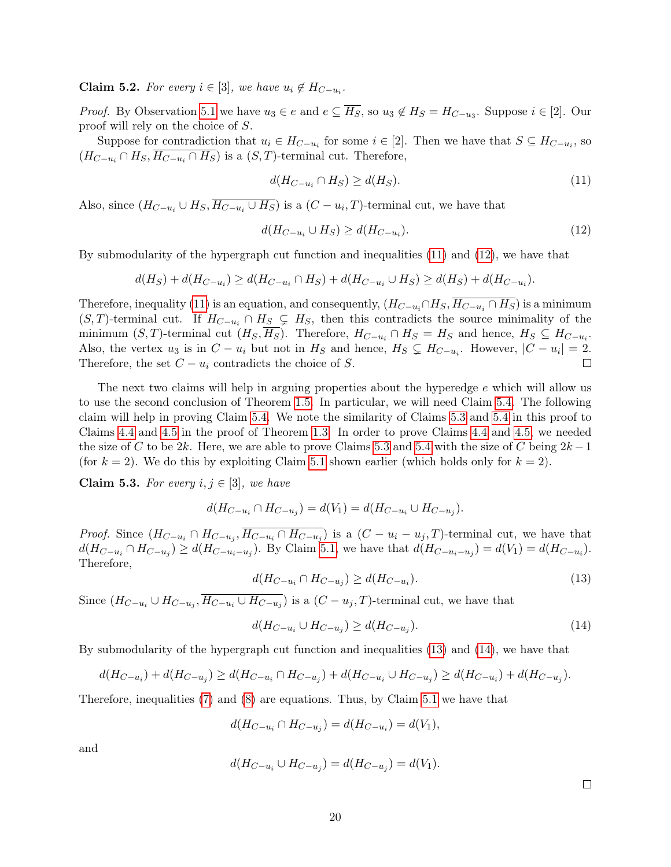<span id="page-20-5"></span>**Claim 5.2.** For every  $i \in [3]$ , we have  $u_i \notin H_{C-u_i}$ .

*Proof.* By Observation [5.1](#page-19-1) we have  $u_3 \in e$  and  $e \subseteq H_S$ , so  $u_3 \notin H_S = H_{C-u_3}$ . Suppose  $i \in [2]$ . Our proof will rely on the choice of S.

Suppose for contradiction that  $u_i \in H_{C-u_i}$  for some  $i \in [2]$ . Then we have that  $S \subseteq H_{C-u_i}$ , so  $(H_{C-u_i} \cap H_S, \overline{H_{C-u_i} \cap H_S})$  is a  $(S, T)$ -terminal cut. Therefore,

<span id="page-20-1"></span><span id="page-20-0"></span>
$$
d(H_{C-u_i} \cap H_S) \ge d(H_S). \tag{11}
$$

Also, since  $(H_{C-u_i} \cup H_S, H_{C-u_i} \cup H_S)$  is a  $(C - u_i, T)$ -terminal cut, we have that

$$
d(H_{C-u_i} \cup H_S) \ge d(H_{C-u_i}).\tag{12}
$$

By submodularity of the hypergraph cut function and inequalities [\(11\)](#page-20-0) and [\(12\)](#page-20-1), we have that

$$
d(H_S) + d(H_{C-u_i}) \ge d(H_{C-u_i} \cap H_S) + d(H_{C-u_i} \cup H_S) \ge d(H_S) + d(H_{C-u_i}).
$$

Therefore, inequality [\(11\)](#page-20-0) is an equation, and consequently,  $(H_{C-u_i} \cap H_S, \overline{H_{C-u_i} \cap H_S})$  is a minimum  $(S, T)$ -terminal cut. If  $H_{C-u_i} \cap H_S \subsetneq H_S$ , then this contradicts the source minimality of the minimum  $(S, T)$ -terminal cut  $(H_S, H_S)$ . Therefore,  $H_{C-u_i} \cap H_S = H_S$  and hence,  $H_S \subseteq H_{C-u_i}$ . Also, the vertex  $u_3$  is in  $C - u_i$  but not in  $H_S$  and hence,  $H_S \subsetneq H_{C-u_i}$ . However,  $|C - u_i| = 2$ . Therefore, the set  $C - u_i$  contradicts the choice of S.  $\Box$ 

The next two claims will help in arguing properties about the hyperedge e which will allow us to use the second conclusion of Theorem [1.5.](#page-9-2) In particular, we will need Claim [5.4.](#page-21-0) The following claim will help in proving Claim [5.4.](#page-21-0) We note the similarity of Claims [5.3](#page-20-2) and [5.4](#page-21-0) in this proof to Claims [4.4](#page-16-2) and [4.5](#page-17-0) in the proof of Theorem [1.3.](#page-4-1) In order to prove Claims [4.4](#page-16-2) and [4.5,](#page-17-0) we needed the size of C to be 2k. Here, we are able to prove Claims [5.3](#page-20-2) and [5.4](#page-21-0) with the size of C being  $2k-1$ (for  $k = 2$ ). We do this by exploiting Claim [5.1](#page-19-0) shown earlier (which holds only for  $k = 2$ ).

<span id="page-20-2"></span>Claim 5.3. For every  $i, j \in [3]$ , we have

$$
d(H_{C-u_i} \cap H_{C-u_j}) = d(V_1) = d(H_{C-u_i} \cup H_{C-u_j}).
$$

<span id="page-20-3"></span>*Proof.* Since  $(H_{C-u_i} \cap H_{C-u_j}, \overline{H_{C-u_i} \cap H_{C-u_j}})$  is a  $(C-u_i-u_j, T)$ -terminal cut, we have that  $d(H_{C-u_i} \cap H_{C-u_j}) \ge d(H_{C-u_i-u_j})$ . By Claim [5.1,](#page-19-0) we have that  $d(H_{C-u_i-u_j}) = d(V_1) = d(H_{C-u_i})$ . Therefore,

$$
d(H_{C-u_i} \cap H_{C-u_j}) \ge d(H_{C-u_i}).
$$
\n(13)

Since  $(H_{C-u_i} \cup H_{C-u_j}, \overline{H_{C-u_i} \cup H_{C-u_j}})$  is a  $(C-u_j, T)$ -terminal cut, we have that

$$
d(H_{C-u_i} \cup H_{C-u_j}) \ge d(H_{C-u_j}).\tag{14}
$$

By submodularity of the hypergraph cut function and inequalities [\(13\)](#page-20-3) and [\(14\)](#page-20-4), we have that

$$
d(H_{C-u_i}) + d(H_{C-u_j}) \ge d(H_{C-u_i} \cap H_{C-u_j}) + d(H_{C-u_i} \cup H_{C-u_j}) \ge d(H_{C-u_i}) + d(H_{C-u_j}).
$$

Therefore, inequalities [\(7\)](#page-16-0) and [\(8\)](#page-16-1) are equations. Thus, by Claim [5.1](#page-19-0) we have that

$$
d(H_{C-u_i} \cap H_{C-u_j}) = d(H_{C-u_i}) = d(V_1),
$$

and

$$
d(H_{C-u_i} \cup H_{C-u_j}) = d(H_{C-u_j}) = d(V_1).
$$

<span id="page-20-4"></span> $\Box$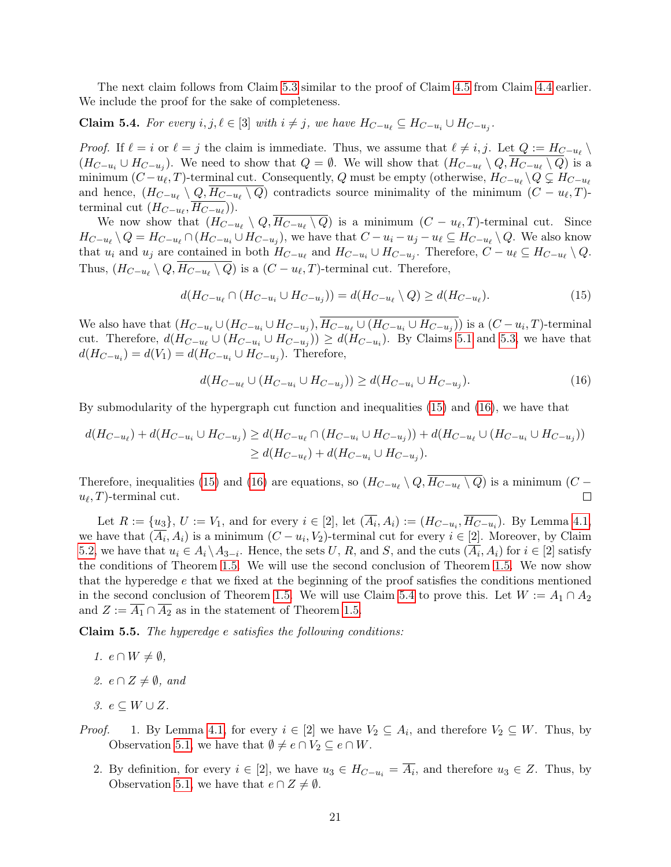The next claim follows from Claim [5.3](#page-20-2) similar to the proof of Claim [4.5](#page-17-0) from Claim [4.4](#page-16-2) earlier. We include the proof for the sake of completeness.

<span id="page-21-0"></span>**Claim 5.4.** For every  $i, j, \ell \in [3]$  with  $i \neq j$ , we have  $H_{C-u_{\ell}} \subseteq H_{C-u_i} \cup H_{C-u_j}$ .

*Proof.* If  $\ell = i$  or  $\ell = j$  the claim is immediate. Thus, we assume that  $\ell \neq i, j$ . Let  $Q := H_{C - u_{\ell}} \setminus$  $(H_{C-u_i} \cup H_{C-u_j})$ . We need to show that  $Q = \emptyset$ . We will show that  $(H_{C-u_{\ell}} \setminus Q, H_{C-u_{\ell}} \setminus Q)$  is a minimum  $(C - u_{\ell}, T)$ -terminal cut. Consequently, Q must be empty (otherwise,  $H_{C-u_{\ell}} \setminus Q \subsetneq H_{C-u_{\ell}}$ and hence,  $(H_{C-u_{\ell}} \setminus Q, H_{C-u_{\ell}} \setminus Q)$  contradicts source minimality of the minimum  $(C - u_{\ell}, T)$ terminal cut  $(H_{C-u_{\ell}}, H_{C-u_{\ell}})).$ 

We now show that  $(H_{C-u_{\ell}} \setminus Q, H_{C-u_{\ell}} \setminus Q)$  is a minimum  $(C - u_{\ell}, T)$ -terminal cut. Since  $H_{C-u_{\ell}}\setminus Q=H_{C-u_{\ell}}\cap (H_{C-u_i}\cup H_{C-u_j})$ , we have that  $C-u_i-u_j-u_{\ell}\subseteq H_{C-u_{\ell}}\setminus Q$ . We also know that  $u_i$  and  $u_j$  are contained in both  $H_{C-u_i}$  and  $H_{C-u_i} \cup H_{C-u_j}$ . Therefore,  $C - u_\ell \subseteq H_{C-u_\ell} \setminus Q$ . Thus,  $(H_{C-u_{\ell}} \setminus Q, H_{C-u_{\ell}} \setminus Q)$  is a  $(C - u_{\ell}, T)$ -terminal cut. Therefore,

<span id="page-21-1"></span>
$$
d(H_{C-u_{\ell}} \cap (H_{C-u_i} \cup H_{C-u_j})) = d(H_{C-u_{\ell}} \setminus Q) \ge d(H_{C-u_{\ell}}). \tag{15}
$$

We also have that  $(H_{C-u_\ell} \cup (H_{C-u_i} \cup H_{C-u_j}), H_{C-u_\ell} \cup (H_{C-u_i} \cup H_{C-u_j}))$  is a  $(C-u_i, T)$ -terminal cut. Therefore,  $d(H_{C-u_i} \cup (H_{C-u_i} \cup H_{C-u_j})) \geq d(H_{C-u_i})$ . By Claims [5.1](#page-19-0) and [5.3,](#page-20-2) we have that  $d(H_{C-u_i}) = d(V_1) = d(H_{C-u_i} \cup H_{C-u_j})$ . Therefore,

<span id="page-21-2"></span>
$$
d(H_{C-u_{\ell}} \cup (H_{C-u_i} \cup H_{C-u_j})) \ge d(H_{C-u_i} \cup H_{C-u_j}).
$$
\n(16)

By submodularity of the hypergraph cut function and inequalities [\(15\)](#page-21-1) and [\(16\)](#page-21-2), we have that

$$
d(H_{C-u_{\ell}}) + d(H_{C-u_{i}} \cup H_{C-u_{j}}) \ge d(H_{C-u_{\ell}} \cap (H_{C-u_{i}} \cup H_{C-u_{j}})) + d(H_{C-u_{\ell}} \cup (H_{C-u_{i}} \cup H_{C-u_{j}}))
$$
  
\n
$$
\ge d(H_{C-u_{\ell}}) + d(H_{C-u_{i}} \cup H_{C-u_{j}}).
$$

Therefore, inequalities [\(15\)](#page-21-1) and [\(16\)](#page-21-2) are equations, so  $(H_{C-u_{\ell}} \setminus Q, H_{C-u_{\ell}} \setminus Q)$  is a minimum  $(C$  $u_{\ell}, T$ -terminal cut.  $\Box$ 

Let  $R := \{u_3\}, U := V_1$ , and for every  $i \in [2]$ , let  $(A_i, A_i) := (H_{C-u_i}, H_{C-u_i})$ . By Lemma [4.1,](#page-13-1) we have that  $(A_i, A_i)$  is a minimum  $(C - u_i, V_2)$ -terminal cut for every  $i \in [2]$ . Moreover, by Claim [5.2,](#page-20-5) we have that  $u_i \in A_i \setminus A_{3-i}$ . Hence, the sets U, R, and S, and the cuts  $(\overline{A_i}, A_i)$  for  $i \in [2]$  satisfy the conditions of Theorem [1.5.](#page-9-2) We will use the second conclusion of Theorem [1.5.](#page-9-2) We now show that the hyperedge  $e$  that we fixed at the beginning of the proof satisfies the conditions mentioned in the second conclusion of Theorem [1.5.](#page-9-2) We will use Claim [5.4](#page-21-0) to prove this. Let  $W := A_1 \cap A_2$ and  $Z := \overline{A_1} \cap \overline{A_2}$  as in the statement of Theorem [1.5.](#page-9-2)

<span id="page-21-3"></span>Claim 5.5. The hyperedge e satisfies the following conditions:

- 1.  $e \cap W \neq \emptyset$ ,
- 2.  $e \cap Z \neq \emptyset$ , and
- 3.  $e \subseteq W \cup Z$ .
- *Proof.* 1. By Lemma [4.1,](#page-13-1) for every  $i \in [2]$  we have  $V_2 \subseteq A_i$ , and therefore  $V_2 \subseteq W$ . Thus, by Observation [5.1,](#page-19-1) we have that  $\emptyset \neq e \cap V_2 \subseteq e \cap W$ .
	- 2. By definition, for every  $i \in [2]$ , we have  $u_3 \in H_{C-u_i} = \overline{A_i}$ , and therefore  $u_3 \in Z$ . Thus, by Observation [5.1,](#page-19-1) we have that  $e \cap Z \neq \emptyset$ .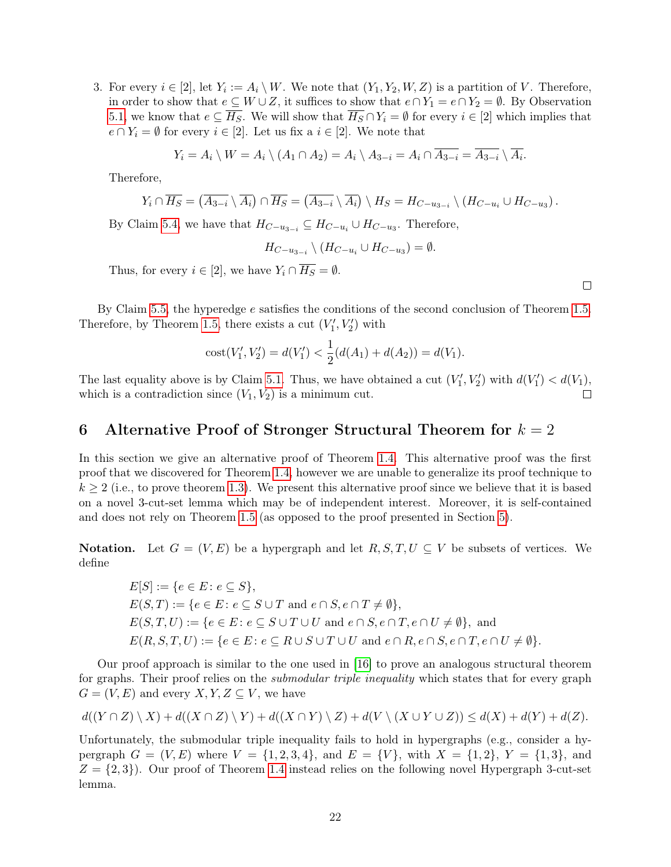3. For every  $i \in [2]$ , let  $Y_i := A_i \setminus W$ . We note that  $(Y_1, Y_2, W, Z)$  is a partition of V. Therefore, in order to show that  $e \subseteq W \cup Z$ , it suffices to show that  $e \cap Y_1 = e \cap Y_2 = \emptyset$ . By Observation [5.1,](#page-19-1) we know that  $e \subseteq H_S$ . We will show that  $H_S \cap Y_i = \emptyset$  for every  $i \in [2]$  which implies that  $e \cap Y_i = \emptyset$  for every  $i \in [2]$ . Let us fix a  $i \in [2]$ . We note that

$$
Y_i = A_i \setminus W = A_i \setminus (A_1 \cap A_2) = A_i \setminus A_{3-i} = A_i \cap \overline{A_{3-i}} = \overline{A_{3-i}} \setminus \overline{A_i}.
$$

Therefore,

$$
Y_i \cap \overline{H_S} = (\overline{A_{3-i}} \setminus \overline{A_i}) \cap \overline{H_S} = (\overline{A_{3-i}} \setminus \overline{A_i}) \setminus H_S = H_{C-u_{3-i}} \setminus (H_{C-u_i} \cup H_{C-u_3}).
$$

By Claim [5.4,](#page-21-0) we have that  $H_{C-u_{3-i}} \subseteq H_{C-u_i} \cup H_{C-u_3}$ . Therefore,

$$
H_{C-u_{3-i}} \setminus (H_{C-u_i} \cup H_{C-u_3}) = \emptyset.
$$

Thus, for every  $i \in [2]$ , we have  $Y_i \cap \overline{H_S} = \emptyset$ .

 $\Box$ 

By Claim [5.5,](#page-21-3) the hyperedge e satisfies the conditions of the second conclusion of Theorem [1.5.](#page-9-2) Therefore, by Theorem [1.5,](#page-9-2) there exists a cut  $(V'_1, V'_2)$  with

cost
$$
(V'_1, V'_2) = d(V'_1) < \frac{1}{2}(d(A_1) + d(A_2)) = d(V_1).
$$

The last equality above is by Claim [5.1.](#page-19-0) Thus, we have obtained a cut  $(V'_1, V'_2)$  with  $d(V'_1) < d(V_1)$ , which is a contradiction since  $(V_1, V_2)$  is a minimum cut. П

# <span id="page-22-0"></span>6 Alternative Proof of Stronger Structural Theorem for  $k = 2$

In this section we give an alternative proof of Theorem [1.4.](#page-5-0) This alternative proof was the first proof that we discovered for Theorem [1.4,](#page-5-0) however we are unable to generalize its proof technique to  $k \geq 2$  (i.e., to prove theorem [1.3\)](#page-4-1). We present this alternative proof since we believe that it is based on a novel 3-cut-set lemma which may be of independent interest. Moreover, it is self-contained and does not rely on Theorem [1.5](#page-9-2) (as opposed to the proof presented in Section [5\)](#page-18-0).

**Notation.** Let  $G = (V, E)$  be a hypergraph and let  $R, S, T, U \subseteq V$  be subsets of vertices. We define

$$
E[S] := \{e \in E : e \subseteq S\},
$$
  
\n
$$
E(S,T) := \{e \in E : e \subseteq S \cup T \text{ and } e \cap S, e \cap T \neq \emptyset\},
$$
  
\n
$$
E(S,T,U) := \{e \in E : e \subseteq S \cup T \cup U \text{ and } e \cap S, e \cap T, e \cap U \neq \emptyset\}, \text{ and}
$$
  
\n
$$
E(R, S, T, U) := \{e \in E : e \subseteq R \cup S \cup T \cup U \text{ and } e \cap R, e \cap S, e \cap T, e \cap U \neq \emptyset\}.
$$

Our proof approach is similar to the one used in [\[16\]](#page-29-7) to prove an analogous structural theorem for graphs. Their proof relies on the *submodular triple inequality* which states that for every graph  $G = (V, E)$  and every  $X, Y, Z \subseteq V$ , we have

$$
d((Y \cap Z) \setminus X) + d((X \cap Z) \setminus Y) + d((X \cap Y) \setminus Z) + d(V \setminus (X \cup Y \cup Z)) \leq d(X) + d(Y) + d(Z).
$$

Unfortunately, the submodular triple inequality fails to hold in hypergraphs (e.g., consider a hypergraph  $G = (V, E)$  where  $V = \{1, 2, 3, 4\}$ , and  $E = \{V\}$ , with  $X = \{1, 2\}$ ,  $Y = \{1, 3\}$ , and  $Z = \{2, 3\}$ . Our proof of Theorem [1.4](#page-5-0) instead relies on the following novel Hypergraph 3-cut-set lemma.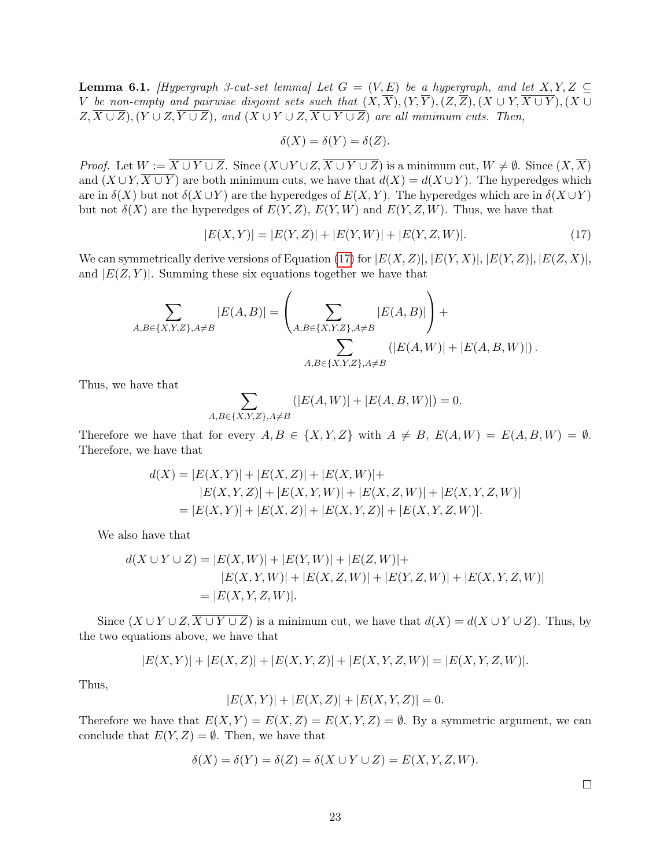<span id="page-23-1"></span>**Lemma 6.1.** [Hypergraph 3-cut-set lemma] Let  $G = (V, E)$  be a hypergraph, and let  $X, Y, Z \subseteq$ V be non-empty and pairwise disjoint sets such that  $(X,\overline{X}), (Y,\overline{Y}), (Z,\overline{Z}), (X \cup Y, \overline{X \cup Y}), (X \cup Y, \overline{Y})$  $Z, \overline{X \cup Z}$ ,  $(Y \cup Z, \overline{Y \cup Z})$ , and  $(X \cup Y \cup Z, \overline{X \cup Y \cup Z})$  are all minimum cuts. Then,

<span id="page-23-0"></span>
$$
\delta(X) = \delta(Y) = \delta(Z).
$$

*Proof.* Let  $W := \overline{X \cup Y \cup Z}$ . Since  $(X \cup Y \cup Z, \overline{X \cup Y \cup Z})$  is a minimum cut,  $W \neq \emptyset$ . Since  $(X, \overline{X})$ and  $(X \cup Y, \overline{X \cup Y})$  are both minimum cuts, we have that  $d(X) = d(X \cup Y)$ . The hyperedges which are in  $\delta(X)$  but not  $\delta(X \cup Y)$  are the hyperedges of  $E(X, Y)$ . The hyperedges which are in  $\delta(X \cup Y)$ but not  $\delta(X)$  are the hyperedges of  $E(Y, Z)$ ,  $E(Y, W)$  and  $E(Y, Z, W)$ . Thus, we have that

$$
|E(X,Y)| = |E(Y,Z)| + |E(Y,W)| + |E(Y,Z,W)|.
$$
\n(17)

We can symmetrically derive versions of Equation [\(17\)](#page-23-0) for  $|E(X,Z)|, |E(Y,X)|, |E(Y,Z)|, |E(Z,X)|$ , and  $|E(Z, Y)|$ . Summing these six equations together we have that

$$
\sum_{A,B\in\{X,Y,Z\},A\neq B} |E(A,B)| = \left(\sum_{A,B\in\{X,Y,Z\},A\neq B} |E(A,B)|\right) + \sum_{A,B\in\{X,Y,Z\},A\neq B} (|E(A,W)| + |E(A,B,W)|).
$$

Thus, we have that

$$
\sum_{A,B \in \{X,Y,Z\}, A \neq B} (|E(A, W)| + |E(A, B, W)|) = 0.
$$

Therefore we have that for every  $A, B \in \{X, Y, Z\}$  with  $A \neq B$ ,  $E(A, W) = E(A, B, W) = \emptyset$ . Therefore, we have that

$$
d(X) = |E(X, Y)| + |E(X, Z)| + |E(X, W)| +
$$
  
\n
$$
|E(X, Y, Z)| + |E(X, Y, W)| + |E(X, Z, W)| + |E(X, Y, Z, W)|
$$
  
\n
$$
= |E(X, Y)| + |E(X, Z)| + |E(X, Y, Z)| + |E(X, Y, Z, W)|.
$$

We also have that

$$
d(X \cup Y \cup Z) = |E(X, W)| + |E(Y, W)| + |E(Z, W)| + |E(X, Z, W)| + |E(X, Y, Z, W)| + |E(X, Z, W)| + |E(Y, Z, W)| + |E(X, Y, Z, W)|
$$
  
= |E(X, Y, Z, W)|.

Since  $(X \cup Y \cup Z, \overline{X \cup Y \cup Z})$  is a minimum cut, we have that  $d(X) = d(X \cup Y \cup Z)$ . Thus, by the two equations above, we have that

$$
|E(X,Y)| + |E(X,Z)| + |E(X,Y,Z)| + |E(X,Y,Z,W)| = |E(X,Y,Z,W)|.
$$

Thus,

$$
|E(X,Y)| + |E(X,Z)| + |E(X,Y,Z)| = 0.
$$

Therefore we have that  $E(X, Y) = E(X, Z) = E(X, Y, Z) = \emptyset$ . By a symmetric argument, we can conclude that  $E(Y, Z) = \emptyset$ . Then, we have that

$$
\delta(X) = \delta(Y) = \delta(Z) = \delta(X \cup Y \cup Z) = E(X, Y, Z, W).
$$

 $\Box$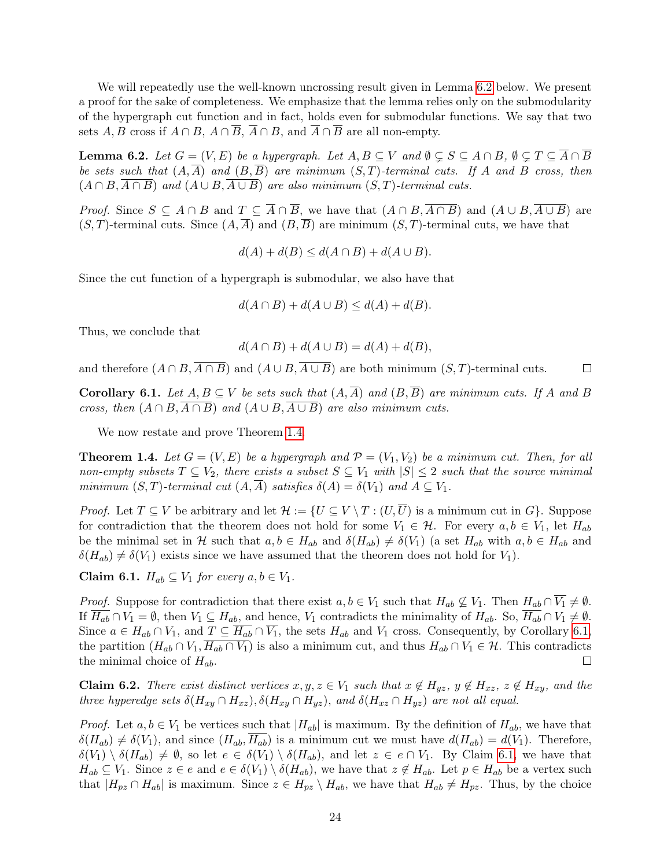We will repeatedly use the well-known uncrossing result given in Lemma [6.2](#page-24-0) below. We present a proof for the sake of completeness. We emphasize that the lemma relies only on the submodularity of the hypergraph cut function and in fact, holds even for submodular functions. We say that two sets  $A, B$  cross if  $A \cap B, A \cap \overline{B}, \overline{A} \cap B$ , and  $\overline{A} \cap \overline{B}$  are all non-empty.

<span id="page-24-0"></span>**Lemma 6.2.** Let  $G = (V, E)$  be a hypergraph. Let  $A, B \subseteq V$  and  $\emptyset \subseteq S \subseteq A \cap B$ ,  $\emptyset \subseteq T \subseteq \overline{A} \cap \overline{B}$ be sets such that  $(A, \overline{A})$  and  $(B, \overline{B})$  are minimum  $(S, T)$ -terminal cuts. If A and B cross, then  $(A \cap B, \overline{A \cap B})$  and  $(A \cup B, \overline{A \cup B})$  are also minimum  $(S, T)$ -terminal cuts.

*Proof.* Since  $S \subseteq A \cap B$  and  $T \subseteq \overline{A} \cap \overline{B}$ , we have that  $(A \cap B, \overline{A \cap B})$  and  $(A \cup B, \overline{A \cup B})$  are  $(S, T)$ -terminal cuts. Since  $(A, \overline{A})$  and  $(B, \overline{B})$  are minimum  $(S, T)$ -terminal cuts, we have that

$$
d(A) + d(B) \le d(A \cap B) + d(A \cup B).
$$

Since the cut function of a hypergraph is submodular, we also have that

$$
d(A \cap B) + d(A \cup B) \le d(A) + d(B).
$$

Thus, we conclude that

$$
d(A \cap B) + d(A \cup B) = d(A) + d(B),
$$

and therefore  $(A \cap B, \overline{A \cap B})$  and  $(A \cup B, \overline{A \cup B})$  are both minimum  $(S, T)$ -terminal cuts.  $\Box$ 

<span id="page-24-1"></span>**Corollary 6.1.** Let  $A, B \subseteq V$  be sets such that  $(A, \overline{A})$  and  $(B, \overline{B})$  are minimum cuts. If A and B cross, then  $(A \cap B, A \cap B)$  and  $(A \cup B, A \cup B)$  are also minimum cuts.

We now restate and prove Theorem [1.4.](#page-5-0)

**Theorem 1.4.** Let  $G = (V, E)$  be a hypergraph and  $\mathcal{P} = (V_1, V_2)$  be a minimum cut. Then, for all non-empty subsets  $T \subseteq V_2$ , there exists a subset  $S \subseteq V_1$  with  $|S| \leq 2$  such that the source minimal minimum  $(S, T)$ -terminal cut  $(A, \overline{A})$  satisfies  $\delta(A) = \delta(V_1)$  and  $A \subseteq V_1$ .

*Proof.* Let  $T \subseteq V$  be arbitrary and let  $\mathcal{H} := \{U \subseteq V \setminus T : (U, \overline{U})$  is a minimum cut in  $G\}$ . Suppose for contradiction that the theorem does not hold for some  $V_1 \in \mathcal{H}$ . For every  $a, b \in V_1$ , let  $H_{ab}$ be the minimal set in H such that  $a, b \in H_{ab}$  and  $\delta(H_{ab}) \neq \delta(V_1)$  (a set  $H_{ab}$  with  $a, b \in H_{ab}$  and  $\delta(H_{ab}) \neq \delta(V_1)$  exists since we have assumed that the theorem does not hold for  $V_1$ ).

<span id="page-24-2"></span>Claim 6.1.  $H_{ab} \subseteq V_1$  for every  $a, b \in V_1$ .

*Proof.* Suppose for contradiction that there exist  $a, b \in V_1$  such that  $H_{ab} \nsubseteq V_1$ . Then  $H_{ab} \cap \overline{V_1} \neq \emptyset$ . If  $\overline{H_{ab}} \cap V_1 = \emptyset$ , then  $V_1 \subseteq H_{ab}$ , and hence,  $V_1$  contradicts the minimality of  $H_{ab}$ . So,  $\overline{H_{ab}} \cap V_1 \neq \emptyset$ . Since  $a \in H_{ab} \cap V_1$ , and  $T \subseteq \overline{H_{ab}} \cap \overline{V_1}$ , the sets  $H_{ab}$  and  $V_1$  cross. Consequently, by Corollary [6.1,](#page-24-1) the partition  $(H_{ab} \cap V_1, \overline{H_{ab} \cap V_1})$  is also a minimum cut, and thus  $H_{ab} \cap V_1 \in \mathcal{H}$ . This contradicts the minimal choice of  $H_{ab}$ .  $\Box$ 

<span id="page-24-3"></span>**Claim 6.2.** There exist distinct vertices  $x, y, z \in V_1$  such that  $x \notin H_{yz}$ ,  $y \notin H_{xz}$ ,  $z \notin H_{xy}$ , and the three hyperedge sets  $\delta(H_{xy} \cap H_{xz}), \delta(H_{xy} \cap H_{yz}),$  and  $\delta(H_{xz} \cap H_{yz})$  are not all equal.

*Proof.* Let  $a, b \in V_1$  be vertices such that  $|H_{ab}|$  is maximum. By the definition of  $H_{ab}$ , we have that  $\delta(H_{ab}) \neq \delta(V_1)$ , and since  $(H_{ab}, \overline{H_{ab}})$  is a minimum cut we must have  $d(H_{ab}) = d(V_1)$ . Therefore,  $\delta(V_1) \setminus \delta(H_{ab}) \neq \emptyset$ , so let  $e \in \delta(V_1) \setminus \delta(H_{ab})$ , and let  $z \in e \cap V_1$ . By Claim [6.1,](#page-24-2) we have that  $H_{ab} \subseteq V_1$ . Since  $z \in e$  and  $e \in \delta(V_1) \setminus \delta(H_{ab})$ , we have that  $z \notin H_{ab}$ . Let  $p \in H_{ab}$  be a vertex such that  $|H_{pz} \cap H_{ab}|$  is maximum. Since  $z \in H_{pz} \setminus H_{ab}$ , we have that  $H_{ab} \neq H_{pz}$ . Thus, by the choice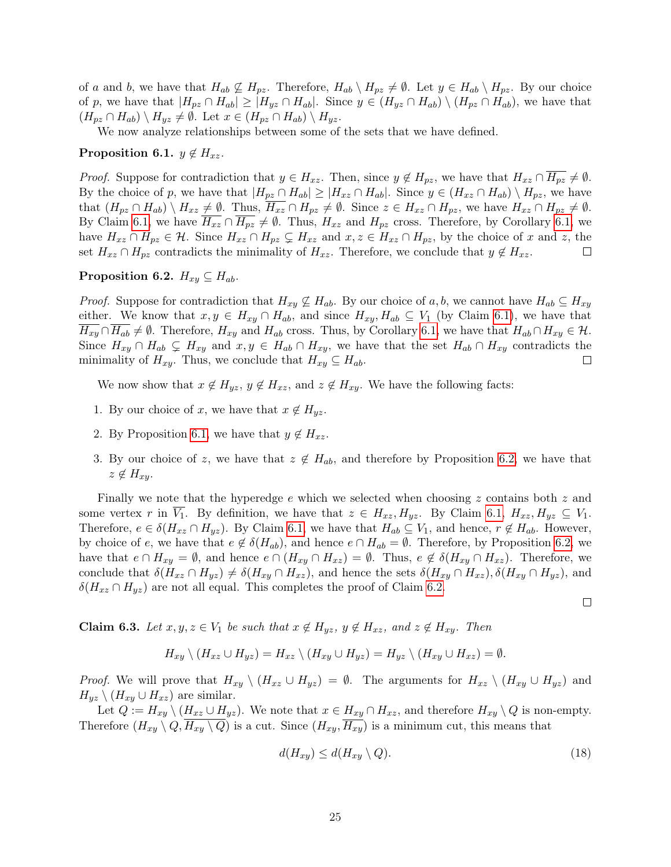of a and b, we have that  $H_{ab} \nsubseteq H_{pz}$ . Therefore,  $H_{ab} \setminus H_{pz} \neq \emptyset$ . Let  $y \in H_{ab} \setminus H_{pz}$ . By our choice of p, we have that  $|H_{pz} \cap H_{ab}| \geq |H_{yz} \cap H_{ab}|$ . Since  $y \in (H_{yz} \cap H_{ab}) \setminus (H_{pz} \cap H_{ab})$ , we have that  $(H_{pz} \cap H_{ab}) \setminus H_{yz} \neq \emptyset$ . Let  $x \in (H_{pz} \cap H_{ab}) \setminus H_{yz}$ .

We now analyze relationships between some of the sets that we have defined.

#### <span id="page-25-0"></span>Proposition 6.1.  $y \notin H_{xz}$ .

*Proof.* Suppose for contradiction that  $y \in H_{xz}$ . Then, since  $y \notin H_{pz}$ , we have that  $H_{xz} \cap \overline{H_{pz}} \neq \emptyset$ . By the choice of p, we have that  $|H_{pz} \cap H_{ab}| \geq |H_{xz} \cap H_{ab}|$ . Since  $y \in (H_{xz} \cap H_{ab}) \setminus H_{pz}$ , we have that  $(H_{pz} \cap H_{ab}) \setminus H_{xz} \neq \emptyset$ . Thus,  $\overline{H_{xz}} \cap H_{pz} \neq \emptyset$ . Since  $z \in H_{xz} \cap H_{pz}$ , we have  $H_{xz} \cap H_{pz} \neq \emptyset$ . By Claim [6.1,](#page-24-1) we have  $\overline{H_{xz}} \cap \overline{H_{pz}} \neq \emptyset$ . Thus,  $H_{xz}$  and  $H_{pz}$  cross. Therefore, by Corollary 6.1, we have  $H_{xz} \cap H_{pz} \in \mathcal{H}$ . Since  $H_{xz} \cap H_{pz} \subsetneq H_{xz}$  and  $x, z \in H_{xz} \cap H_{pz}$ , by the choice of x and z, the set  $H_{xz} \cap H_{pz}$  contradicts the minimality of  $H_{xz}$ . Therefore, we conclude that  $y \notin H_{xz}$ .  $\Box$ 

#### <span id="page-25-1"></span>Proposition 6.2.  $H_{xy} \subseteq H_{ab}$ .

*Proof.* Suppose for contradiction that  $H_{xy} \not\subseteq H_{ab}$ . By our choice of a, b, we cannot have  $H_{ab} \subseteq H_{xy}$ either. We know that  $x, y \in H_{xy} \cap H_{ab}$ , and since  $H_{xy}, H_{ab} \subseteq V_1$  (by Claim [6.1\)](#page-24-2), we have that  $\overline{H_{xy}} \cap \overline{H_{ab}} \neq \emptyset$ . Therefore,  $H_{xy}$  and  $H_{ab}$  cross. Thus, by Corollary [6.1,](#page-24-1) we have that  $H_{ab} \cap H_{xy} \in \mathcal{H}$ . Since  $H_{xy} \cap H_{ab} \subsetneq H_{xy}$  and  $x, y \in H_{ab} \cap H_{xy}$ , we have that the set  $H_{ab} \cap H_{xy}$  contradicts the minimality of  $H_{xy}$ . Thus, we conclude that  $H_{xy} \subseteq H_{ab}$ .  $\Box$ 

We now show that  $x \notin H_{yz}$ ,  $y \notin H_{xz}$ , and  $z \notin H_{xy}$ . We have the following facts:

- 1. By our choice of x, we have that  $x \notin H_{yz}$ .
- 2. By Proposition [6.1,](#page-25-0) we have that  $y \notin H_{xz}$ .
- 3. By our choice of z, we have that  $z \notin H_{ab}$ , and therefore by Proposition [6.2,](#page-25-1) we have that  $z \notin H_{xy}$ .

Finally we note that the hyperedge  $e$  which we selected when choosing z contains both z and some vertex r in  $V_1$ . By definition, we have that  $z \in H_{xz}, H_{yz}$ . By Claim [6.1,](#page-24-2)  $H_{xz}, H_{yz} \subseteq V_1$ . Therefore,  $e \in \delta(H_{xz} \cap H_{yz})$ . By Claim [6.1,](#page-24-2) we have that  $H_{ab} \subseteq V_1$ , and hence,  $r \notin H_{ab}$ . However, by choice of e, we have that  $e \notin \delta(H_{ab})$ , and hence  $e \cap H_{ab} = \emptyset$ . Therefore, by Proposition [6.2,](#page-25-1) we have that  $e \cap H_{xy} = \emptyset$ , and hence  $e \cap (H_{xy} \cap H_{xz}) = \emptyset$ . Thus,  $e \notin \delta(H_{xy} \cap H_{xz})$ . Therefore, we conclude that  $\delta(H_{xz} \cap H_{yz}) \neq \delta(H_{xy} \cap H_{xz})$ , and hence the sets  $\delta(H_{xy} \cap H_{xz})$ ,  $\delta(H_{xy} \cap H_{yz})$ , and  $\delta(H_{xz} \cap H_{yz})$  are not all equal. This completes the proof of Claim [6.2.](#page-24-3)

<span id="page-25-2"></span> $\Box$ 

<span id="page-25-3"></span>**Claim 6.3.** Let  $x, y, z \in V_1$  be such that  $x \notin H_{yz}$ ,  $y \notin H_{xz}$ , and  $z \notin H_{xy}$ . Then

$$
H_{xy} \setminus (H_{xz} \cup H_{yz}) = H_{xz} \setminus (H_{xy} \cup H_{yz}) = H_{yz} \setminus (H_{xy} \cup H_{xz}) = \emptyset.
$$

*Proof.* We will prove that  $H_{xy} \setminus (H_{xz} \cup H_{yz}) = \emptyset$ . The arguments for  $H_{xz} \setminus (H_{xy} \cup H_{yz})$  and  $H_{yz} \setminus (H_{xy} \cup H_{xz})$  are similar.

Let  $Q := H_{xy} \setminus (H_{xz} \cup H_{yz})$ . We note that  $x \in H_{xy} \cap H_{xz}$ , and therefore  $H_{xy} \setminus Q$  is non-empty. Therefore  $(H_{xy} \setminus Q, H_{xy} \setminus Q)$  is a cut. Since  $(H_{xy}, H_{xy})$  is a minimum cut, this means that

$$
d(H_{xy}) \le d(H_{xy} \setminus Q). \tag{18}
$$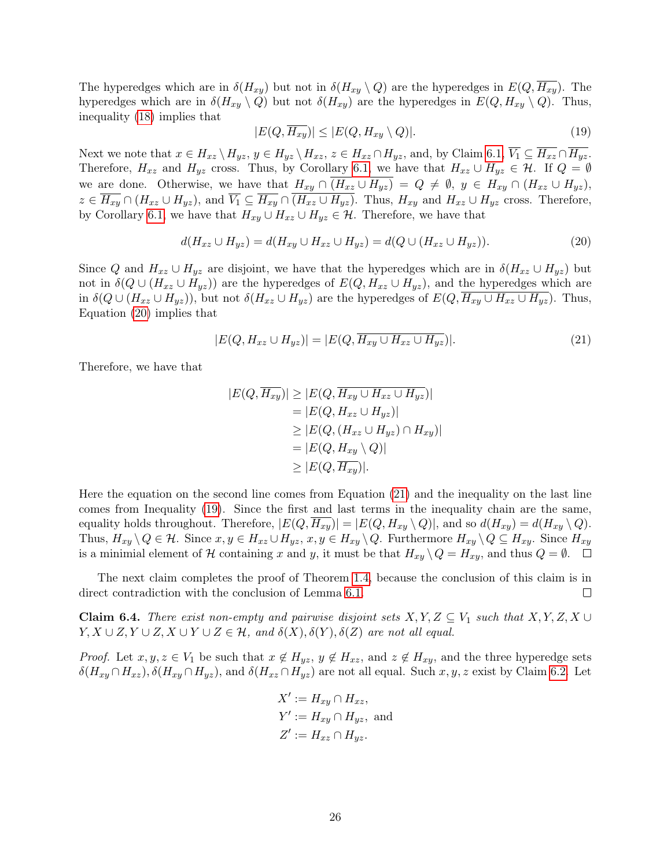The hyperedges which are in  $\delta(H_{xy})$  but not in  $\delta(H_{xy} \setminus Q)$  are the hyperedges in  $E(Q, H_{xy})$ . The hyperedges which are in  $\delta(H_{xy} \setminus Q)$  but not  $\delta(H_{xy})$  are the hyperedges in  $E(Q, H_{xy} \setminus Q)$ . Thus, inequality [\(18\)](#page-25-2) implies that

<span id="page-26-2"></span><span id="page-26-0"></span>
$$
|E(Q, \overline{H_{xy}})| \le |E(Q, H_{xy} \setminus Q)|. \tag{19}
$$

Next we note that  $x \in H_{xz} \setminus H_{yz}$ ,  $y \in H_{yz} \setminus H_{xz}$ ,  $z \in H_{xz} \cap H_{yz}$ , and, by Claim [6.1,](#page-24-2)  $\overline{V_1} \subseteq \overline{H_{xz}} \cap \overline{H_{yz}}$ . Therefore,  $H_{xz}$  and  $H_{yz}$  cross. Thus, by Corollary [6.1,](#page-24-1) we have that  $H_{xz} \cup H_{yz} \in \mathcal{H}$ . If  $Q = \emptyset$ we are done. Otherwise, we have that  $H_{xy} \cap (H_{xz} \cup H_{yz}) = Q \neq \emptyset$ ,  $y \in H_{xy} \cap (H_{xz} \cup H_{yz})$ ,  $z \in \overline{H_{xy}} \cap (H_{xz} \cup H_{yz}),$  and  $\overline{V_1} \subseteq \overline{H_{xy}} \cap (H_{xz} \cup H_{yz}).$  Thus,  $H_{xy}$  and  $H_{xz} \cup H_{yz}$  cross. Therefore, by Corollary [6.1,](#page-24-1) we have that  $H_{xy} \cup H_{xz} \cup H_{yz} \in \mathcal{H}$ . Therefore, we have that

$$
d(H_{xz} \cup H_{yz}) = d(H_{xy} \cup H_{xz} \cup H_{yz}) = d(Q \cup (H_{xz} \cup H_{yz})).
$$
\n(20)

Since Q and  $H_{xz} \cup H_{yz}$  are disjoint, we have that the hyperedges which are in  $\delta(H_{xz} \cup H_{yz})$  but not in  $\delta(Q \cup (H_{xz} \cup H_{yz}))$  are the hyperedges of  $E(Q, H_{xz} \cup H_{yz})$ , and the hyperedges which are in  $\delta(Q \cup (H_{xz} \cup H_{yz}))$ , but not  $\delta(H_{xz} \cup H_{yz})$  are the hyperedges of  $E(Q, H_{xy} \cup H_{xz} \cup H_{yz})$ . Thus, Equation [\(20\)](#page-26-0) implies that

<span id="page-26-1"></span>
$$
|E(Q, H_{xz} \cup H_{yz})| = |E(Q, \overline{H_{xy} \cup H_{xz} \cup H_{yz}})|. \tag{21}
$$

Therefore, we have that

$$
|E(Q, \overline{H_{xy}})| \ge |E(Q, \overline{H_{xy}} \cup H_{xz} \cup H_{yz})|
$$
  
\n
$$
= |E(Q, H_{xz} \cup H_{yz})|
$$
  
\n
$$
\ge |E(Q, (H_{xz} \cup H_{yz}) \cap H_{xy})|
$$
  
\n
$$
= |E(Q, H_{xy} \setminus Q)|
$$
  
\n
$$
\ge |E(Q, \overline{H_{xy}})|.
$$

Here the equation on the second line comes from Equation [\(21\)](#page-26-1) and the inequality on the last line comes from Inequality [\(19\)](#page-26-2). Since the first and last terms in the inequality chain are the same, equality holds throughout. Therefore,  $|E(Q, H_{xy})| = |E(Q, H_{xy} \setminus Q)|$ , and so  $d(H_{xy}) = d(H_{xy} \setminus Q)$ . Thus,  $H_{xy} \setminus Q \in \mathcal{H}$ . Since  $x, y \in H_{xz} \cup H_{yz}, x, y \in H_{xy} \setminus Q$ . Furthermore  $H_{xy} \setminus Q \subseteq H_{xy}$ . Since  $H_{xy}$ is a minimial element of H containing x and y, it must be that  $H_{xy} \setminus Q = H_{xy}$ , and thus  $Q = \emptyset$ .  $\square$ 

The next claim completes the proof of Theorem [1.4,](#page-5-0) because the conclusion of this claim is in direct contradiction with the conclusion of Lemma [6.1.](#page-23-1)  $\Box$ 

**Claim 6.4.** There exist non-empty and pairwise disjoint sets  $X, Y, Z \subseteq V_1$  such that  $X, Y, Z, X \cup$  $Y, X \cup Z, Y \cup Z, X \cup Y \cup Z \in \mathcal{H}$ , and  $\delta(X), \delta(Y), \delta(Z)$  are not all equal.

*Proof.* Let  $x, y, z \in V_1$  be such that  $x \notin H_{yz}$ ,  $y \notin H_{xz}$ , and  $z \notin H_{xy}$ , and the three hyperedge sets  $\delta(H_{xy}\cap H_{xz}), \delta(H_{xy}\cap H_{yz}),$  and  $\delta(H_{xz}\cap H_{yz})$  are not all equal. Such  $x, y, z$  exist by Claim [6.2.](#page-24-3) Let

$$
X' := H_{xy} \cap H_{xz},
$$
  
\n
$$
Y' := H_{xy} \cap H_{yz}, \text{ and}
$$
  
\n
$$
Z' := H_{xz} \cap H_{yz}.
$$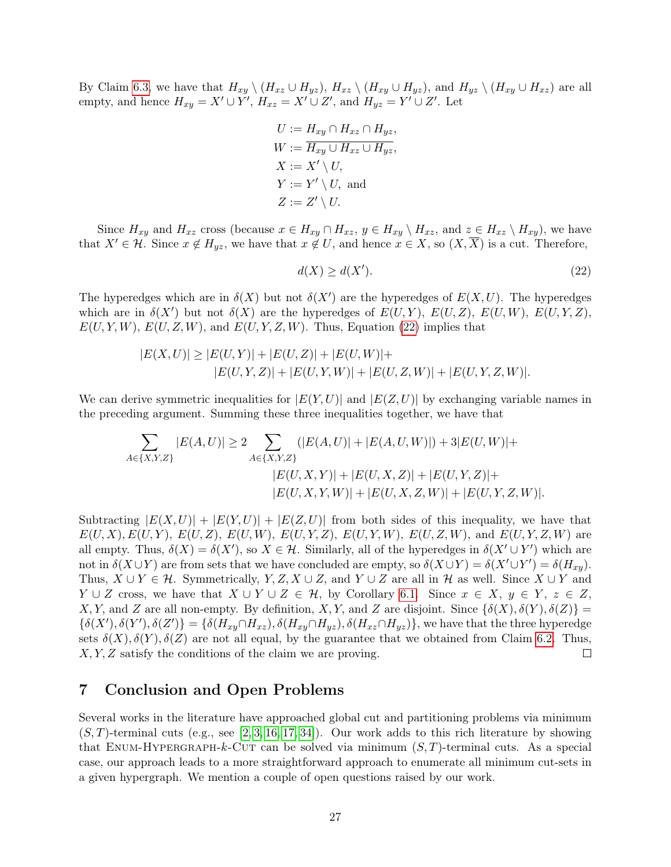By Claim [6.3,](#page-25-3) we have that  $H_{xy} \setminus (H_{xz} \cup H_{yz}), H_{xz} \setminus (H_{xy} \cup H_{yz}),$  and  $H_{yz} \setminus (H_{xy} \cup H_{xz})$  are all empty, and hence  $H_{xy} = X' \cup Y'$ ,  $H_{xz} = X' \cup Z'$ , and  $H_{yz} = Y' \cup Z'$ . Let

$$
U := H_{xy} \cap H_{xz} \cap H_{yz},
$$
  
\n
$$
W := \overline{H_{xy} \cup H_{xz} \cup H_{yz}},
$$
  
\n
$$
X := X' \setminus U,
$$
  
\n
$$
Y := Y' \setminus U,
$$
 and  
\n
$$
Z := Z' \setminus U.
$$

Since  $H_{xy}$  and  $H_{xz}$  cross (because  $x \in H_{xy} \cap H_{xz}$ ,  $y \in H_{xy} \setminus H_{xz}$ , and  $z \in H_{xz} \setminus H_{xy}$ ), we have that  $X' \in \mathcal{H}$ . Since  $x \notin H_{yz}$ , we have that  $x \notin U$ , and hence  $x \in X$ , so  $(X, \overline{X})$  is a cut. Therefore,

<span id="page-27-1"></span>
$$
d(X) \ge d(X').\tag{22}
$$

The hyperedges which are in  $\delta(X)$  but not  $\delta(X')$  are the hyperedges of  $E(X, U)$ . The hyperedges which are in  $\delta(X')$  but not  $\delta(X)$  are the hyperedges of  $E(U, Y)$ ,  $E(U, Z)$ ,  $E(U, W)$ ,  $E(U, Y, Z)$ ,  $E(U, Y, W)$ ,  $E(U, Z, W)$ , and  $E(U, Y, Z, W)$ . Thus, Equation [\(22\)](#page-27-1) implies that

$$
|E(X, U)| \ge |E(U, Y)| + |E(U, Z)| + |E(U, W)| + |E(U, Z, W)| + |E(U, Y, Z, W)|.
$$
  

$$
|E(U, Y, Z)| + |E(U, Y, W)| + |E(U, Z, W)| + |E(U, Y, Z, W)|.
$$

We can derive symmetric inequalities for  $|E(Y, U)|$  and  $|E(Z, U)|$  by exchanging variable names in the preceding argument. Summing these three inequalities together, we have that

$$
\sum_{A \in \{X, Y, Z\}} |E(A, U)| \ge 2 \sum_{A \in \{X, Y, Z\}} (|E(A, U)| + |E(A, U, W)|) + 3|E(U, W)| +
$$
  
\n
$$
|E(U, X, Y)| + |E(U, X, Z)| + |E(U, Y, Z)| +
$$
  
\n
$$
|E(U, X, Y, W)| + |E(U, X, Z, W)| + |E(U, Y, Z, W)|
$$

Subtracting  $|E(X, U)| + |E(Y, U)| + |E(Z, U)|$  from both sides of this inequality, we have that  $E(U, X), E(U, Y), E(U, Z), E(U, W), E(U, Y, Z), E(U, Y, W), E(U, Z, W), \text{ and } E(U, Y, Z, W) \text{ are }$ all empty. Thus,  $\delta(X) = \delta(X')$ , so  $X \in \mathcal{H}$ . Similarly, all of the hyperedges in  $\delta(X' \cup Y')$  which are not in  $\delta(X \cup Y)$  are from sets that we have concluded are empty, so  $\delta(X \cup Y) = \delta(X' \cup Y') = \delta(H_{xy})$ . Thus,  $X \cup Y \in \mathcal{H}$ . Symmetrically,  $Y, Z, X \cup Z$ , and  $Y \cup Z$  are all in H as well. Since  $X \cup Y$  and  $Y \cup Z$  cross, we have that  $X \cup Y \cup Z \in \mathcal{H}$ , by Corollary [6.1.](#page-24-1) Since  $x \in X$ ,  $y \in Y$ ,  $z \in Z$ , X, Y, and Z are all non-empty. By definition, X, Y, and Z are disjoint. Since  $\{\delta(X), \delta(Y), \delta(Z)\}$  =  $\{\delta(X'),\delta(Y'),\delta(Z')\} = \{\delta(H_{xy} \cap H_{xz}), \delta(H_{xy} \cap H_{yz}), \delta(H_{xz} \cap H_{yz})\}$ , we have that the three hyperedge sets  $\delta(X), \delta(Y), \delta(Z)$  are not all equal, by the guarantee that we obtained from Claim [6.2.](#page-24-3) Thus, X, Y, Z satisfy the conditions of the claim we are proving.  $\Box$ 

## <span id="page-27-0"></span>7 Conclusion and Open Problems

Several works in the literature have approached global cut and partitioning problems via minimum  $(S, T)$ -terminal cuts (e.g., see [\[2,](#page-28-0) [3,](#page-28-9) [16,](#page-29-7) [17,](#page-29-0) [34\]](#page-30-15)). Our work adds to this rich literature by showing that ENUM-HYPERGRAPH-k-CUT can be solved via minimum  $(S, T)$ -terminal cuts. As a special case, our approach leads to a more straightforward approach to enumerate all minimum cut-sets in a given hypergraph. We mention a couple of open questions raised by our work.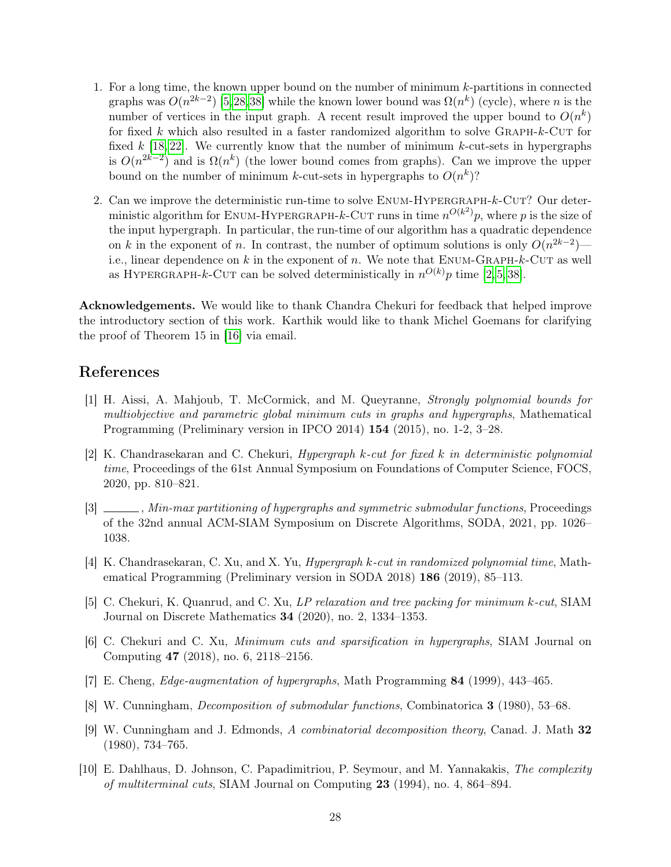- 1. For a long time, the known upper bound on the number of minimum k-partitions in connected graphs was  $O(n^{2k-2})$  [\[5,](#page-28-4)[28,](#page-30-0)[38\]](#page-30-1) while the known lower bound was  $\Omega(n^k)$  (cycle), where n is the number of vertices in the input graph. A recent result improved the upper bound to  $O(n^k)$ for fixed  $k$  which also resulted in a faster randomized algorithm to solve GRAPH- $k$ -CUT for fixed k [\[18,](#page-29-3) [22\]](#page-29-4). We currently know that the number of minimum k-cut-sets in hypergraphs is  $O(n^{2k-2})$  and is  $\Omega(n^k)$  (the lower bound comes from graphs). Can we improve the upper bound on the number of minimum k-cut-sets in hypergraphs to  $O(n^k)$ ?
- 2. Can we improve the deterministic run-time to solve  $ENUM-HYPERGRAPH-k-CUT?$  Our deterministic algorithm for ENUM-HYPERGRAPH-k-CUT runs in time  $n^{O(k^2)}p$ , where p is the size of the input hypergraph. In particular, the run-time of our algorithm has a quadratic dependence on k in the exponent of n. In contrast, the number of optimum solutions is only  $O(n^{2k-2})$  i.e., linear dependence on  $k$  in the exponent of  $n$ . We note that ENUM-GRAPH- $k$ -CUT as well as HYPERGRAPH-k-CUT can be solved deterministically in  $n^{O(k)}p$  time [\[2,](#page-28-0)5,38].

Acknowledgements. We would like to thank Chandra Chekuri for feedback that helped improve the introductory section of this work. Karthik would like to thank Michel Goemans for clarifying the proof of Theorem 15 in [\[16\]](#page-29-7) via email.

## References

- <span id="page-28-5"></span>[1] H. Aissi, A. Mahjoub, T. McCormick, and M. Queyranne, Strongly polynomial bounds for multiobjective and parametric global minimum cuts in graphs and hypergraphs, Mathematical Programming (Preliminary version in IPCO 2014) 154 (2015), no. 1-2, 3–28.
- <span id="page-28-0"></span> $[2]$  K. Chandrasekaran and C. Chekuri, Hypergraph k-cut for fixed k in deterministic polynomial time, Proceedings of the 61st Annual Symposium on Foundations of Computer Science, FOCS, 2020, pp. 810–821.
- <span id="page-28-9"></span>[3]  $\Box$ , Min-max partitioning of hypergraphs and symmetric submodular functions, Proceedings of the 32nd annual ACM-SIAM Symposium on Discrete Algorithms, SODA, 2021, pp. 1026– 1038.
- <span id="page-28-1"></span>[4] K. Chandrasekaran, C. Xu, and X. Yu, Hypergraph k-cut in randomized polynomial time, Mathematical Programming (Preliminary version in SODA 2018) 186 (2019), 85–113.
- <span id="page-28-4"></span>[5] C. Chekuri, K. Quanrud, and C. Xu, LP relaxation and tree packing for minimum k-cut, SIAM Journal on Discrete Mathematics 34 (2020), no. 2, 1334–1353.
- <span id="page-28-2"></span>[6] C. Chekuri and C. Xu, Minimum cuts and sparsification in hypergraphs, SIAM Journal on Computing 47 (2018), no. 6, 2118–2156.
- <span id="page-28-7"></span>[7] E. Cheng, Edge-augmentation of hypergraphs, Math Programming 84 (1999), 443–465.
- <span id="page-28-3"></span>[8] W. Cunningham, Decomposition of submodular functions, Combinatorica 3 (1980), 53–68.
- <span id="page-28-6"></span>[9] W. Cunningham and J. Edmonds, A combinatorial decomposition theory, Canad. J. Math 32 (1980), 734–765.
- <span id="page-28-8"></span>[10] E. Dahlhaus, D. Johnson, C. Papadimitriou, P. Seymour, and M. Yannakakis, The complexity of multiterminal cuts, SIAM Journal on Computing 23 (1994), no. 4, 864–894.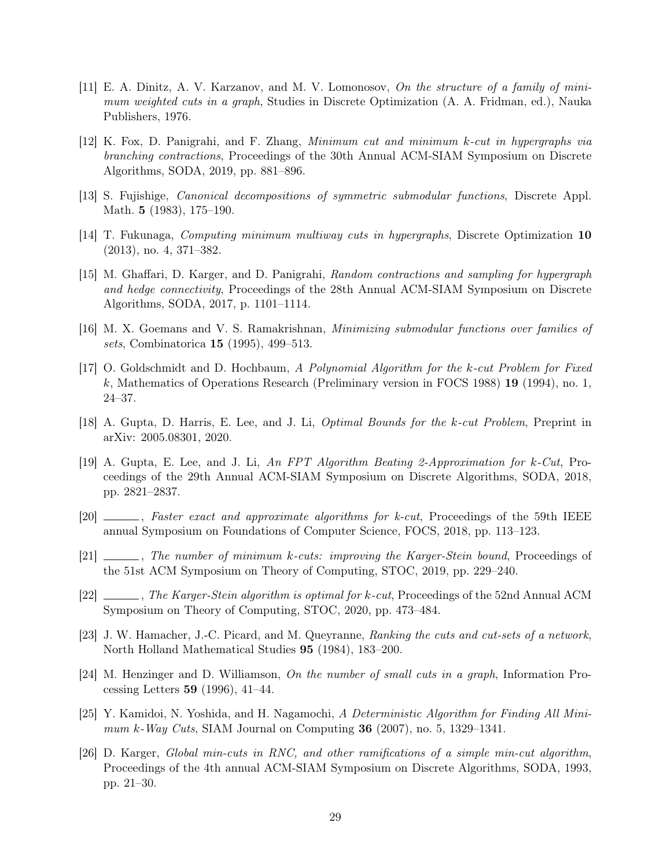- <span id="page-29-5"></span>[11] E. A. Dinitz, A. V. Karzanov, and M. V. Lomonosov, On the structure of a family of minimum weighted cuts in a graph, Studies in Discrete Optimization (A. A. Fridman, ed.), Nauka Publishers, 1976.
- <span id="page-29-2"></span>[12] K. Fox, D. Panigrahi, and F. Zhang, Minimum cut and minimum k-cut in hypergraphs via branching contractions, Proceedings of the 30th Annual ACM-SIAM Symposium on Discrete Algorithms, SODA, 2019, pp. 881–896.
- <span id="page-29-12"></span>[13] S. Fujishige, Canonical decompositions of symmetric submodular functions, Discrete Appl. Math. 5 (1983), 175–190.
- <span id="page-29-13"></span>[14] T. Fukunaga, Computing minimum multiway cuts in hypergraphs, Discrete Optimization 10 (2013), no. 4, 371–382.
- <span id="page-29-6"></span>[15] M. Ghaffari, D. Karger, and D. Panigrahi, Random contractions and sampling for hypergraph and hedge connectivity, Proceedings of the 28th Annual ACM-SIAM Symposium on Discrete Algorithms, SODA, 2017, p. 1101–1114.
- <span id="page-29-7"></span>[16] M. X. Goemans and V. S. Ramakrishnan, Minimizing submodular functions over families of sets, Combinatorica 15 (1995), 499–513.
- <span id="page-29-0"></span>[17] O. Goldschmidt and D. Hochbaum, A Polynomial Algorithm for the k-cut Problem for Fixed k, Mathematics of Operations Research (Preliminary version in FOCS 1988) 19 (1994), no. 1, 24–37.
- <span id="page-29-3"></span>[18] A. Gupta, D. Harris, E. Lee, and J. Li, *Optimal Bounds for the k-cut Problem*, Preprint in arXiv: 2005.08301, 2020.
- [19] A. Gupta, E. Lee, and J. Li, An FPT Algorithm Beating 2-Approximation for k-Cut, Proceedings of the 29th Annual ACM-SIAM Symposium on Discrete Algorithms, SODA, 2018, pp. 2821–2837.
- [20] , Faster exact and approximate algorithms for k-cut, Proceedings of the 59th IEEE annual Symposium on Foundations of Computer Science, FOCS, 2018, pp. 113–123.
- <span id="page-29-9"></span>[21]  $\_\_\_\_\_\$ n. The number of minimum k-cuts: improving the Karger-Stein bound, Proceedings of the 51st ACM Symposium on Theory of Computing, STOC, 2019, pp. 229–240.
- <span id="page-29-4"></span>[22]  $\ldots$ , The Karger-Stein algorithm is optimal for k-cut, Proceedings of the 52nd Annual ACM Symposium on Theory of Computing, STOC, 2020, pp. 473–484.
- <span id="page-29-11"></span>[23] J. W. Hamacher, J.-C. Picard, and M. Queyranne, Ranking the cuts and cut-sets of a network, North Holland Mathematical Studies 95 (1984), 183–200.
- <span id="page-29-10"></span>[24] M. Henzinger and D. Williamson, On the number of small cuts in a graph, Information Processing Letters 59 (1996), 41–44.
- <span id="page-29-1"></span>[25] Y. Kamidoi, N. Yoshida, and H. Nagamochi, A Deterministic Algorithm for Finding All Minimum k-Way Cuts, SIAM Journal on Computing  $36$  (2007), no. 5, 1329–1341.
- <span id="page-29-8"></span>[26] D. Karger, Global min-cuts in RNC, and other ramifications of a simple min-cut algorithm, Proceedings of the 4th annual ACM-SIAM Symposium on Discrete Algorithms, SODA, 1993, pp. 21–30.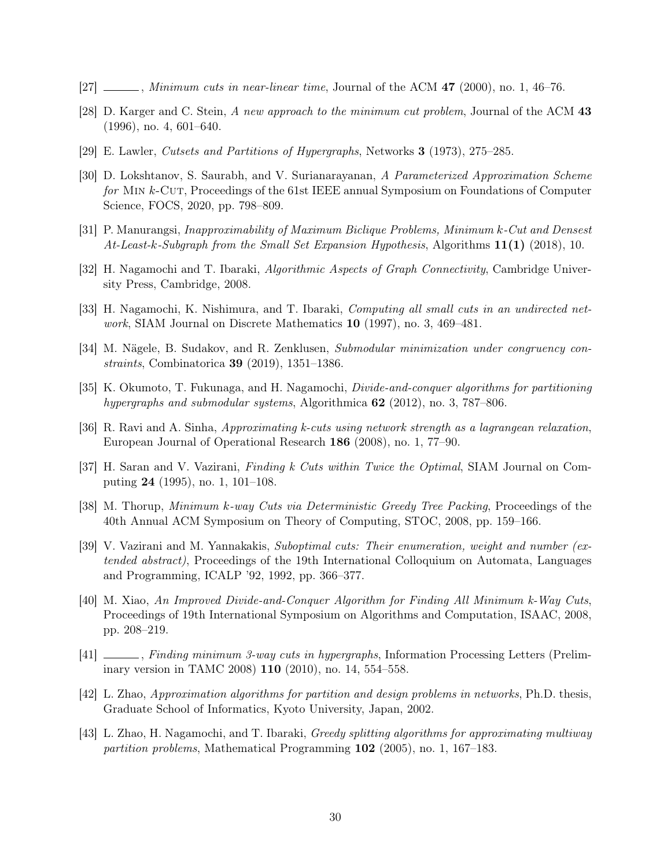- <span id="page-30-8"></span> $[27]$  , Minimum cuts in near-linear time, Journal of the ACM 47 (2000), no. 1, 46–76.
- <span id="page-30-0"></span>[28] D. Karger and C. Stein, A new approach to the minimum cut problem, Journal of the ACM 43 (1996), no. 4, 601–640.
- <span id="page-30-2"></span>[29] E. Lawler, Cutsets and Partitions of Hypergraphs, Networks 3 (1973), 275–285.
- <span id="page-30-11"></span>[30] D. Lokshtanov, S. Saurabh, and V. Surianarayanan, A Parameterized Approximation Scheme for MIN k-CUT, Proceedings of the 61st IEEE annual Symposium on Foundations of Computer Science, FOCS, 2020, pp. 798–809.
- <span id="page-30-12"></span>[31] P. Manurangsi, Inapproximability of Maximum Biclique Problems, Minimum k-Cut and Densest At-Least-k-Subgraph from the Small Set Expansion Hypothesis, Algorithms  $11(1)$  (2018), 10.
- <span id="page-30-9"></span>[32] H. Nagamochi and T. Ibaraki, Algorithmic Aspects of Graph Connectivity, Cambridge University Press, Cambridge, 2008.
- <span id="page-30-7"></span>[33] H. Nagamochi, K. Nishimura, and T. Ibaraki, Computing all small cuts in an undirected network, SIAM Journal on Discrete Mathematics 10 (1997), no. 3, 469–481.
- <span id="page-30-15"></span>[34] M. Nägele, B. Sudakov, and R. Zenklusen, Submodular minimization under congruency constraints, Combinatorica 39 (2019), 1351–1386.
- <span id="page-30-3"></span>[35] K. Okumoto, T. Fukunaga, and H. Nagamochi, Divide-and-conquer algorithms for partitioning hypergraphs and submodular systems, Algorithmica  $62$  (2012), no. 3, 787–806.
- <span id="page-30-13"></span>[36] R. Ravi and A. Sinha, Approximating k-cuts using network strength as a lagrangean relaxation, European Journal of Operational Research 186 (2008), no. 1, 77–90.
- [37] H. Saran and V. Vazirani, Finding k Cuts within Twice the Optimal, SIAM Journal on Computing 24 (1995), no. 1, 101–108.
- <span id="page-30-1"></span>[38] M. Thorup, Minimum k-way Cuts via Deterministic Greedy Tree Packing, Proceedings of the 40th Annual ACM Symposium on Theory of Computing, STOC, 2008, pp. 159–166.
- <span id="page-30-10"></span>[39] V. Vazirani and M. Yannakakis, Suboptimal cuts: Their enumeration, weight and number (extended abstract), Proceedings of the 19th International Colloquium on Automata, Languages and Programming, ICALP '92, 1992, pp. 366–377.
- <span id="page-30-6"></span>[40] M. Xiao, An Improved Divide-and-Conquer Algorithm for Finding All Minimum k-Way Cuts, Proceedings of 19th International Symposium on Algorithms and Computation, ISAAC, 2008, pp. 208–219.
- <span id="page-30-14"></span>[41] , Finding minimum 3-way cuts in hypergraphs, Information Processing Letters (Preliminary version in TAMC 2008) 110 (2010), no. 14, 554–558.
- <span id="page-30-4"></span>[42] L. Zhao, Approximation algorithms for partition and design problems in networks, Ph.D. thesis, Graduate School of Informatics, Kyoto University, Japan, 2002.
- <span id="page-30-5"></span>[43] L. Zhao, H. Nagamochi, and T. Ibaraki, Greedy splitting algorithms for approximating multiway partition problems, Mathematical Programming 102 (2005), no. 1, 167–183.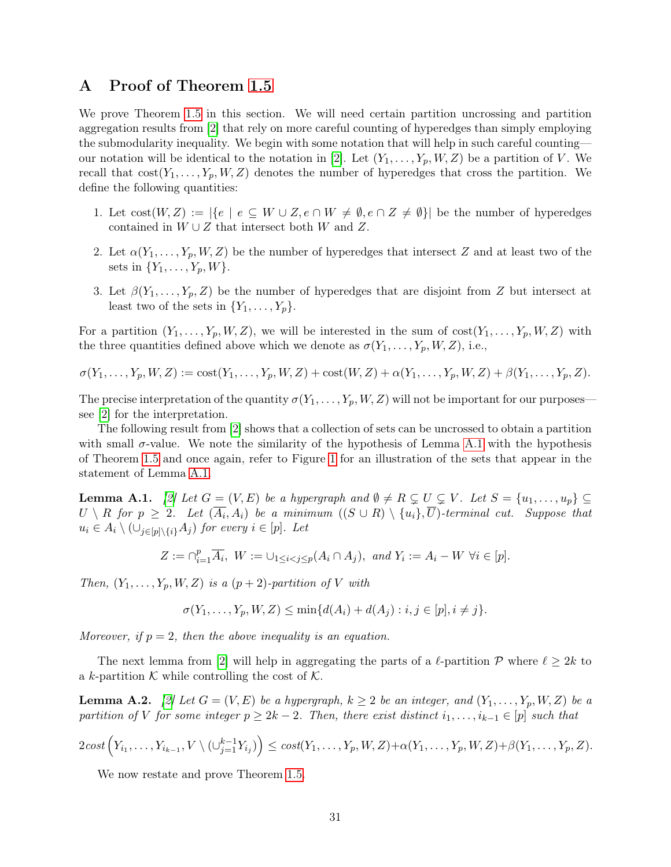## <span id="page-31-0"></span>A Proof of Theorem [1.5](#page-9-2)

We prove Theorem [1.5](#page-9-2) in this section. We will need certain partition uncrossing and partition aggregation results from [\[2\]](#page-28-0) that rely on more careful counting of hyperedges than simply employing the submodularity inequality. We begin with some notation that will help in such careful counting— our notation will be identical to the notation in [\[2\]](#page-28-0). Let  $(Y_1, \ldots, Y_p, W, Z)$  be a partition of V. We recall that  $cost(Y_1, \ldots, Y_p, W, Z)$  denotes the number of hyperedges that cross the partition. We define the following quantities:

- 1. Let  $cost(W, Z) := |\{e \mid e \subseteq W \cup Z, e \cap W \neq \emptyset, e \cap Z \neq \emptyset\}|$  be the number of hyperedges contained in  $W \cup Z$  that intersect both W and Z.
- 2. Let  $\alpha(Y_1,\ldots,Y_p,W,Z)$  be the number of hyperedges that intersect Z and at least two of the sets in  $\{Y_1, \ldots, Y_p, W\}$ .
- 3. Let  $\beta(Y_1,\ldots,Y_p,Z)$  be the number of hyperedges that are disjoint from Z but intersect at least two of the sets in  $\{Y_1, \ldots, Y_p\}.$

For a partition  $(Y_1, \ldots, Y_p, W, Z)$ , we will be interested in the sum of  $cost(Y_1, \ldots, Y_p, W, Z)$  with the three quantities defined above which we denote as  $\sigma(Y_1, \ldots, Y_p, W, Z)$ , i.e.,

 $\sigma(Y_1, \ldots, Y_p, W, Z) := \text{cost}(Y_1, \ldots, Y_p, W, Z) + \text{cost}(W, Z) + \alpha(Y_1, \ldots, Y_p, W, Z) + \beta(Y_1, \ldots, Y_p, Z).$ 

The precise interpretation of the quantity  $\sigma(Y_1, \ldots, Y_p, W, Z)$  will not be important for our purposes see [\[2\]](#page-28-0) for the interpretation.

The following result from [\[2\]](#page-28-0) shows that a collection of sets can be uncrossed to obtain a partition with small  $\sigma$ -value. We note the similarity of the hypothesis of Lemma [A.1](#page-31-1) with the hypothesis of Theorem [1.5](#page-9-2) and once again, refer to Figure [1](#page-10-0) for an illustration of the sets that appear in the statement of Lemma [A.1.](#page-31-1)

<span id="page-31-1"></span>**Lemma A.1.** [\[2\]](#page-28-0) Let  $G = (V, E)$  be a hypergraph and  $\emptyset \neq R \subsetneq U \subsetneq V$ . Let  $S = \{u_1, \ldots, u_p\} \subseteq$  $U\setminus R$  for  $p\geq 2$ . Let  $(\overline{A_i},A_i)$  be a minimum  $((S\cup R)\setminus \{u_i\},\overline{U})$ -terminal cut. Suppose that  $u_i \in A_i \setminus (\cup_{j\in [p]\setminus\{i\}} A_j)$  for every  $i \in [p]$ . Let

$$
Z := \bigcap_{i=1}^p \overline{A_i}, \ W := \bigcup_{1 \le i < j \le p} (A_i \cap A_j), \ \text{and} \ Y_i := A_i - W \ \forall i \in [p].
$$

Then,  $(Y_1, \ldots, Y_p, W, Z)$  is a  $(p+2)$ -partition of V with

$$
\sigma(Y_1, ..., Y_p, W, Z) \le \min\{d(A_i) + d(A_j) : i, j \in [p], i \ne j\}.
$$

Moreover, if  $p = 2$ , then the above inequality is an equation.

The next lemma from [\[2\]](#page-28-0) will help in aggregating the parts of a  $\ell$ -partition P where  $\ell \geq 2k$  to a k-partition K while controlling the cost of K.

<span id="page-31-2"></span>**Lemma A.2.** [\[2\]](#page-28-0) Let  $G = (V, E)$  be a hypergraph,  $k \geq 2$  be an integer, and  $(Y_1, \ldots, Y_p, W, Z)$  be a partition of V for some integer  $p \geq 2k - 2$ . Then, there exist distinct  $i_1, \ldots, i_{k-1} \in [p]$  such that

$$
2\operatorname{cost}\left(Y_{i_1},\ldots,Y_{i_{k-1}},V\setminus(\cup_{j=1}^{k-1}Y_{i_j})\right)\leq \operatorname{cost}(Y_1,\ldots,Y_p,W,Z)+\alpha(Y_1,\ldots,Y_p,W,Z)+\beta(Y_1,\ldots,Y_p,Z).
$$

We now restate and prove Theorem [1.5.](#page-9-2)